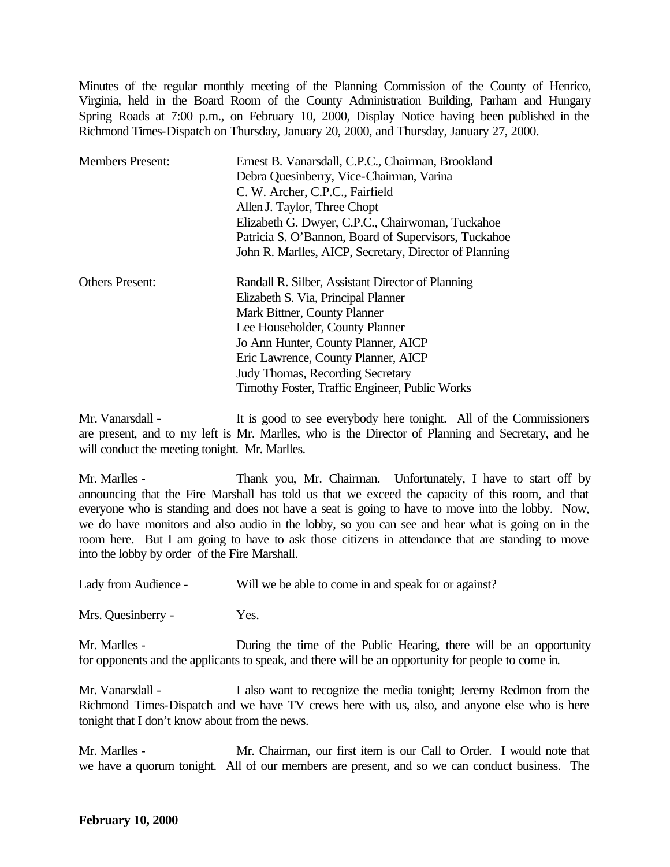Minutes of the regular monthly meeting of the Planning Commission of the County of Henrico, Virginia, held in the Board Room of the County Administration Building, Parham and Hungary Spring Roads at 7:00 p.m., on February 10, 2000, Display Notice having been published in the Richmond Times-Dispatch on Thursday, January 20, 2000, and Thursday, January 27, 2000.

| <b>Members Present:</b> | Ernest B. Vanarsdall, C.P.C., Chairman, Brookland      |
|-------------------------|--------------------------------------------------------|
|                         | Debra Quesinberry, Vice-Chairman, Varina               |
|                         | C. W. Archer, C.P.C., Fairfield                        |
|                         | Allen J. Taylor, Three Chopt                           |
|                         | Elizabeth G. Dwyer, C.P.C., Chairwoman, Tuckahoe       |
|                         | Patricia S. O'Bannon, Board of Supervisors, Tuckahoe   |
|                         | John R. Marlles, AICP, Secretary, Director of Planning |
| <b>Others Present:</b>  | Randall R. Silber, Assistant Director of Planning      |
|                         | Elizabeth S. Via, Principal Planner                    |
|                         | Mark Bittner, County Planner                           |
|                         | Lee Householder, County Planner                        |
|                         | Jo Ann Hunter, County Planner, AICP                    |
|                         | Eric Lawrence, County Planner, AICP                    |
|                         | <b>Judy Thomas, Recording Secretary</b>                |
|                         | Timothy Foster, Traffic Engineer, Public Works         |

Mr. Vanarsdall - It is good to see everybody here tonight. All of the Commissioners are present, and to my left is Mr. Marlles, who is the Director of Planning and Secretary, and he will conduct the meeting tonight. Mr. Marlles.

Mr. Marlles - Thank you, Mr. Chairman. Unfortunately, I have to start off by announcing that the Fire Marshall has told us that we exceed the capacity of this room, and that everyone who is standing and does not have a seat is going to have to move into the lobby. Now, we do have monitors and also audio in the lobby, so you can see and hear what is going on in the room here. But I am going to have to ask those citizens in attendance that are standing to move into the lobby by order of the Fire Marshall.

Lady from Audience - Will we be able to come in and speak for or against?

Mrs. Quesinberry - Yes.

Mr. Marlles - During the time of the Public Hearing, there will be an opportunity for opponents and the applicants to speak, and there will be an opportunity for people to come in.

Mr. Vanarsdall - I also want to recognize the media tonight; Jeremy Redmon from the Richmond Times-Dispatch and we have TV crews here with us, also, and anyone else who is here tonight that I don't know about from the news.

Mr. Marlles - Mr. Chairman, our first item is our Call to Order. I would note that we have a quorum tonight. All of our members are present, and so we can conduct business. The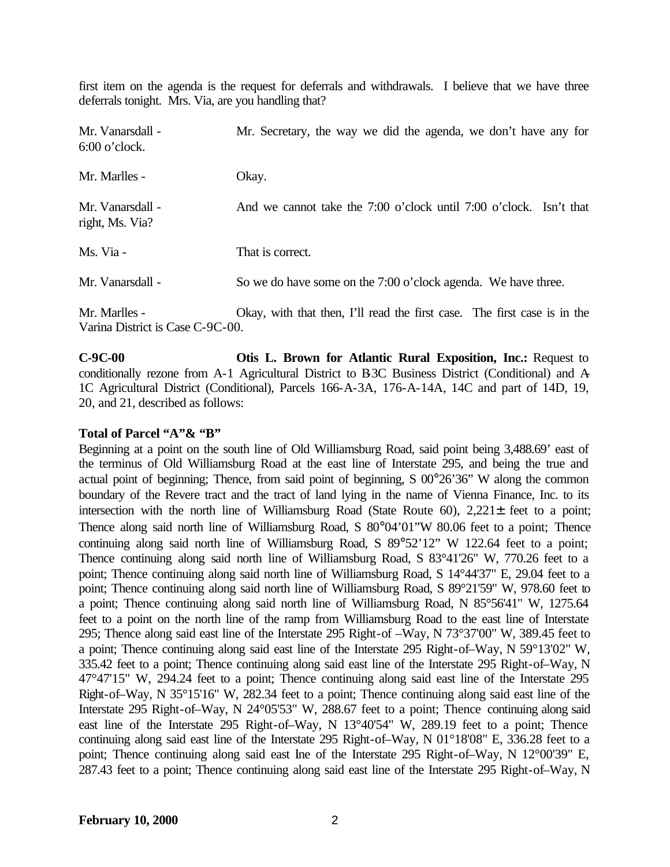first item on the agenda is the request for deferrals and withdrawals. I believe that we have three deferrals tonight. Mrs. Via, are you handling that?

| Mr. Vanarsdall -<br>$6:00$ o'clock.               | Mr. Secretary, the way we did the agenda, we don't have any for          |
|---------------------------------------------------|--------------------------------------------------------------------------|
| Mr. Marlles -                                     | Okay.                                                                    |
| Mr. Vanarsdall -<br>right, Ms. Via?               | And we cannot take the 7:00 o'clock until 7:00 o'clock. Isn't that       |
| Ms. Via -                                         | That is correct.                                                         |
| Mr. Vanarsdall -                                  | So we do have some on the 7:00 o'clock agenda. We have three.            |
| Mr. Marlles -<br>Varina District is Case C-9C-00. | Okay, with that then, I'll read the first case. The first case is in the |

**C-9C-00 Otis L. Brown for Atlantic Rural Exposition, Inc.:** Request to conditionally rezone from A-1 Agricultural District to B-3C Business District (Conditional) and A-1C Agricultural District (Conditional), Parcels 166-A-3A, 176-A-14A, 14C and part of 14D, 19, 20, and 21, described as follows:

## **Total of Parcel "A"& "B"**

Beginning at a point on the south line of Old Williamsburg Road, said point being 3,488.69' east of the terminus of Old Williamsburg Road at the east line of Interstate 295, and being the true and actual point of beginning; Thence, from said point of beginning, S 00°26'36" W along the common boundary of the Revere tract and the tract of land lying in the name of Vienna Finance, Inc. to its intersection with the north line of Williamsburg Road (State Route 60), 2,221± feet to a point; Thence along said north line of Williamsburg Road, S 80°04'01"W 80.06 feet to a point; Thence continuing along said north line of Williamsburg Road, S 89°52'12" W 122.64 feet to a point; Thence continuing along said north line of Williamsburg Road, S 83°41'26" W, 770.26 feet to a point; Thence continuing along said north line of Williamsburg Road, S 14°44'37" E, 29.04 feet to a point; Thence continuing along said north line of Williamsburg Road, S 89°21'59" W, 978.60 feet to a point; Thence continuing along said north line of Williamsburg Road, N 85°56'41" W, 1275.64 feet to a point on the north line of the ramp from Williamsburg Road to the east line of Interstate 295; Thence along said east line of the Interstate 295 Right-of –Way, N 73°37'00" W, 389.45 feet to a point; Thence continuing along said east line of the Interstate 295 Right-of–Way, N 59°13'02" W, 335.42 feet to a point; Thence continuing along said east line of the Interstate 295 Right-of–Way, N 47°47'15" W, 294.24 feet to a point; Thence continuing along said east line of the Interstate 295 Right-of–Way, N 35°15'16" W, 282.34 feet to a point; Thence continuing along said east line of the Interstate 295 Right-of–Way, N 24°05'53" W, 288.67 feet to a point; Thence continuing along said east line of the Interstate 295 Right-of–Way, N 13°40'54" W, 289.19 feet to a point; Thence continuing along said east line of the Interstate 295 Right-of–Way, N 01°18'08" E, 336.28 feet to a point; Thence continuing along said east lne of the Interstate 295 Right-of-Way, N 12°00'39" E, 287.43 feet to a point; Thence continuing along said east line of the Interstate 295 Right-of–Way, N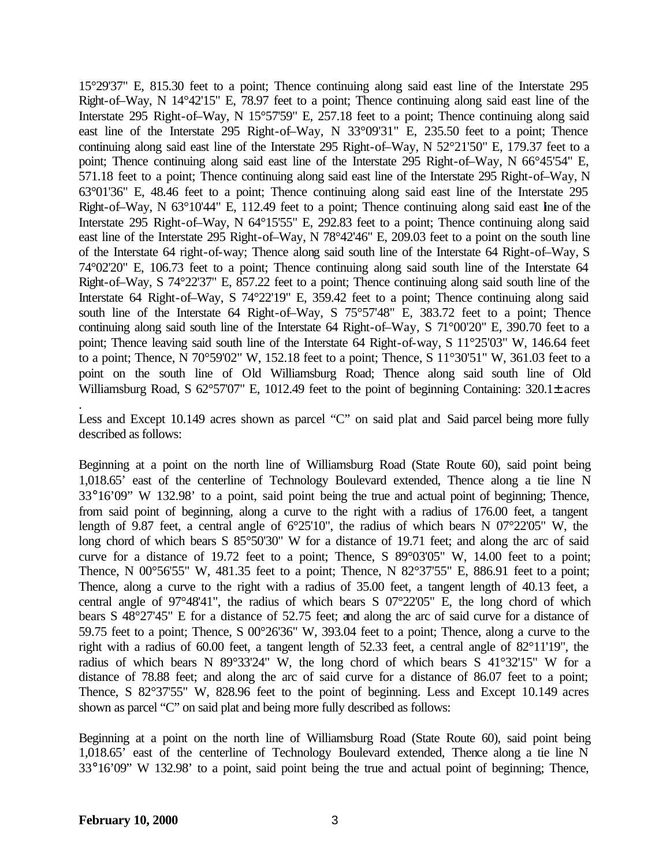15°29'37" E, 815.30 feet to a point; Thence continuing along said east line of the Interstate 295 Right-of–Way, N 14°42'15" E, 78.97 feet to a point; Thence continuing along said east line of the Interstate 295 Right-of–Way, N 15°57'59" E, 257.18 feet to a point; Thence continuing along said east line of the Interstate 295 Right-of–Way, N 33°09'31" E, 235.50 feet to a point; Thence continuing along said east line of the Interstate 295 Right-of–Way, N 52°21'50" E, 179.37 feet to a point; Thence continuing along said east line of the Interstate 295 Right-of–Way, N 66°45'54" E, 571.18 feet to a point; Thence continuing along said east line of the Interstate 295 Right-of–Way, N 63°01'36" E, 48.46 feet to a point; Thence continuing along said east line of the Interstate 295 Right-of–Way, N 63°10'44" E, 112.49 feet to a point; Thence continuing along said east line of the Interstate 295 Right-of–Way, N 64°15'55" E, 292.83 feet to a point; Thence continuing along said east line of the Interstate 295 Right-of–Way, N 78°42'46" E, 209.03 feet to a point on the south line of the Interstate 64 right-of-way; Thence along said south line of the Interstate 64 Right-of–Way, S 74°02'20" E, 106.73 feet to a point; Thence continuing along said south line of the Interstate 64 Right-of–Way, S 74°22'37" E, 857.22 feet to a point; Thence continuing along said south line of the Interstate 64 Right-of–Way, S 74°22'19" E, 359.42 feet to a point; Thence continuing along said south line of the Interstate 64 Right-of–Way, S 75°57'48" E, 383.72 feet to a point; Thence continuing along said south line of the Interstate 64 Right-of–Way, S 71°00'20" E, 390.70 feet to a point; Thence leaving said south line of the Interstate 64 Right-of-way, S 11°25'03" W, 146.64 feet to a point; Thence, N 70°59'02" W, 152.18 feet to a point; Thence, S 11°30'51" W, 361.03 feet to a point on the south line of Old Williamsburg Road; Thence along said south line of Old Williamsburg Road, S  $62^{\circ}57'07''$  E, 1012.49 feet to the point of beginning Containing: 320.1 $\pm$  acres

Less and Except 10.149 acres shown as parcel "C" on said plat and Said parcel being more fully described as follows:

Beginning at a point on the north line of Williamsburg Road (State Route 60), said point being 1,018.65' east of the centerline of Technology Boulevard extended, Thence along a tie line N 33°16'09" W 132.98' to a point, said point being the true and actual point of beginning; Thence, from said point of beginning, along a curve to the right with a radius of 176.00 feet, a tangent length of 9.87 feet, a central angle of 6°25'10", the radius of which bears N 07°22'05" W, the long chord of which bears S  $85^{\circ}50'30''$  W for a distance of 19.71 feet; and along the arc of said curve for a distance of 19.72 feet to a point; Thence, S 89°03'05" W, 14.00 feet to a point; Thence, N 00°56'55" W, 481.35 feet to a point; Thence, N 82°37'55" E, 886.91 feet to a point; Thence, along a curve to the right with a radius of 35.00 feet, a tangent length of 40.13 feet, a central angle of 97°48'41", the radius of which bears S 07°22'05" E, the long chord of which bears S 48°27'45" E for a distance of 52.75 feet; and along the arc of said curve for a distance of 59.75 feet to a point; Thence, S 00°26'36" W, 393.04 feet to a point; Thence, along a curve to the right with a radius of 60.00 feet, a tangent length of 52.33 feet, a central angle of 82°11'19", the radius of which bears N 89°33'24" W, the long chord of which bears S 41°32'15" W for a distance of 78.88 feet; and along the arc of said curve for a distance of 86.07 feet to a point; Thence, S 82°37'55" W, 828.96 feet to the point of beginning. Less and Except 10.149 acres shown as parcel "C" on said plat and being more fully described as follows:

Beginning at a point on the north line of Williamsburg Road (State Route 60), said point being 1,018.65' east of the centerline of Technology Boulevard extended, Thence along a tie line N 33°16'09" W 132.98' to a point, said point being the true and actual point of beginning; Thence,

.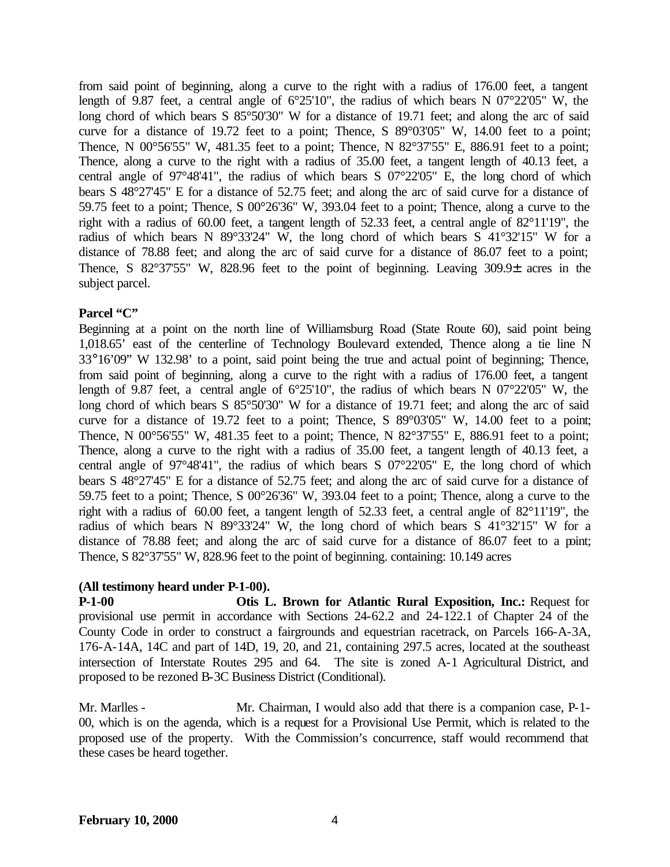from said point of beginning, along a curve to the right with a radius of 176.00 feet, a tangent length of 9.87 feet, a central angle of 6°25'10", the radius of which bears N 07°22'05" W, the long chord of which bears S  $85^{\circ}50'30''$  W for a distance of 19.71 feet; and along the arc of said curve for a distance of 19.72 feet to a point; Thence, S 89°03'05" W, 14.00 feet to a point; Thence, N 00°56'55" W, 481.35 feet to a point; Thence, N 82°37'55" E, 886.91 feet to a point; Thence, along a curve to the right with a radius of 35.00 feet, a tangent length of 40.13 feet, a central angle of 97°48'41", the radius of which bears S 07°22'05" E, the long chord of which bears S 48°27'45" E for a distance of 52.75 feet; and along the arc of said curve for a distance of 59.75 feet to a point; Thence, S 00°26'36" W, 393.04 feet to a point; Thence, along a curve to the right with a radius of 60.00 feet, a tangent length of 52.33 feet, a central angle of 82°11'19", the radius of which bears N 89°33'24" W, the long chord of which bears S 41°32'15" W for a distance of 78.88 feet; and along the arc of said curve for a distance of 86.07 feet to a point; Thence, S 82°37'55" W, 828.96 feet to the point of beginning. Leaving 309.9± acres in the subject parcel.

## **Parcel "C"**

Beginning at a point on the north line of Williamsburg Road (State Route 60), said point being 1,018.65' east of the centerline of Technology Boulevard extended, Thence along a tie line N 33°16'09" W 132.98' to a point, said point being the true and actual point of beginning; Thence, from said point of beginning, along a curve to the right with a radius of 176.00 feet, a tangent length of 9.87 feet, a central angle of 6°25'10", the radius of which bears N 07°22'05" W, the long chord of which bears S  $85^{\circ}50'30''$  W for a distance of 19.71 feet; and along the arc of said curve for a distance of 19.72 feet to a point; Thence, S 89°03'05" W, 14.00 feet to a point; Thence, N 00°56'55" W, 481.35 feet to a point; Thence, N 82°37'55" E, 886.91 feet to a point; Thence, along a curve to the right with a radius of 35.00 feet, a tangent length of 40.13 feet, a central angle of 97°48'41", the radius of which bears S 07°22'05" E, the long chord of which bears S 48°27'45" E for a distance of 52.75 feet; and along the arc of said curve for a distance of 59.75 feet to a point; Thence, S 00°26'36" W, 393.04 feet to a point; Thence, along a curve to the right with a radius of 60.00 feet, a tangent length of 52.33 feet, a central angle of 82°11'19", the radius of which bears N 89°33'24" W, the long chord of which bears S 41°32'15" W for a distance of 78.88 feet; and along the arc of said curve for a distance of 86.07 feet to a point; Thence, S 82°37'55" W, 828.96 feet to the point of beginning. containing: 10.149 acres

## **(All testimony heard under P-1-00).**

**P-1-00 Otis L. Brown for Atlantic Rural Exposition, Inc.:** Request for provisional use permit in accordance with Sections 24-62.2 and 24-122.1 of Chapter 24 of the County Code in order to construct a fairgrounds and equestrian racetrack, on Parcels 166-A-3A, 176-A-14A, 14C and part of 14D, 19, 20, and 21, containing 297.5 acres, located at the southeast intersection of Interstate Routes 295 and 64. The site is zoned A-1 Agricultural District, and proposed to be rezoned B-3C Business District (Conditional).

Mr. Marlles - Mr. Chairman, I would also add that there is a companion case, P-1-00, which is on the agenda, which is a request for a Provisional Use Permit, which is related to the proposed use of the property. With the Commission's concurrence, staff would recommend that these cases be heard together.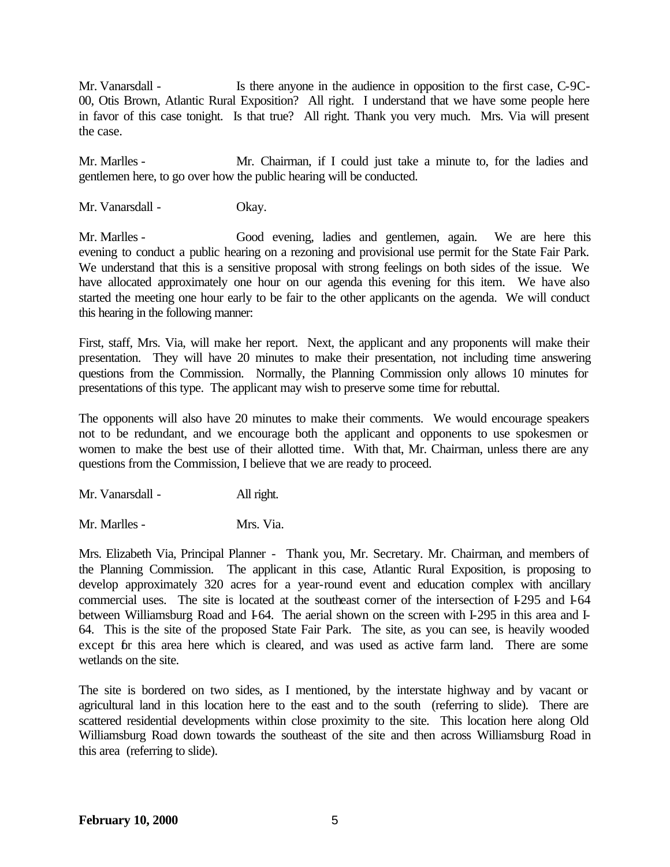Mr. Vanarsdall - Is there anyone in the audience in opposition to the first case, C-9C-00, Otis Brown, Atlantic Rural Exposition? All right. I understand that we have some people here in favor of this case tonight. Is that true? All right. Thank you very much. Mrs. Via will present the case.

Mr. Marlles - Mr. Chairman, if I could just take a minute to, for the ladies and gentlemen here, to go over how the public hearing will be conducted.

Mr. Vanarsdall - Okay.

Mr. Marlles - Good evening, ladies and gentlemen, again. We are here this evening to conduct a public hearing on a rezoning and provisional use permit for the State Fair Park. We understand that this is a sensitive proposal with strong feelings on both sides of the issue. We have allocated approximately one hour on our agenda this evening for this item. We have also started the meeting one hour early to be fair to the other applicants on the agenda. We will conduct this hearing in the following manner:

First, staff, Mrs. Via, will make her report. Next, the applicant and any proponents will make their presentation. They will have 20 minutes to make their presentation, not including time answering questions from the Commission. Normally, the Planning Commission only allows 10 minutes for presentations of this type. The applicant may wish to preserve some time for rebuttal.

The opponents will also have 20 minutes to make their comments. We would encourage speakers not to be redundant, and we encourage both the applicant and opponents to use spokesmen or women to make the best use of their allotted time. With that, Mr. Chairman, unless there are any questions from the Commission, I believe that we are ready to proceed.

Mr. Vanarsdall - All right.

Mr. Marlles - Mrs. Via.

Mrs. Elizabeth Via, Principal Planner - Thank you, Mr. Secretary. Mr. Chairman, and members of the Planning Commission. The applicant in this case, Atlantic Rural Exposition, is proposing to develop approximately 320 acres for a year-round event and education complex with ancillary commercial uses. The site is located at the southeast corner of the intersection of I-295 and I-64 between Williamsburg Road and 1-64. The aerial shown on the screen with I-295 in this area and I-64. This is the site of the proposed State Fair Park. The site, as you can see, is heavily wooded except for this area here which is cleared, and was used as active farm land. There are some wetlands on the site.

The site is bordered on two sides, as I mentioned, by the interstate highway and by vacant or agricultural land in this location here to the east and to the south (referring to slide). There are scattered residential developments within close proximity to the site. This location here along Old Williamsburg Road down towards the southeast of the site and then across Williamsburg Road in this area (referring to slide).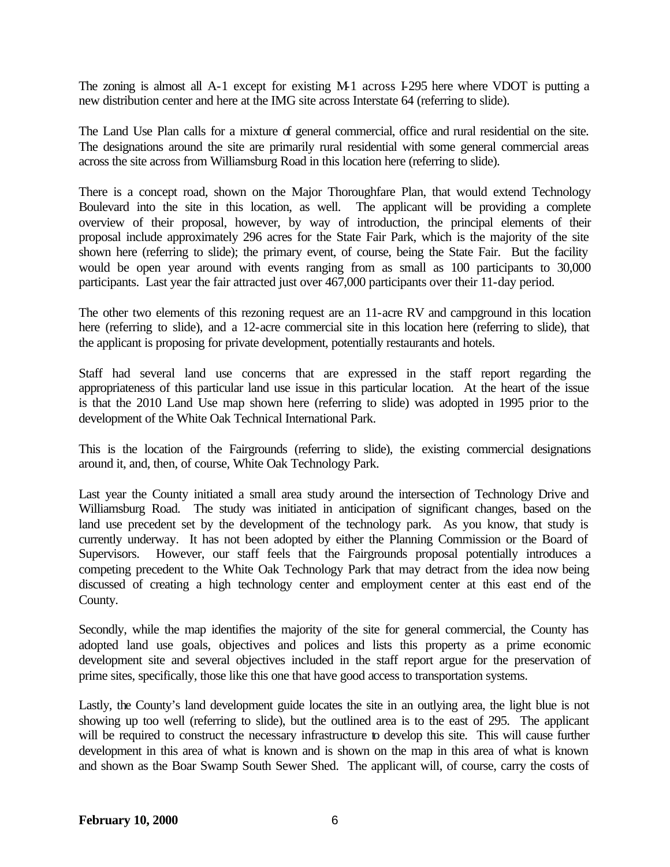The zoning is almost all A-1 except for existing M-1 across I-295 here where VDOT is putting a new distribution center and here at the IMG site across Interstate 64 (referring to slide).

The Land Use Plan calls for a mixture of general commercial, office and rural residential on the site. The designations around the site are primarily rural residential with some general commercial areas across the site across from Williamsburg Road in this location here (referring to slide).

There is a concept road, shown on the Major Thoroughfare Plan, that would extend Technology Boulevard into the site in this location, as well. The applicant will be providing a complete overview of their proposal, however, by way of introduction, the principal elements of their proposal include approximately 296 acres for the State Fair Park, which is the majority of the site shown here (referring to slide); the primary event, of course, being the State Fair. But the facility would be open year around with events ranging from as small as 100 participants to 30,000 participants. Last year the fair attracted just over 467,000 participants over their 11-day period.

The other two elements of this rezoning request are an 11-acre RV and campground in this location here (referring to slide), and a 12-acre commercial site in this location here (referring to slide), that the applicant is proposing for private development, potentially restaurants and hotels.

Staff had several land use concerns that are expressed in the staff report regarding the appropriateness of this particular land use issue in this particular location. At the heart of the issue is that the 2010 Land Use map shown here (referring to slide) was adopted in 1995 prior to the development of the White Oak Technical International Park.

This is the location of the Fairgrounds (referring to slide), the existing commercial designations around it, and, then, of course, White Oak Technology Park.

Last year the County initiated a small area study around the intersection of Technology Drive and Williamsburg Road. The study was initiated in anticipation of significant changes, based on the land use precedent set by the development of the technology park. As you know, that study is currently underway. It has not been adopted by either the Planning Commission or the Board of Supervisors. However, our staff feels that the Fairgrounds proposal potentially introduces a competing precedent to the White Oak Technology Park that may detract from the idea now being discussed of creating a high technology center and employment center at this east end of the County.

Secondly, while the map identifies the majority of the site for general commercial, the County has adopted land use goals, objectives and polices and lists this property as a prime economic development site and several objectives included in the staff report argue for the preservation of prime sites, specifically, those like this one that have good access to transportation systems.

Lastly, the County's land development guide locates the site in an outlying area, the light blue is not showing up too well (referring to slide), but the outlined area is to the east of 295. The applicant will be required to construct the necessary infrastructure to develop this site. This will cause further development in this area of what is known and is shown on the map in this area of what is known and shown as the Boar Swamp South Sewer Shed. The applicant will, of course, carry the costs of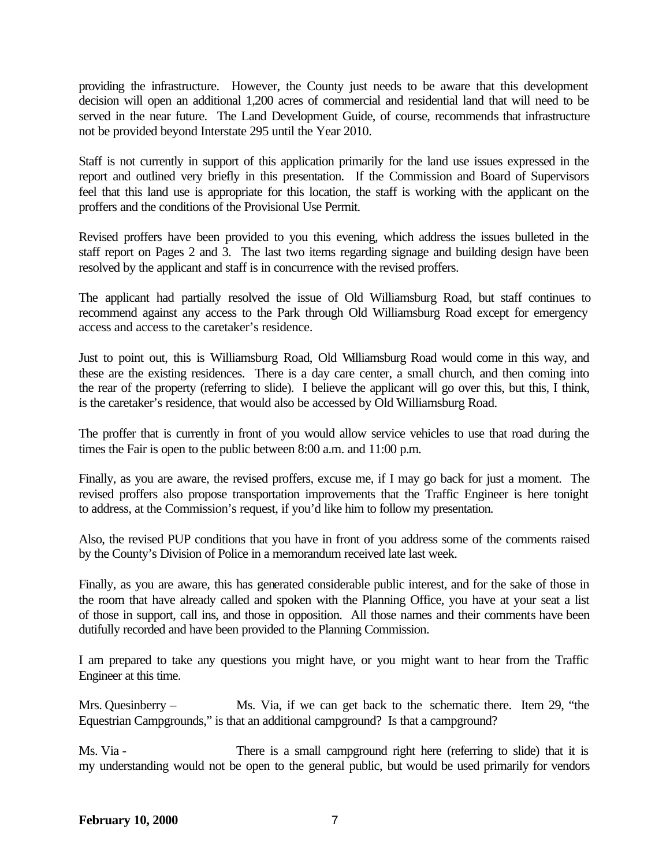providing the infrastructure. However, the County just needs to be aware that this development decision will open an additional 1,200 acres of commercial and residential land that will need to be served in the near future. The Land Development Guide, of course, recommends that infrastructure not be provided beyond Interstate 295 until the Year 2010.

Staff is not currently in support of this application primarily for the land use issues expressed in the report and outlined very briefly in this presentation. If the Commission and Board of Supervisors feel that this land use is appropriate for this location, the staff is working with the applicant on the proffers and the conditions of the Provisional Use Permit.

Revised proffers have been provided to you this evening, which address the issues bulleted in the staff report on Pages 2 and 3. The last two items regarding signage and building design have been resolved by the applicant and staff is in concurrence with the revised proffers.

The applicant had partially resolved the issue of Old Williamsburg Road, but staff continues to recommend against any access to the Park through Old Williamsburg Road except for emergency access and access to the caretaker's residence.

Just to point out, this is Williamsburg Road, Old Williamsburg Road would come in this way, and these are the existing residences. There is a day care center, a small church, and then coming into the rear of the property (referring to slide). I believe the applicant will go over this, but this, I think, is the caretaker's residence, that would also be accessed by Old Williamsburg Road.

The proffer that is currently in front of you would allow service vehicles to use that road during the times the Fair is open to the public between 8:00 a.m. and 11:00 p.m.

Finally, as you are aware, the revised proffers, excuse me, if I may go back for just a moment. The revised proffers also propose transportation improvements that the Traffic Engineer is here tonight to address, at the Commission's request, if you'd like him to follow my presentation.

Also, the revised PUP conditions that you have in front of you address some of the comments raised by the County's Division of Police in a memorandum received late last week.

Finally, as you are aware, this has generated considerable public interest, and for the sake of those in the room that have already called and spoken with the Planning Office, you have at your seat a list of those in support, call ins, and those in opposition. All those names and their comments have been dutifully recorded and have been provided to the Planning Commission.

I am prepared to take any questions you might have, or you might want to hear from the Traffic Engineer at this time.

Mrs. Quesinberry – Ms. Via, if we can get back to the schematic there. Item 29, "the Equestrian Campgrounds," is that an additional campground? Is that a campground?

Ms. Via - There is a small campground right here (referring to slide) that it is my understanding would not be open to the general public, but would be used primarily for vendors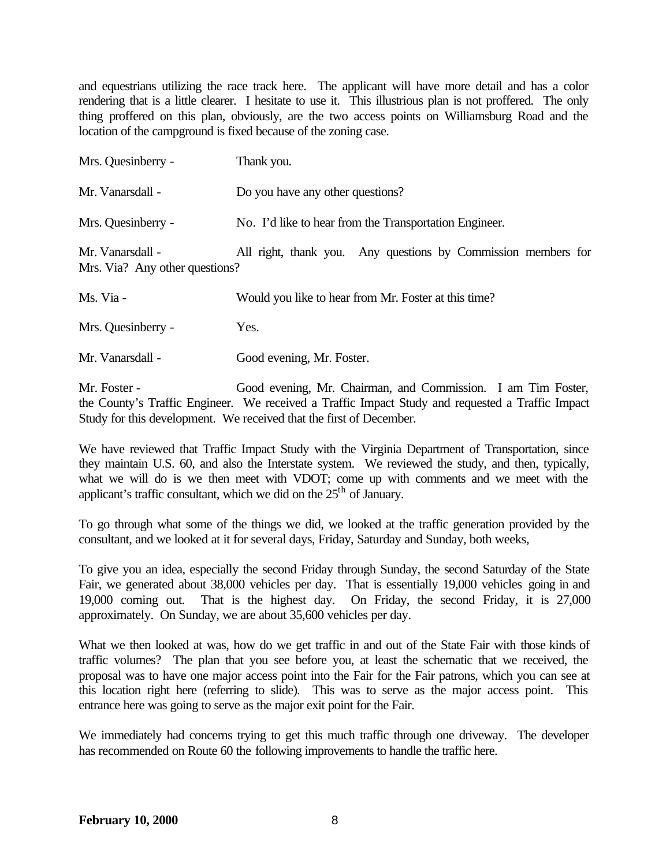and equestrians utilizing the race track here. The applicant will have more detail and has a color rendering that is a little clearer. I hesitate to use it. This illustrious plan is not proffered. The only thing proffered on this plan, obviously, are the two access points on Williamsburg Road and the location of the campground is fixed because of the zoning case.

| Mrs. Quesinberry -                                 | Thank you.                                                    |
|----------------------------------------------------|---------------------------------------------------------------|
| Mr. Vanarsdall -                                   | Do you have any other questions?                              |
| Mrs. Quesinberry -                                 | No. I'd like to hear from the Transportation Engineer.        |
| Mr. Vanarsdall -<br>Mrs. Via? Any other questions? | All right, thank you. Any questions by Commission members for |
| Ms. Via -                                          | Would you like to hear from Mr. Foster at this time?          |
| Mrs. Quesinberry -                                 | Yes.                                                          |

Mr. Vanarsdall - Good evening, Mr. Foster.

Mr. Foster - Good evening, Mr. Chairman, and Commission. I am Tim Foster, the County's Traffic Engineer. We received a Traffic Impact Study and requested a Traffic Impact Study for this development. We received that the first of December.

We have reviewed that Traffic Impact Study with the Virginia Department of Transportation, since they maintain U.S. 60, and also the Interstate system. We reviewed the study, and then, typically, what we will do is we then meet with VDOT; come up with comments and we meet with the applicant's traffic consultant, which we did on the  $25<sup>th</sup>$  of January.

To go through what some of the things we did, we looked at the traffic generation provided by the consultant, and we looked at it for several days, Friday, Saturday and Sunday, both weeks,

To give you an idea, especially the second Friday through Sunday, the second Saturday of the State Fair, we generated about 38,000 vehicles per day. That is essentially 19,000 vehicles going in and 19,000 coming out. That is the highest day. On Friday, the second Friday, it is 27,000 approximately. On Sunday, we are about 35,600 vehicles per day.

What we then looked at was, how do we get traffic in and out of the State Fair with those kinds of traffic volumes? The plan that you see before you, at least the schematic that we received, the proposal was to have one major access point into the Fair for the Fair patrons, which you can see at this location right here (referring to slide). This was to serve as the major access point. This entrance here was going to serve as the major exit point for the Fair.

We immediately had concerns trying to get this much traffic through one driveway. The developer has recommended on Route 60 the following improvements to handle the traffic here.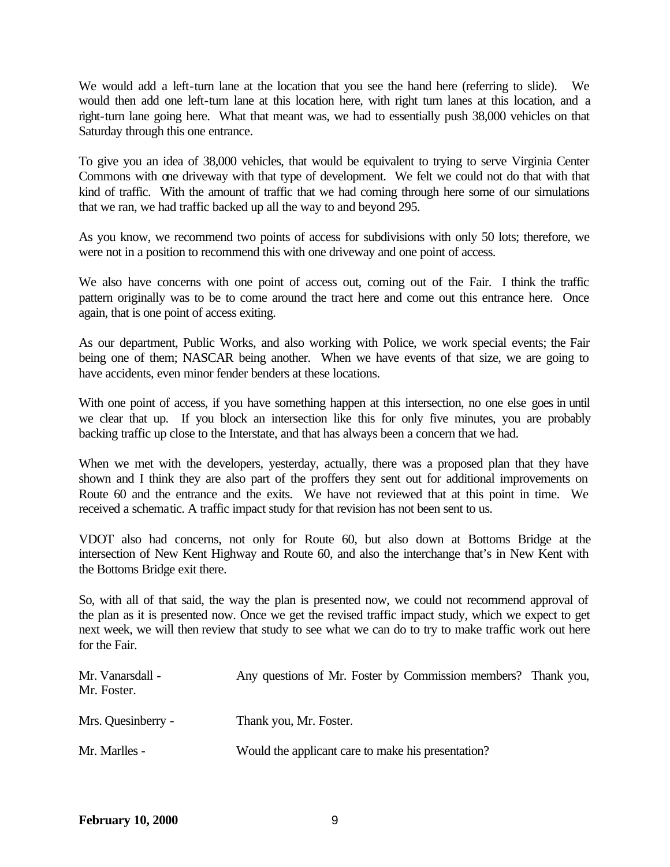We would add a left-turn lane at the location that you see the hand here (referring to slide). We would then add one left-turn lane at this location here, with right turn lanes at this location, and a right-turn lane going here. What that meant was, we had to essentially push 38,000 vehicles on that Saturday through this one entrance.

To give you an idea of 38,000 vehicles, that would be equivalent to trying to serve Virginia Center Commons with one driveway with that type of development. We felt we could not do that with that kind of traffic. With the amount of traffic that we had coming through here some of our simulations that we ran, we had traffic backed up all the way to and beyond 295.

As you know, we recommend two points of access for subdivisions with only 50 lots; therefore, we were not in a position to recommend this with one driveway and one point of access.

We also have concerns with one point of access out, coming out of the Fair. I think the traffic pattern originally was to be to come around the tract here and come out this entrance here. Once again, that is one point of access exiting.

As our department, Public Works, and also working with Police, we work special events; the Fair being one of them; NASCAR being another. When we have events of that size, we are going to have accidents, even minor fender benders at these locations.

With one point of access, if you have something happen at this intersection, no one else goes in until we clear that up. If you block an intersection like this for only five minutes, you are probably backing traffic up close to the Interstate, and that has always been a concern that we had.

When we met with the developers, yesterday, actually, there was a proposed plan that they have shown and I think they are also part of the proffers they sent out for additional improvements on Route 60 and the entrance and the exits. We have not reviewed that at this point in time. We received a schematic. A traffic impact study for that revision has not been sent to us.

VDOT also had concerns, not only for Route 60, but also down at Bottoms Bridge at the intersection of New Kent Highway and Route 60, and also the interchange that's in New Kent with the Bottoms Bridge exit there.

So, with all of that said, the way the plan is presented now, we could not recommend approval of the plan as it is presented now. Once we get the revised traffic impact study, which we expect to get next week, we will then review that study to see what we can do to try to make traffic work out here for the Fair.

| Mr. Vanarsdall -<br>Mr. Foster. | Any questions of Mr. Foster by Commission members? Thank you, |  |
|---------------------------------|---------------------------------------------------------------|--|
| Mrs. Quesinberry -              | Thank you, Mr. Foster.                                        |  |
| Mr. Marlles -                   | Would the applicant care to make his presentation?            |  |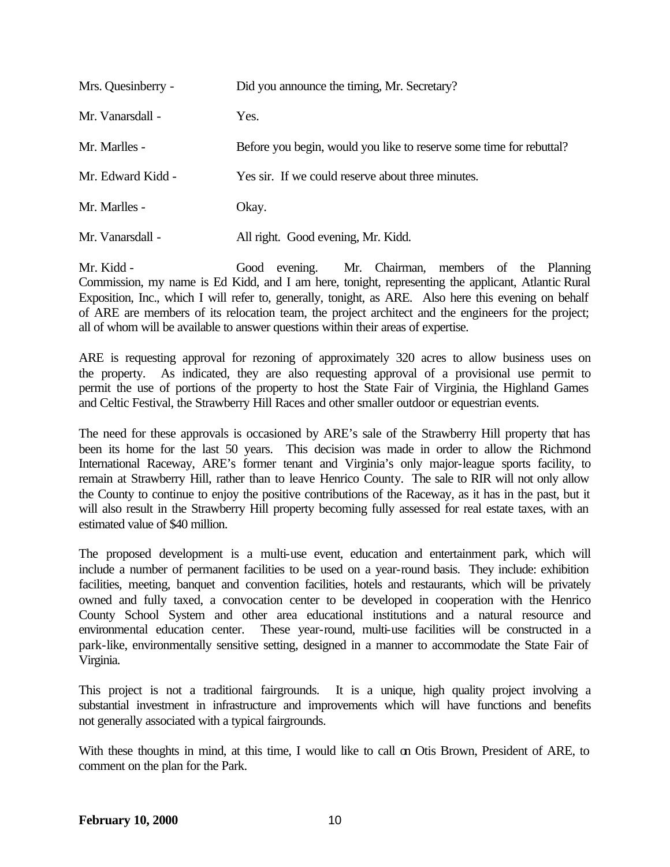| Mrs. Quesinberry - | Did you announce the timing, Mr. Secretary?                         |
|--------------------|---------------------------------------------------------------------|
| Mr. Vanarsdall -   | Yes.                                                                |
| Mr. Marlles -      | Before you begin, would you like to reserve some time for rebuttal? |
| Mr. Edward Kidd -  | Yes sir. If we could reserve about three minutes.                   |
| Mr. Marlles -      | Okay.                                                               |
| Mr. Vanarsdall -   | All right. Good evening, Mr. Kidd.                                  |

Mr. Kidd - Good evening. Mr. Chairman, members of the Planning Commission, my name is Ed Kidd, and I am here, tonight, representing the applicant, Atlantic Rural Exposition, Inc., which I will refer to, generally, tonight, as ARE. Also here this evening on behalf of ARE are members of its relocation team, the project architect and the engineers for the project; all of whom will be available to answer questions within their areas of expertise.

ARE is requesting approval for rezoning of approximately 320 acres to allow business uses on the property. As indicated, they are also requesting approval of a provisional use permit to permit the use of portions of the property to host the State Fair of Virginia, the Highland Games and Celtic Festival, the Strawberry Hill Races and other smaller outdoor or equestrian events.

The need for these approvals is occasioned by ARE's sale of the Strawberry Hill property that has been its home for the last 50 years. This decision was made in order to allow the Richmond International Raceway, ARE's former tenant and Virginia's only major-league sports facility, to remain at Strawberry Hill, rather than to leave Henrico County. The sale to RIR will not only allow the County to continue to enjoy the positive contributions of the Raceway, as it has in the past, but it will also result in the Strawberry Hill property becoming fully assessed for real estate taxes, with an estimated value of \$40 million.

The proposed development is a multi-use event, education and entertainment park, which will include a number of permanent facilities to be used on a year-round basis. They include: exhibition facilities, meeting, banquet and convention facilities, hotels and restaurants, which will be privately owned and fully taxed, a convocation center to be developed in cooperation with the Henrico County School System and other area educational institutions and a natural resource and environmental education center. These year-round, multi-use facilities will be constructed in a park-like, environmentally sensitive setting, designed in a manner to accommodate the State Fair of Virginia.

This project is not a traditional fairgrounds. It is a unique, high quality project involving a substantial investment in infrastructure and improvements which will have functions and benefits not generally associated with a typical fairgrounds.

With these thoughts in mind, at this time, I would like to call on Otis Brown, President of ARE, to comment on the plan for the Park.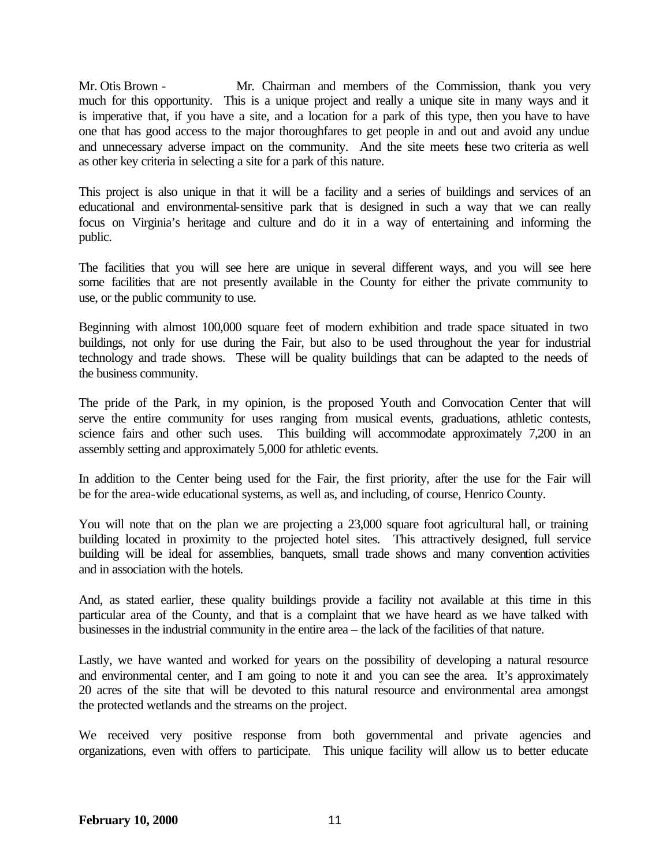Mr. Otis Brown - Mr. Chairman and members of the Commission, thank you very much for this opportunity. This is a unique project and really a unique site in many ways and it is imperative that, if you have a site, and a location for a park of this type, then you have to have one that has good access to the major thoroughfares to get people in and out and avoid any undue and unnecessary adverse impact on the community. And the site meets hese two criteria as well as other key criteria in selecting a site for a park of this nature.

This project is also unique in that it will be a facility and a series of buildings and services of an educational and environmental-sensitive park that is designed in such a way that we can really focus on Virginia's heritage and culture and do it in a way of entertaining and informing the public.

The facilities that you will see here are unique in several different ways, and you will see here some facilities that are not presently available in the County for either the private community to use, or the public community to use.

Beginning with almost 100,000 square feet of modern exhibition and trade space situated in two buildings, not only for use during the Fair, but also to be used throughout the year for industrial technology and trade shows. These will be quality buildings that can be adapted to the needs of the business community.

The pride of the Park, in my opinion, is the proposed Youth and Convocation Center that will serve the entire community for uses ranging from musical events, graduations, athletic contests, science fairs and other such uses.This building will accommodate approximately 7,200 in an assembly setting and approximately 5,000 for athletic events.

In addition to the Center being used for the Fair, the first priority, after the use for the Fair will be for the area-wide educational systems, as well as, and including, of course, Henrico County.

You will note that on the plan we are projecting a 23,000 square foot agricultural hall, or training building located in proximity to the projected hotel sites. This attractively designed, full service building will be ideal for assemblies, banquets, small trade shows and many convention activities and in association with the hotels.

And, as stated earlier, these quality buildings provide a facility not available at this time in this particular area of the County, and that is a complaint that we have heard as we have talked with businesses in the industrial community in the entire area – the lack of the facilities of that nature.

Lastly, we have wanted and worked for years on the possibility of developing a natural resource and environmental center, and I am going to note it and you can see the area. It's approximately 20 acres of the site that will be devoted to this natural resource and environmental area amongst the protected wetlands and the streams on the project.

We received very positive response from both governmental and private agencies and organizations, even with offers to participate. This unique facility will allow us to better educate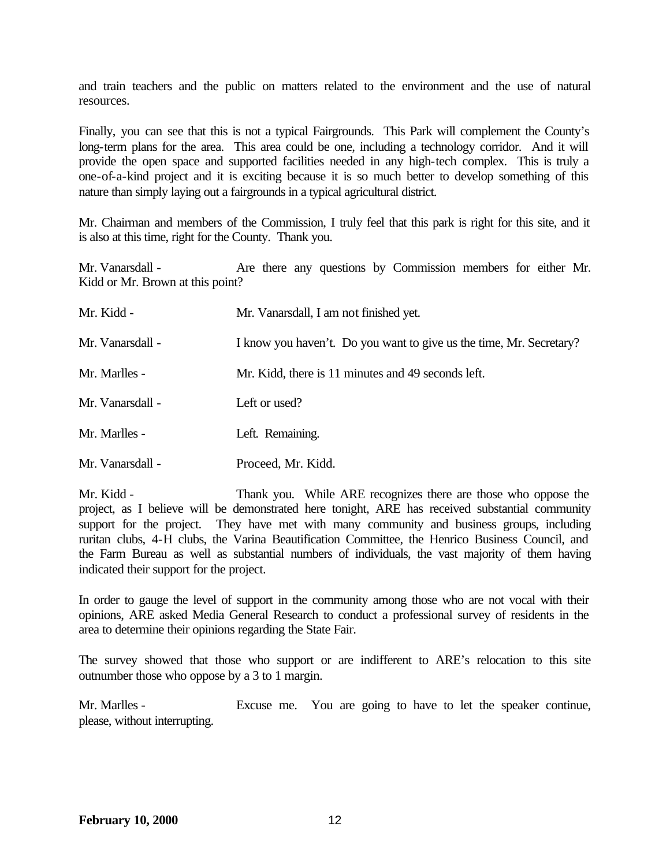and train teachers and the public on matters related to the environment and the use of natural resources.

Finally, you can see that this is not a typical Fairgrounds. This Park will complement the County's long-term plans for the area. This area could be one, including a technology corridor. And it will provide the open space and supported facilities needed in any high-tech complex. This is truly a one-of-a-kind project and it is exciting because it is so much better to develop something of this nature than simply laying out a fairgrounds in a typical agricultural district.

Mr. Chairman and members of the Commission, I truly feel that this park is right for this site, and it is also at this time, right for the County. Thank you.

Mr. Vanarsdall - Are there any questions by Commission members for either Mr. Kidd or Mr. Brown at this point?

| Mr. Kidd -       | Mr. Vanarsdall, I am not finished yet.                              |
|------------------|---------------------------------------------------------------------|
| Mr. Vanarsdall - | I know you haven't. Do you want to give us the time, Mr. Secretary? |
| Mr. Marlles -    | Mr. Kidd, there is 11 minutes and 49 seconds left.                  |
| Mr. Vanarsdall - | Left or used?                                                       |
| Mr. Marlles -    | Left. Remaining.                                                    |
| Mr. Vanarsdall - | Proceed, Mr. Kidd.                                                  |

Mr. Kidd - Thank you. While ARE recognizes there are those who oppose the project, as I believe will be demonstrated here tonight, ARE has received substantial community support for the project. They have met with many community and business groups, including ruritan clubs, 4-H clubs, the Varina Beautification Committee, the Henrico Business Council, and the Farm Bureau as well as substantial numbers of individuals, the vast majority of them having indicated their support for the project.

In order to gauge the level of support in the community among those who are not vocal with their opinions, ARE asked Media General Research to conduct a professional survey of residents in the area to determine their opinions regarding the State Fair.

The survey showed that those who support or are indifferent to ARE's relocation to this site outnumber those who oppose by a 3 to 1 margin.

Mr. Marlles - Excuse me. You are going to have to let the speaker continue, please, without interrupting.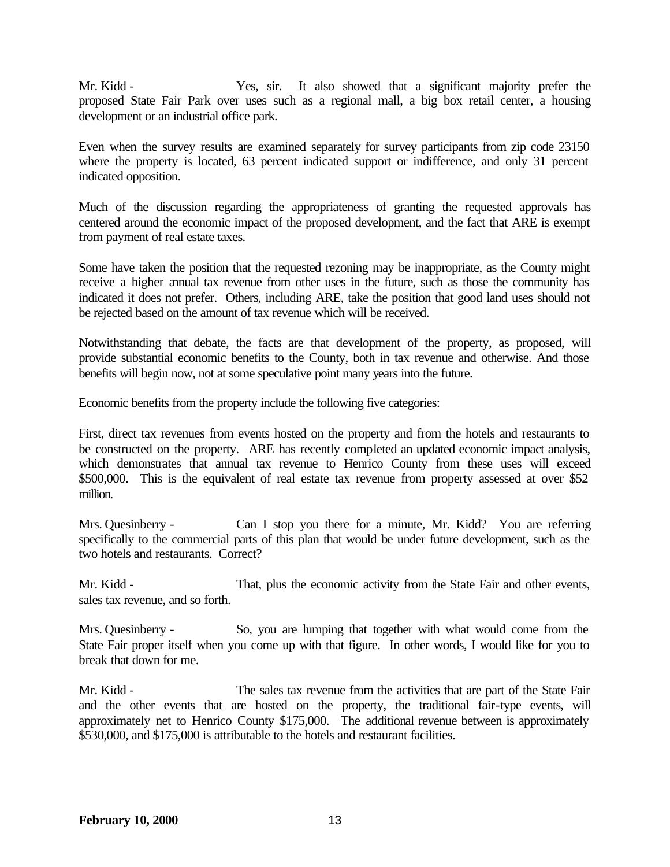Mr. Kidd - Yes, sir. It also showed that a significant majority prefer the proposed State Fair Park over uses such as a regional mall, a big box retail center, a housing development or an industrial office park.

Even when the survey results are examined separately for survey participants from zip code 23150 where the property is located, 63 percent indicated support or indifference, and only 31 percent indicated opposition.

Much of the discussion regarding the appropriateness of granting the requested approvals has centered around the economic impact of the proposed development, and the fact that ARE is exempt from payment of real estate taxes.

Some have taken the position that the requested rezoning may be inappropriate, as the County might receive a higher annual tax revenue from other uses in the future, such as those the community has indicated it does not prefer. Others, including ARE, take the position that good land uses should not be rejected based on the amount of tax revenue which will be received.

Notwithstanding that debate, the facts are that development of the property, as proposed, will provide substantial economic benefits to the County, both in tax revenue and otherwise. And those benefits will begin now, not at some speculative point many years into the future.

Economic benefits from the property include the following five categories:

First, direct tax revenues from events hosted on the property and from the hotels and restaurants to be constructed on the property. ARE has recently completed an updated economic impact analysis, which demonstrates that annual tax revenue to Henrico County from these uses will exceed \$500,000. This is the equivalent of real estate tax revenue from property assessed at over \$52 million.

Mrs. Quesinberry - Can I stop you there for a minute, Mr. Kidd? You are referring specifically to the commercial parts of this plan that would be under future development, such as the two hotels and restaurants. Correct?

Mr. Kidd - That, plus the economic activity from the State Fair and other events, sales tax revenue, and so forth.

Mrs. Quesinberry - So, you are lumping that together with what would come from the State Fair proper itself when you come up with that figure. In other words, I would like for you to break that down for me.

Mr. Kidd - The sales tax revenue from the activities that are part of the State Fair and the other events that are hosted on the property, the traditional fair-type events, will approximately net to Henrico County \$175,000. The additional revenue between is approximately \$530,000, and \$175,000 is attributable to the hotels and restaurant facilities.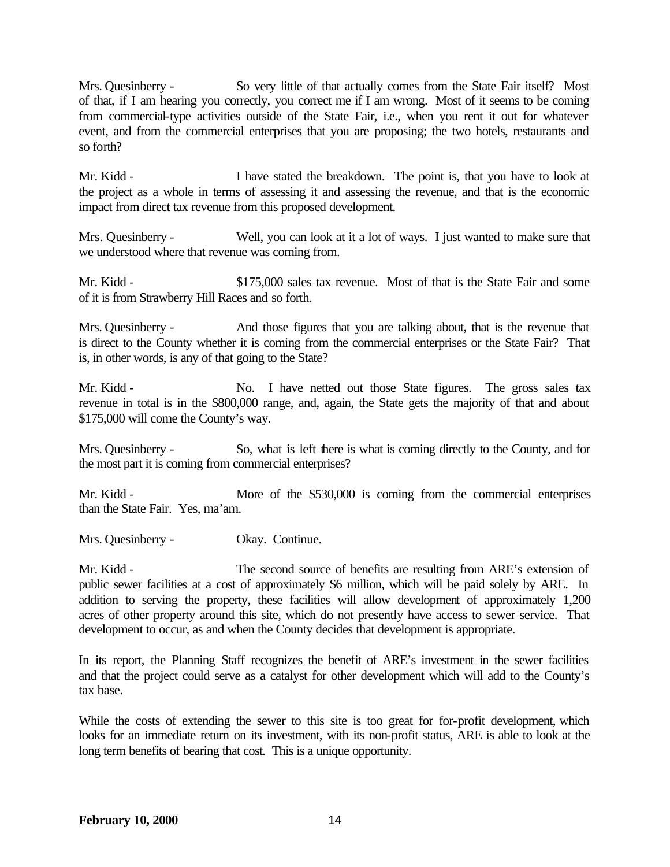Mrs. Quesinberry - So very little of that actually comes from the State Fair itself? Most of that, if I am hearing you correctly, you correct me if I am wrong. Most of it seems to be coming from commercial-type activities outside of the State Fair, i.e., when you rent it out for whatever event, and from the commercial enterprises that you are proposing; the two hotels, restaurants and so forth?

Mr. Kidd - I have stated the breakdown. The point is, that you have to look at the project as a whole in terms of assessing it and assessing the revenue, and that is the economic impact from direct tax revenue from this proposed development.

Mrs. Quesinberry - Well, you can look at it a lot of ways. I just wanted to make sure that we understood where that revenue was coming from.

Mr. Kidd - \$175,000 sales tax revenue. Most of that is the State Fair and some of it is from Strawberry Hill Races and so forth.

Mrs. Quesinberry - And those figures that you are talking about, that is the revenue that is direct to the County whether it is coming from the commercial enterprises or the State Fair? That is, in other words, is any of that going to the State?

Mr. Kidd - No. I have netted out those State figures. The gross sales tax revenue in total is in the \$800,000 range, and, again, the State gets the majority of that and about \$175,000 will come the County's way.

Mrs. Quesinberry - So, what is left there is what is coming directly to the County, and for the most part it is coming from commercial enterprises?

Mr. Kidd - More of the \$530,000 is coming from the commercial enterprises than the State Fair. Yes, ma'am.

Mrs. Quesinberry - Okay. Continue.

Mr. Kidd - The second source of benefits are resulting from ARE's extension of public sewer facilities at a cost of approximately \$6 million, which will be paid solely by ARE. In addition to serving the property, these facilities will allow development of approximately 1,200 acres of other property around this site, which do not presently have access to sewer service. That development to occur, as and when the County decides that development is appropriate.

In its report, the Planning Staff recognizes the benefit of ARE's investment in the sewer facilities and that the project could serve as a catalyst for other development which will add to the County's tax base.

While the costs of extending the sewer to this site is too great for for-profit development, which looks for an immediate return on its investment, with its non-profit status, ARE is able to look at the long term benefits of bearing that cost. This is a unique opportunity.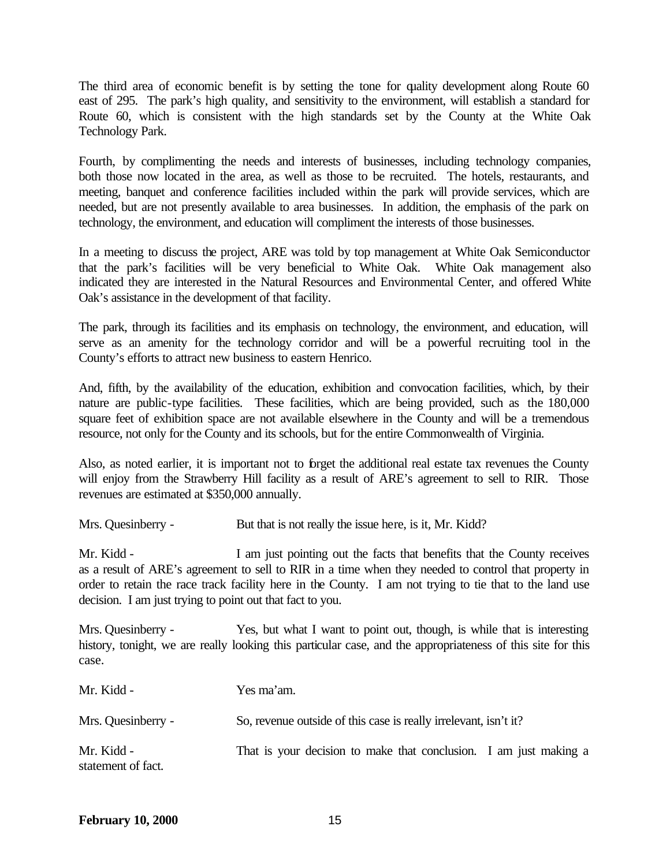The third area of economic benefit is by setting the tone for quality development along Route 60 east of 295. The park's high quality, and sensitivity to the environment, will establish a standard for Route 60, which is consistent with the high standards set by the County at the White Oak Technology Park.

Fourth, by complimenting the needs and interests of businesses, including technology companies, both those now located in the area, as well as those to be recruited. The hotels, restaurants, and meeting, banquet and conference facilities included within the park will provide services, which are needed, but are not presently available to area businesses. In addition, the emphasis of the park on technology, the environment, and education will compliment the interests of those businesses.

In a meeting to discuss the project, ARE was told by top management at White Oak Semiconductor that the park's facilities will be very beneficial to White Oak. White Oak management also indicated they are interested in the Natural Resources and Environmental Center, and offered White Oak's assistance in the development of that facility.

The park, through its facilities and its emphasis on technology, the environment, and education, will serve as an amenity for the technology corridor and will be a powerful recruiting tool in the County's efforts to attract new business to eastern Henrico.

And, fifth, by the availability of the education, exhibition and convocation facilities, which, by their nature are public-type facilities. These facilities, which are being provided, such as the 180,000 square feet of exhibition space are not available elsewhere in the County and will be a tremendous resource, not only for the County and its schools, but for the entire Commonwealth of Virginia.

Also, as noted earlier, it is important not to forget the additional real estate tax revenues the County will enjoy from the Strawberry Hill facility as a result of ARE's agreement to sell to RIR. Those revenues are estimated at \$350,000 annually.

Mrs. Quesinberry - But that is not really the issue here, is it, Mr. Kidd?

Mr. Kidd - I am just pointing out the facts that benefits that the County receives as a result of ARE's agreement to sell to RIR in a time when they needed to control that property in order to retain the race track facility here in the County. I am not trying to tie that to the land use decision. I am just trying to point out that fact to you.

Mrs. Quesinberry - Yes, but what I want to point out, though, is while that is interesting history, tonight, we are really looking this particular case, and the appropriateness of this site for this case.

| Mr. Kidd -                       | Yes ma'am.                                                        |  |
|----------------------------------|-------------------------------------------------------------------|--|
| Mrs. Quesinberry -               | So, revenue outside of this case is really irrelevant, isn't it?  |  |
| Mr. Kidd -<br>statement of fact. | That is your decision to make that conclusion. I am just making a |  |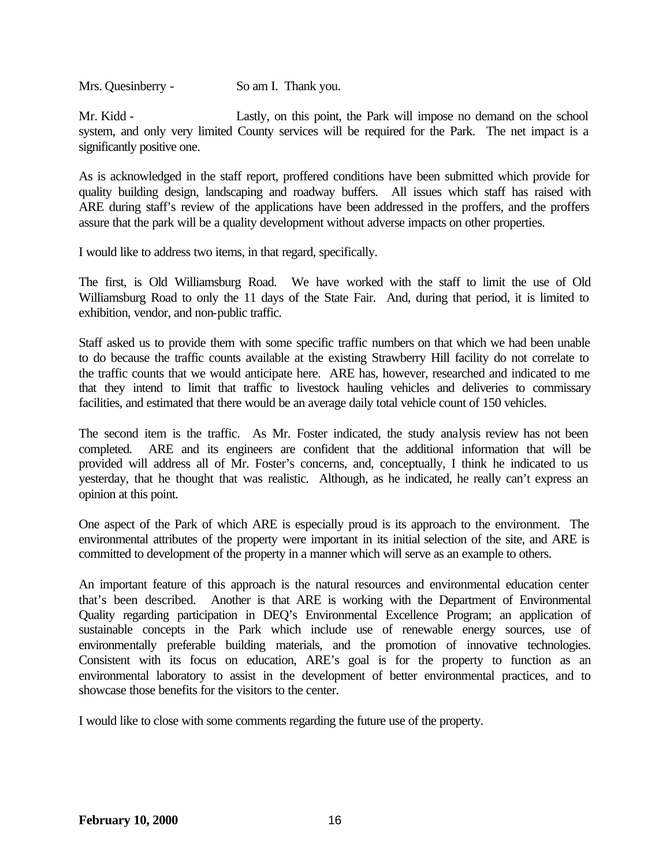Mrs. Quesinberry - So am I. Thank you.

Mr. Kidd - Lastly, on this point, the Park will impose no demand on the school system, and only very limited County services will be required for the Park. The net impact is a significantly positive one.

As is acknowledged in the staff report, proffered conditions have been submitted which provide for quality building design, landscaping and roadway buffers. All issues which staff has raised with ARE during staff's review of the applications have been addressed in the proffers, and the proffers assure that the park will be a quality development without adverse impacts on other properties.

I would like to address two items, in that regard, specifically.

The first, is Old Williamsburg Road. We have worked with the staff to limit the use of Old Williamsburg Road to only the 11 days of the State Fair. And, during that period, it is limited to exhibition, vendor, and non-public traffic.

Staff asked us to provide them with some specific traffic numbers on that which we had been unable to do because the traffic counts available at the existing Strawberry Hill facility do not correlate to the traffic counts that we would anticipate here. ARE has, however, researched and indicated to me that they intend to limit that traffic to livestock hauling vehicles and deliveries to commissary facilities, and estimated that there would be an average daily total vehicle count of 150 vehicles.

The second item is the traffic. As Mr. Foster indicated, the study analysis review has not been completed. ARE and its engineers are confident that the additional information that will be provided will address all of Mr. Foster's concerns, and, conceptually, I think he indicated to us yesterday, that he thought that was realistic. Although, as he indicated, he really can't express an opinion at this point.

One aspect of the Park of which ARE is especially proud is its approach to the environment. The environmental attributes of the property were important in its initial selection of the site, and ARE is committed to development of the property in a manner which will serve as an example to others.

An important feature of this approach is the natural resources and environmental education center that's been described. Another is that ARE is working with the Department of Environmental Quality regarding participation in DEQ's Environmental Excellence Program; an application of sustainable concepts in the Park which include use of renewable energy sources, use of environmentally preferable building materials, and the promotion of innovative technologies. Consistent with its focus on education, ARE's goal is for the property to function as an environmental laboratory to assist in the development of better environmental practices, and to showcase those benefits for the visitors to the center.

I would like to close with some comments regarding the future use of the property.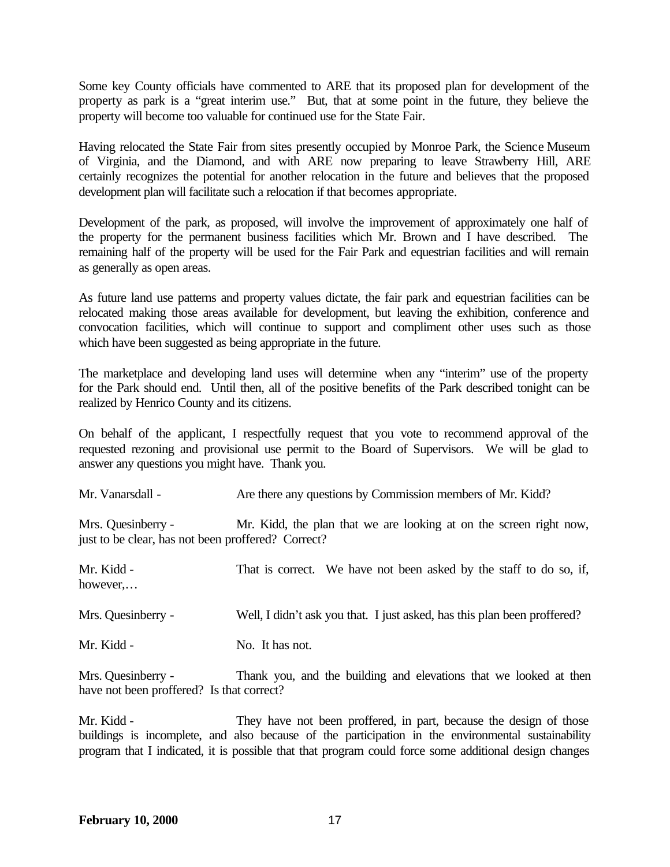Some key County officials have commented to ARE that its proposed plan for development of the property as park is a "great interim use." But, that at some point in the future, they believe the property will become too valuable for continued use for the State Fair.

Having relocated the State Fair from sites presently occupied by Monroe Park, the Science Museum of Virginia, and the Diamond, and with ARE now preparing to leave Strawberry Hill, ARE certainly recognizes the potential for another relocation in the future and believes that the proposed development plan will facilitate such a relocation if that becomes appropriate.

Development of the park, as proposed, will involve the improvement of approximately one half of the property for the permanent business facilities which Mr. Brown and I have described. The remaining half of the property will be used for the Fair Park and equestrian facilities and will remain as generally as open areas.

As future land use patterns and property values dictate, the fair park and equestrian facilities can be relocated making those areas available for development, but leaving the exhibition, conference and convocation facilities, which will continue to support and compliment other uses such as those which have been suggested as being appropriate in the future.

The marketplace and developing land uses will determine when any "interim" use of the property for the Park should end. Until then, all of the positive benefits of the Park described tonight can be realized by Henrico County and its citizens.

On behalf of the applicant, I respectfully request that you vote to recommend approval of the requested rezoning and provisional use permit to the Board of Supervisors. We will be glad to answer any questions you might have. Thank you.

| Mr. Vanarsdall -                                                         | Are there any questions by Commission members of Mr. Kidd?               |
|--------------------------------------------------------------------------|--------------------------------------------------------------------------|
| Mrs. Quesinberry -<br>just to be clear, has not been proffered? Correct? | Mr. Kidd, the plan that we are looking at on the screen right now,       |
| Mr. Kidd -<br>however,                                                   | That is correct. We have not been asked by the staff to do so, if,       |
| Mrs. Quesinberry -                                                       | Well, I didn't ask you that. I just asked, has this plan been proffered? |
| Mr. Kidd -                                                               | No. It has not.                                                          |

Mrs. Quesinberry - Thank you, and the building and elevations that we looked at then have not been proffered? Is that correct?

Mr. Kidd - They have not been proffered, in part, because the design of those buildings is incomplete, and also because of the participation in the environmental sustainability program that I indicated, it is possible that that program could force some additional design changes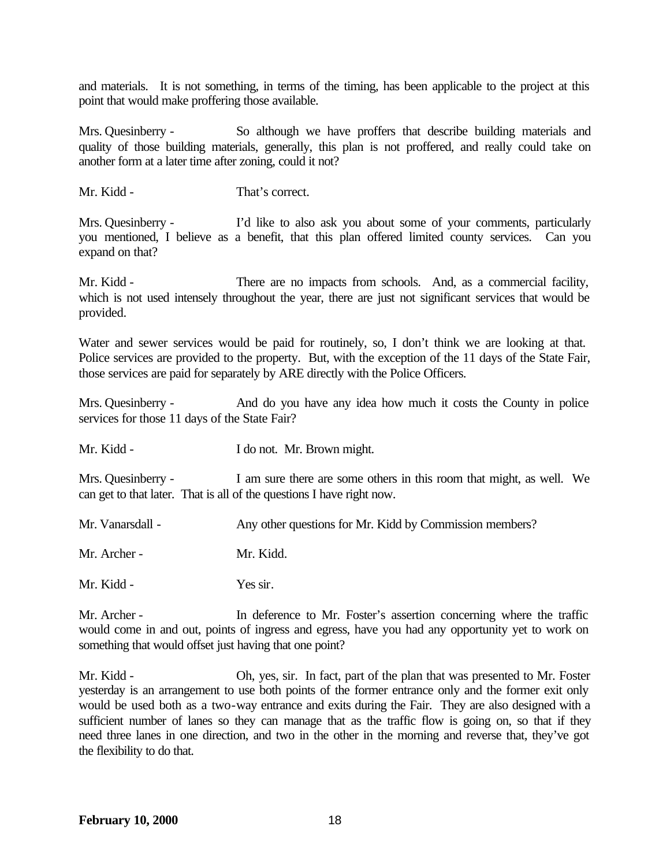and materials. It is not something, in terms of the timing, has been applicable to the project at this point that would make proffering those available.

Mrs. Quesinberry - So although we have proffers that describe building materials and quality of those building materials, generally, this plan is not proffered, and really could take on another form at a later time after zoning, could it not?

Mr. Kidd - That's correct.

Mrs. Quesinberry - I'd like to also ask you about some of your comments, particularly you mentioned, I believe as a benefit, that this plan offered limited county services. Can you expand on that?

Mr. Kidd - There are no impacts from schools. And, as a commercial facility, which is not used intensely throughout the year, there are just not significant services that would be provided.

Water and sewer services would be paid for routinely, so, I don't think we are looking at that. Police services are provided to the property. But, with the exception of the 11 days of the State Fair, those services are paid for separately by ARE directly with the Police Officers.

Mrs. Quesinberry - And do you have any idea how much it costs the County in police services for those 11 days of the State Fair?

Mr. Kidd - I do not. Mr. Brown might.

Mrs. Quesinberry - I am sure there are some others in this room that might, as well. We can get to that later. That is all of the questions I have right now.

| Mr. Vanarsdall - | Any other questions for Mr. Kidd by Commission members? |
|------------------|---------------------------------------------------------|
| Mr. Archer -     | Mr. Kidd.                                               |
| Mr. Kidd -       | Yes sir.                                                |

Mr. Archer - In deference to Mr. Foster's assertion concerning where the traffic would come in and out, points of ingress and egress, have you had any opportunity yet to work on something that would offset just having that one point?

Mr. Kidd - Oh, yes, sir. In fact, part of the plan that was presented to Mr. Foster yesterday is an arrangement to use both points of the former entrance only and the former exit only would be used both as a two-way entrance and exits during the Fair. They are also designed with a sufficient number of lanes so they can manage that as the traffic flow is going on, so that if they need three lanes in one direction, and two in the other in the morning and reverse that, they've got the flexibility to do that.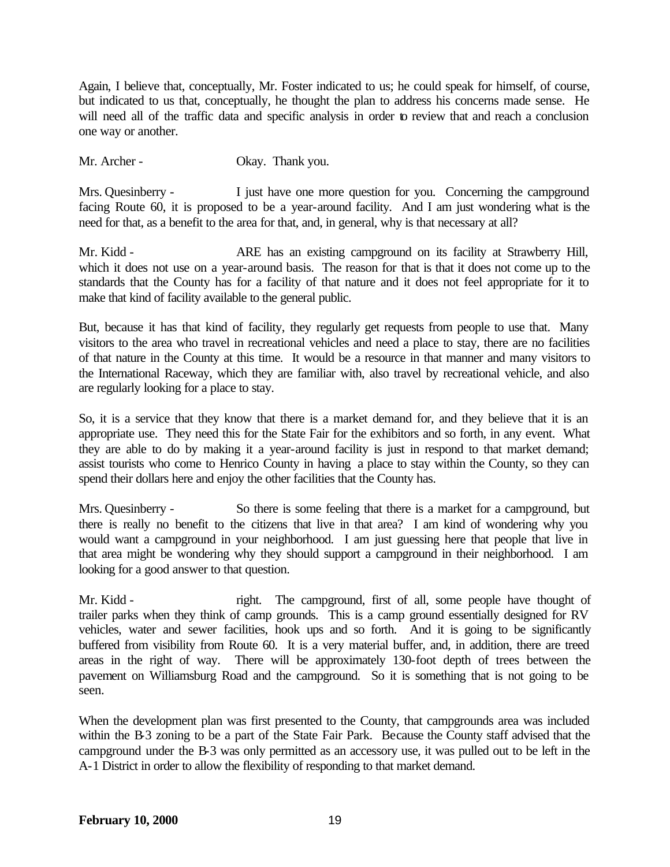Again, I believe that, conceptually, Mr. Foster indicated to us; he could speak for himself, of course, but indicated to us that, conceptually, he thought the plan to address his concerns made sense. He will need all of the traffic data and specific analysis in order to review that and reach a conclusion one way or another.

Mr. Archer - Okay. Thank you.

Mrs. Quesinberry - I just have one more question for you. Concerning the campground facing Route 60, it is proposed to be a year-around facility. And I am just wondering what is the need for that, as a benefit to the area for that, and, in general, why is that necessary at all?

Mr. Kidd - ARE has an existing campground on its facility at Strawberry Hill, which it does not use on a year-around basis. The reason for that is that it does not come up to the standards that the County has for a facility of that nature and it does not feel appropriate for it to make that kind of facility available to the general public.

But, because it has that kind of facility, they regularly get requests from people to use that. Many visitors to the area who travel in recreational vehicles and need a place to stay, there are no facilities of that nature in the County at this time. It would be a resource in that manner and many visitors to the International Raceway, which they are familiar with, also travel by recreational vehicle, and also are regularly looking for a place to stay.

So, it is a service that they know that there is a market demand for, and they believe that it is an appropriate use. They need this for the State Fair for the exhibitors and so forth, in any event. What they are able to do by making it a year-around facility is just in respond to that market demand; assist tourists who come to Henrico County in having a place to stay within the County, so they can spend their dollars here and enjoy the other facilities that the County has.

Mrs. Quesinberry - So there is some feeling that there is a market for a campground, but there is really no benefit to the citizens that live in that area? I am kind of wondering why you would want a campground in your neighborhood. I am just guessing here that people that live in that area might be wondering why they should support a campground in their neighborhood. I am looking for a good answer to that question.

Mr. Kidd - right. The campground, first of all, some people have thought of trailer parks when they think of camp grounds. This is a camp ground essentially designed for RV vehicles, water and sewer facilities, hook ups and so forth. And it is going to be significantly buffered from visibility from Route 60. It is a very material buffer, and, in addition, there are treed areas in the right of way. There will be approximately 130-foot depth of trees between the pavement on Williamsburg Road and the campground. So it is something that is not going to be seen.

When the development plan was first presented to the County, that campgrounds area was included within the B-3 zoning to be a part of the State Fair Park. Because the County staff advised that the campground under the B-3 was only permitted as an accessory use, it was pulled out to be left in the A-1 District in order to allow the flexibility of responding to that market demand.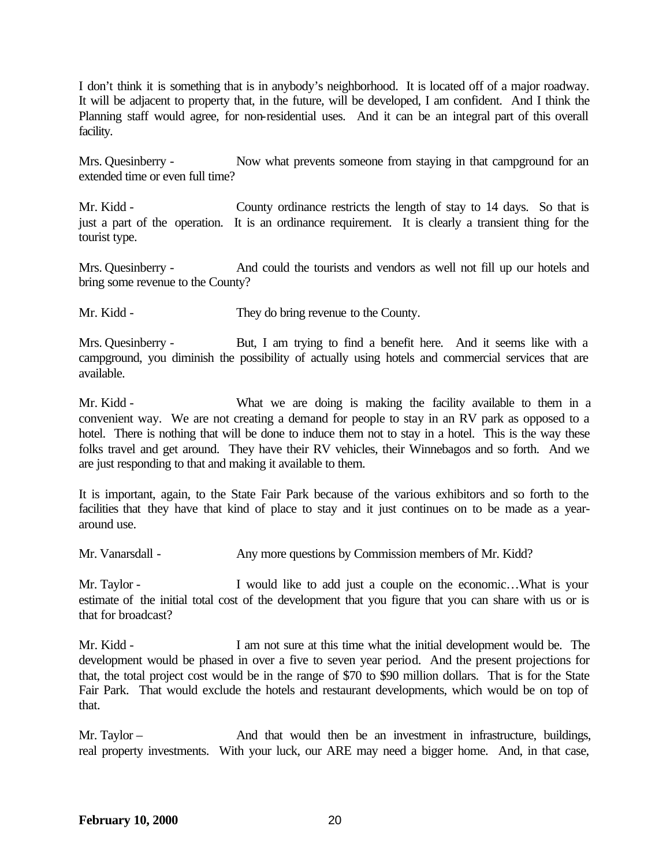I don't think it is something that is in anybody's neighborhood. It is located off of a major roadway. It will be adjacent to property that, in the future, will be developed, I am confident. And I think the Planning staff would agree, for non-residential uses. And it can be an integral part of this overall facility.

Mrs. Quesinberry - Now what prevents someone from staying in that campground for an extended time or even full time?

Mr. Kidd - County ordinance restricts the length of stay to 14 days. So that is just a part of the operation. It is an ordinance requirement. It is clearly a transient thing for the tourist type.

Mrs. Quesinberry - And could the tourists and vendors as well not fill up our hotels and bring some revenue to the County?

Mr. Kidd - They do bring revenue to the County.

Mrs. Quesinberry - But, I am trying to find a benefit here. And it seems like with a campground, you diminish the possibility of actually using hotels and commercial services that are available.

Mr. Kidd - What we are doing is making the facility available to them in a convenient way. We are not creating a demand for people to stay in an RV park as opposed to a hotel. There is nothing that will be done to induce them not to stay in a hotel. This is the way these folks travel and get around. They have their RV vehicles, their Winnebagos and so forth. And we are just responding to that and making it available to them.

It is important, again, to the State Fair Park because of the various exhibitors and so forth to the facilities that they have that kind of place to stay and it just continues on to be made as a yeararound use.

Mr. Vanarsdall - Any more questions by Commission members of Mr. Kidd?

Mr. Taylor - I would like to add just a couple on the economic... What is your estimate of the initial total cost of the development that you figure that you can share with us or is that for broadcast?

Mr. Kidd - I am not sure at this time what the initial development would be. The development would be phased in over a five to seven year period. And the present projections for that, the total project cost would be in the range of \$70 to \$90 million dollars. That is for the State Fair Park. That would exclude the hotels and restaurant developments, which would be on top of that.

Mr. Taylor – The And that would then be an investment in infrastructure, buildings, real property investments. With your luck, our ARE may need a bigger home. And, in that case,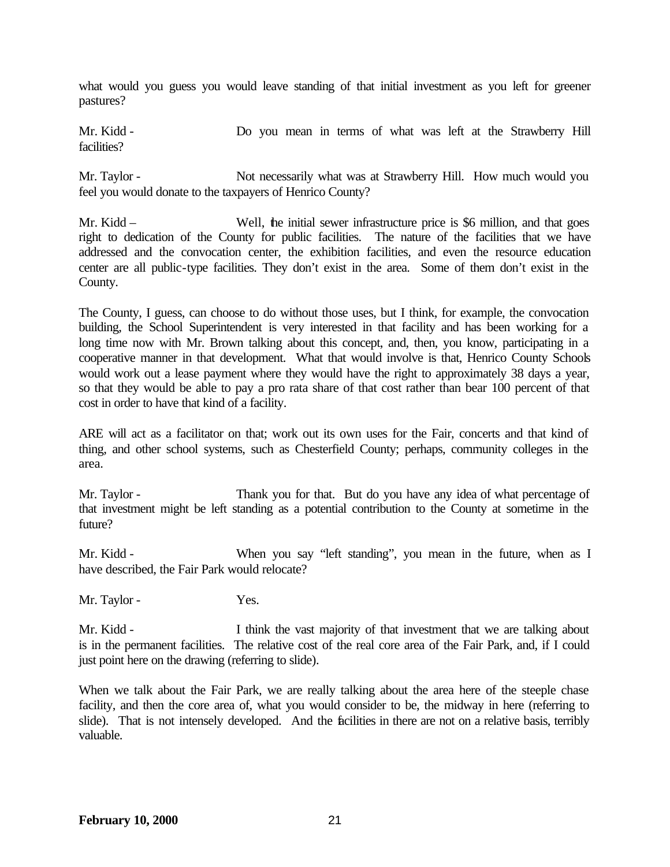what would you guess you would leave standing of that initial investment as you left for greener pastures?

Mr. Kidd - Do you mean in terms of what was left at the Strawberry Hill facilities?

Mr. Taylor - Not necessarily what was at Strawberry Hill. How much would you feel you would donate to the taxpayers of Henrico County?

Mr. Kidd – Well, the initial sewer infrastructure price is \$6 million, and that goes right to dedication of the County for public facilities. The nature of the facilities that we have addressed and the convocation center, the exhibition facilities, and even the resource education center are all public-type facilities. They don't exist in the area. Some of them don't exist in the County.

The County, I guess, can choose to do without those uses, but I think, for example, the convocation building, the School Superintendent is very interested in that facility and has been working for a long time now with Mr. Brown talking about this concept, and, then, you know, participating in a cooperative manner in that development. What that would involve is that, Henrico County Schools would work out a lease payment where they would have the right to approximately 38 days a year, so that they would be able to pay a pro rata share of that cost rather than bear 100 percent of that cost in order to have that kind of a facility.

ARE will act as a facilitator on that; work out its own uses for the Fair, concerts and that kind of thing, and other school systems, such as Chesterfield County; perhaps, community colleges in the area.

Mr. Taylor - Thank you for that. But do you have any idea of what percentage of that investment might be left standing as a potential contribution to the County at sometime in the future?

Mr. Kidd - When you say "left standing", you mean in the future, when as I have described, the Fair Park would relocate?

Mr. Taylor - Yes.

Mr. Kidd - I think the vast majority of that investment that we are talking about is in the permanent facilities. The relative cost of the real core area of the Fair Park, and, if I could just point here on the drawing (referring to slide).

When we talk about the Fair Park, we are really talking about the area here of the steeple chase facility, and then the core area of, what you would consider to be, the midway in here (referring to slide). That is not intensely developed. And the facilities in there are not on a relative basis, terribly valuable.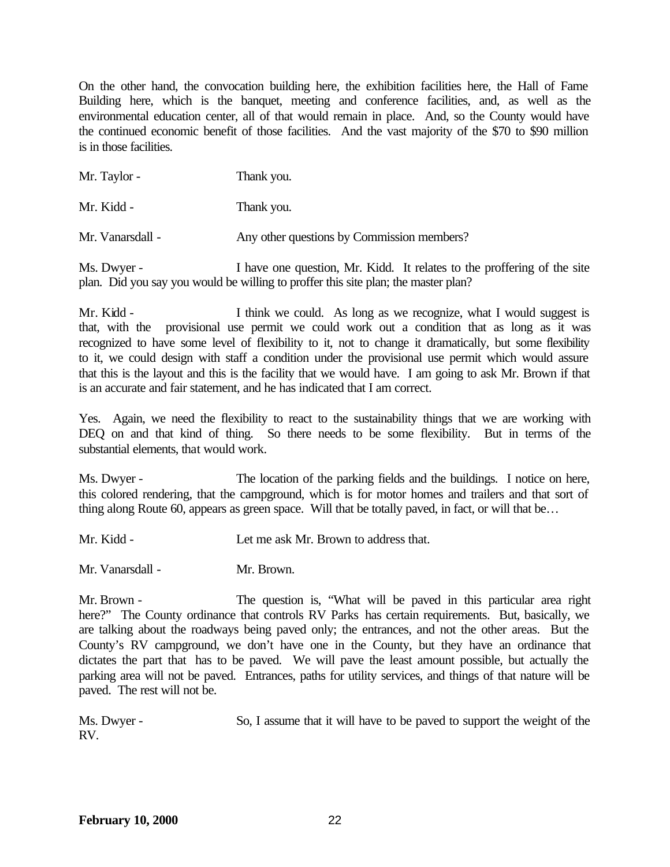On the other hand, the convocation building here, the exhibition facilities here, the Hall of Fame Building here, which is the banquet, meeting and conference facilities, and, as well as the environmental education center, all of that would remain in place. And, so the County would have the continued economic benefit of those facilities. And the vast majority of the \$70 to \$90 million is in those facilities.

| Mr. Taylor -     | Thank you.                                 |
|------------------|--------------------------------------------|
| Mr. Kidd -       | Thank you.                                 |
| Mr. Vanarsdall - | Any other questions by Commission members? |

Ms. Dwyer - I have one question, Mr. Kidd. It relates to the proffering of the site plan. Did you say you would be willing to proffer this site plan; the master plan?

Mr. Kidd - I think we could. As long as we recognize, what I would suggest is that, with the provisional use permit we could work out a condition that as long as it was recognized to have some level of flexibility to it, not to change it dramatically, but some flexibility to it, we could design with staff a condition under the provisional use permit which would assure that this is the layout and this is the facility that we would have. I am going to ask Mr. Brown if that is an accurate and fair statement, and he has indicated that I am correct.

Yes. Again, we need the flexibility to react to the sustainability things that we are working with DEQ on and that kind of thing. So there needs to be some flexibility. But in terms of the substantial elements, that would work.

Ms. Dwyer - The location of the parking fields and the buildings. I notice on here, this colored rendering, that the campground, which is for motor homes and trailers and that sort of thing along Route 60, appears as green space. Will that be totally paved, in fact, or will that be...

Mr. Kidd - Let me ask Mr. Brown to address that.

Mr. Vanarsdall - Mr. Brown.

Mr. Brown - The question is, "What will be paved in this particular area right here?" The County ordinance that controls RV Parks has certain requirements. But, basically, we are talking about the roadways being paved only; the entrances, and not the other areas. But the County's RV campground, we don't have one in the County, but they have an ordinance that dictates the part that has to be paved. We will pave the least amount possible, but actually the parking area will not be paved. Entrances, paths for utility services, and things of that nature will be paved. The rest will not be.

Ms. Dwyer - So, I assume that it will have to be paved to support the weight of the RV.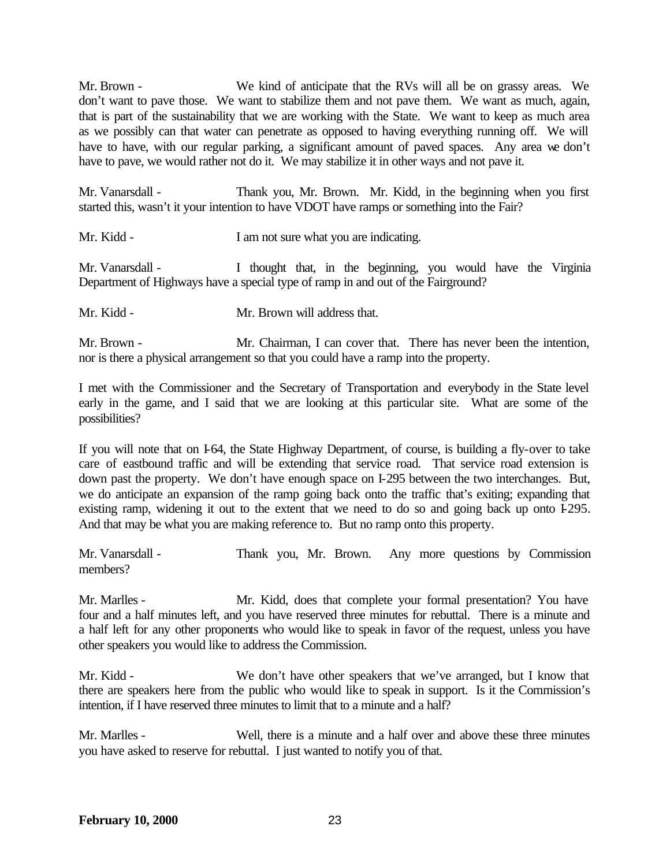Mr. Brown - We kind of anticipate that the RVs will all be on grassy areas. We don't want to pave those. We want to stabilize them and not pave them. We want as much, again, that is part of the sustainability that we are working with the State. We want to keep as much area as we possibly can that water can penetrate as opposed to having everything running off. We will have to have, with our regular parking, a significant amount of paved spaces. Any area we don't have to pave, we would rather not do it. We may stabilize it in other ways and not pave it.

Mr. Vanarsdall - Thank you, Mr. Brown. Mr. Kidd, in the beginning when you first started this, wasn't it your intention to have VDOT have ramps or something into the Fair?

Mr. Kidd - I am not sure what you are indicating.

Mr. Vanarsdall - I thought that, in the beginning, you would have the Virginia Department of Highways have a special type of ramp in and out of the Fairground?

Mr. Kidd - Mr. Brown will address that.

Mr. Brown - Mr. Chairman, I can cover that. There has never been the intention, nor is there a physical arrangement so that you could have a ramp into the property.

I met with the Commissioner and the Secretary of Transportation and everybody in the State level early in the game, and I said that we are looking at this particular site. What are some of the possibilities?

If you will note that on I-64, the State Highway Department, of course, is building a fly-over to take care of eastbound traffic and will be extending that service road. That service road extension is down past the property. We don't have enough space on I-295 between the two interchanges. But, we do anticipate an expansion of the ramp going back onto the traffic that's exiting; expanding that existing ramp, widening it out to the extent that we need to do so and going back up onto  $\overline{1}295$ . And that may be what you are making reference to. But no ramp onto this property.

Mr. Vanarsdall - Thank you, Mr. Brown. Any more questions by Commission members?

Mr. Marlles - Mr. Kidd, does that complete your formal presentation? You have four and a half minutes left, and you have reserved three minutes for rebuttal. There is a minute and a half left for any other proponents who would like to speak in favor of the request, unless you have other speakers you would like to address the Commission.

Mr. Kidd - We don't have other speakers that we've arranged, but I know that there are speakers here from the public who would like to speak in support. Is it the Commission's intention, if I have reserved three minutes to limit that to a minute and a half?

Mr. Marlles - Well, there is a minute and a half over and above these three minutes you have asked to reserve for rebuttal. I just wanted to notify you of that.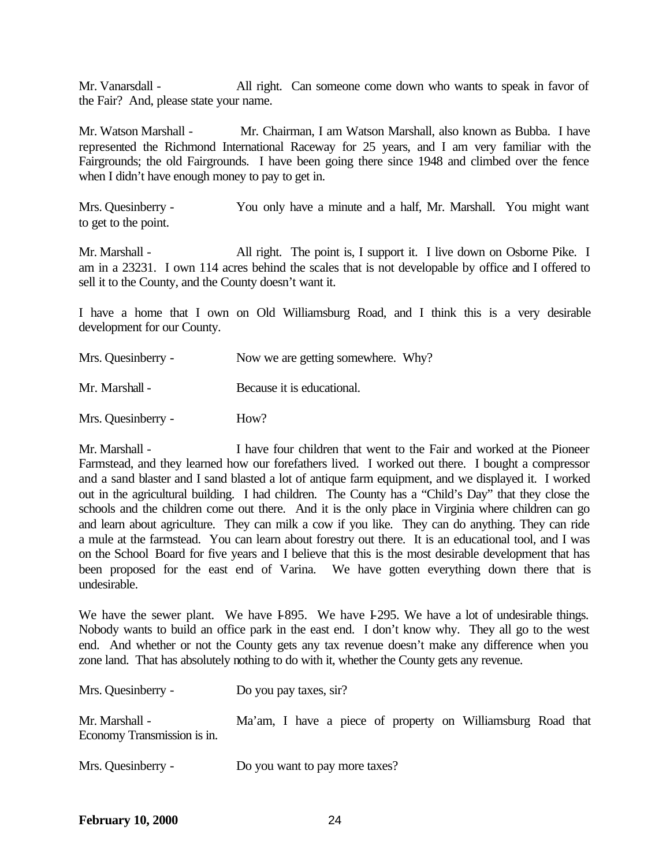Mr. Vanarsdall - All right. Can someone come down who wants to speak in favor of the Fair? And, please state your name.

Mr. Watson Marshall - Mr. Chairman, I am Watson Marshall, also known as Bubba. I have represented the Richmond International Raceway for 25 years, and I am very familiar with the Fairgrounds; the old Fairgrounds. I have been going there since 1948 and climbed over the fence when I didn't have enough money to pay to get in.

Mrs. Quesinberry - You only have a minute and a half, Mr. Marshall. You might want to get to the point.

Mr. Marshall - All right. The point is, I support it. I live down on Osborne Pike. I am in a 23231. I own 114 acres behind the scales that is not developable by office and I offered to sell it to the County, and the County doesn't want it.

I have a home that I own on Old Williamsburg Road, and I think this is a very desirable development for our County.

| Mrs. Quesinberry - | Now we are getting somewhere. Why? |
|--------------------|------------------------------------|
| Mr. Marshall -     | Because it is educational.         |
| Mrs. Quesinberry - | How?                               |

Mr. Marshall - I have four children that went to the Fair and worked at the Pioneer Farmstead, and they learned how our forefathers lived. I worked out there. I bought a compressor and a sand blaster and I sand blasted a lot of antique farm equipment, and we displayed it. I worked out in the agricultural building. I had children. The County has a "Child's Day" that they close the schools and the children come out there. And it is the only place in Virginia where children can go and learn about agriculture. They can milk a cow if you like. They can do anything. They can ride a mule at the farmstead. You can learn about forestry out there. It is an educational tool, and I was on the School Board for five years and I believe that this is the most desirable development that has been proposed for the east end of Varina. We have gotten everything down there that is undesirable.

We have the sewer plant. We have I-895. We have I-295. We have a lot of undesirable things. Nobody wants to build an office park in the east end. I don't know why. They all go to the west end. And whether or not the County gets any tax revenue doesn't make any difference when you zone land. That has absolutely nothing to do with it, whether the County gets any revenue.

| Mrs. Quesinberry -                            | Do you pay taxes, sir?                                      |  |
|-----------------------------------------------|-------------------------------------------------------------|--|
| Mr. Marshall -<br>Economy Transmission is in. | Ma'am, I have a piece of property on Williamsburg Road that |  |
| Mrs. Quesinberry -                            | Do you want to pay more taxes?                              |  |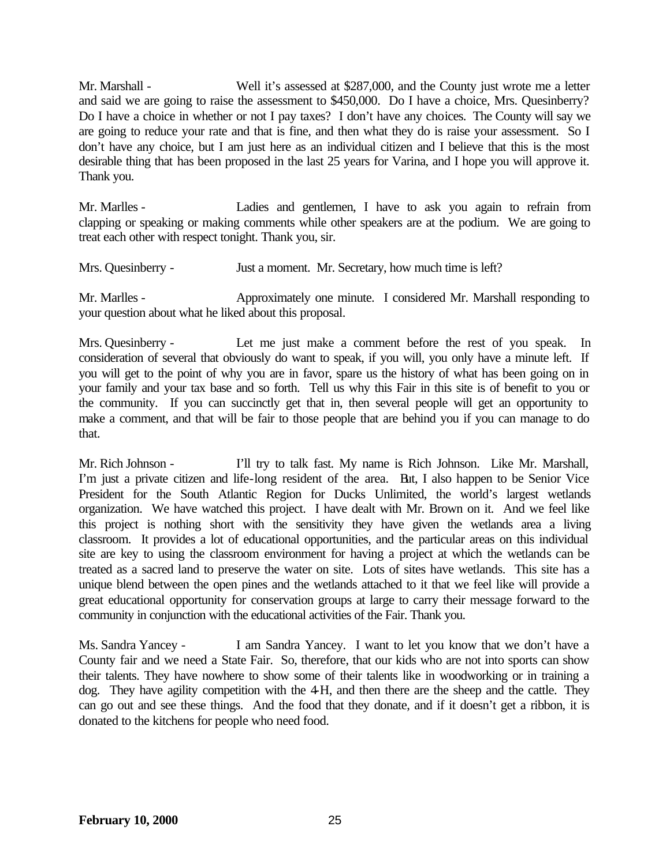Mr. Marshall - Well it's assessed at \$287,000, and the County just wrote me a letter and said we are going to raise the assessment to \$450,000. Do I have a choice, Mrs. Quesinberry? Do I have a choice in whether or not I pay taxes? I don't have any choices. The County will say we are going to reduce your rate and that is fine, and then what they do is raise your assessment. So I don't have any choice, but I am just here as an individual citizen and I believe that this is the most desirable thing that has been proposed in the last 25 years for Varina, and I hope you will approve it. Thank you.

Mr. Marlles - Ladies and gentlemen, I have to ask you again to refrain from clapping or speaking or making comments while other speakers are at the podium. We are going to treat each other with respect tonight. Thank you, sir.

Mrs. Quesinberry - Just a moment. Mr. Secretary, how much time is left?

Mr. Marlles - Approximately one minute. I considered Mr. Marshall responding to your question about what he liked about this proposal.

Mrs. Quesinberry - Let me just make a comment before the rest of you speak. In consideration of several that obviously do want to speak, if you will, you only have a minute left. If you will get to the point of why you are in favor, spare us the history of what has been going on in your family and your tax base and so forth. Tell us why this Fair in this site is of benefit to you or the community. If you can succinctly get that in, then several people will get an opportunity to make a comment, and that will be fair to those people that are behind you if you can manage to do that.

Mr. Rich Johnson - I'll try to talk fast. My name is Rich Johnson. Like Mr. Marshall, I'm just a private citizen and life-long resident of the area. But, I also happen to be Senior Vice President for the South Atlantic Region for Ducks Unlimited, the world's largest wetlands organization. We have watched this project. I have dealt with Mr. Brown on it. And we feel like this project is nothing short with the sensitivity they have given the wetlands area a living classroom. It provides a lot of educational opportunities, and the particular areas on this individual site are key to using the classroom environment for having a project at which the wetlands can be treated as a sacred land to preserve the water on site. Lots of sites have wetlands. This site has a unique blend between the open pines and the wetlands attached to it that we feel like will provide a great educational opportunity for conservation groups at large to carry their message forward to the community in conjunction with the educational activities of the Fair. Thank you.

Ms. Sandra Yancey - I am Sandra Yancey. I want to let you know that we don't have a County fair and we need a State Fair. So, therefore, that our kids who are not into sports can show their talents. They have nowhere to show some of their talents like in woodworking or in training a dog. They have agility competition with the 4-H, and then there are the sheep and the cattle. They can go out and see these things. And the food that they donate, and if it doesn't get a ribbon, it is donated to the kitchens for people who need food.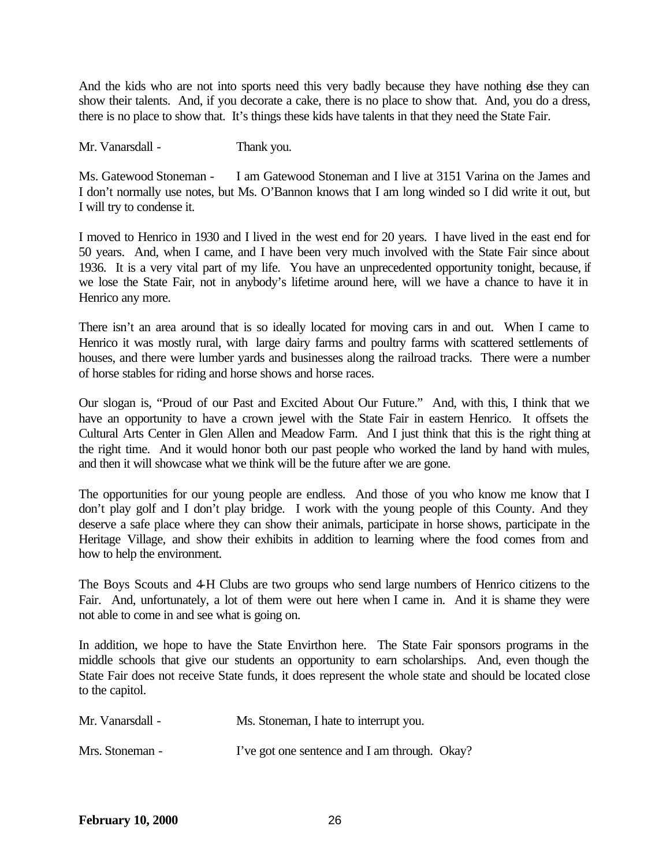And the kids who are not into sports need this very badly because they have nothing dse they can show their talents. And, if you decorate a cake, there is no place to show that. And, you do a dress, there is no place to show that. It's things these kids have talents in that they need the State Fair.

Mr. Vanarsdall - Thank you.

Ms. Gatewood Stoneman - I am Gatewood Stoneman and I live at 3151 Varina on the James and I don't normally use notes, but Ms. O'Bannon knows that I am long winded so I did write it out, but I will try to condense it.

I moved to Henrico in 1930 and I lived in the west end for 20 years. I have lived in the east end for 50 years. And, when I came, and I have been very much involved with the State Fair since about 1936. It is a very vital part of my life. You have an unprecedented opportunity tonight, because, if we lose the State Fair, not in anybody's lifetime around here, will we have a chance to have it in Henrico any more.

There isn't an area around that is so ideally located for moving cars in and out. When I came to Henrico it was mostly rural, with large dairy farms and poultry farms with scattered settlements of houses, and there were lumber yards and businesses along the railroad tracks. There were a number of horse stables for riding and horse shows and horse races.

Our slogan is, "Proud of our Past and Excited About Our Future." And, with this, I think that we have an opportunity to have a crown jewel with the State Fair in eastern Henrico. It offsets the Cultural Arts Center in Glen Allen and Meadow Farm. And I just think that this is the right thing at the right time. And it would honor both our past people who worked the land by hand with mules, and then it will showcase what we think will be the future after we are gone.

The opportunities for our young people are endless. And those of you who know me know that I don't play golf and I don't play bridge. I work with the young people of this County. And they deserve a safe place where they can show their animals, participate in horse shows, participate in the Heritage Village, and show their exhibits in addition to learning where the food comes from and how to help the environment.

The Boys Scouts and 4-H Clubs are two groups who send large numbers of Henrico citizens to the Fair. And, unfortunately, a lot of them were out here when I came in. And it is shame they were not able to come in and see what is going on.

In addition, we hope to have the State Envirthon here. The State Fair sponsors programs in the middle schools that give our students an opportunity to earn scholarships. And, even though the State Fair does not receive State funds, it does represent the whole state and should be located close to the capitol.

| Mr. Vanarsdall - | Ms. Stoneman, I hate to interrupt you.        |  |
|------------------|-----------------------------------------------|--|
| Mrs. Stoneman -  | I've got one sentence and I am through. Okay? |  |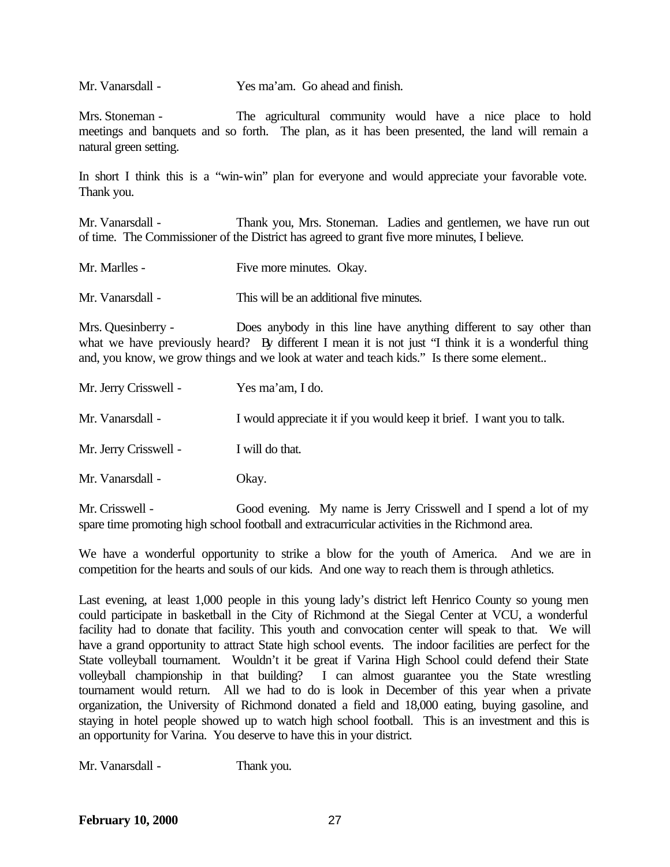Mr. Vanarsdall - Yes ma'am. Go ahead and finish.

Mrs. Stoneman - The agricultural community would have a nice place to hold meetings and banquets and so forth. The plan, as it has been presented, the land will remain a natural green setting.

In short I think this is a "win-win" plan for everyone and would appreciate your favorable vote. Thank you.

Mr. Vanarsdall - Thank you, Mrs. Stoneman. Ladies and gentlemen, we have run out of time. The Commissioner of the District has agreed to grant five more minutes, I believe.

Mr. Marlles - Five more minutes. Okay.

Mr. Vanarsdall - This will be an additional five minutes.

Mrs. Quesinberry - Does anybody in this line have anything different to say other than what we have previously heard? By different I mean it is not just "I think it is a wonderful thing and, you know, we grow things and we look at water and teach kids." Is there some element..

| Mr. Jerry Crisswell - | Yes ma'am, I do.                                                      |
|-----------------------|-----------------------------------------------------------------------|
| Mr. Vanarsdall -      | I would appreciate it if you would keep it brief. I want you to talk. |
| Mr. Jerry Crisswell - | I will do that.                                                       |
| Mr. Vanarsdall -      | Okay.                                                                 |

Mr. Crisswell - Good evening. My name is Jerry Crisswell and I spend a lot of my spare time promoting high school football and extracurricular activities in the Richmond area.

We have a wonderful opportunity to strike a blow for the youth of America. And we are in competition for the hearts and souls of our kids. And one way to reach them is through athletics.

Last evening, at least 1,000 people in this young lady's district left Henrico County so young men could participate in basketball in the City of Richmond at the Siegal Center at VCU, a wonderful facility had to donate that facility. This youth and convocation center will speak to that. We will have a grand opportunity to attract State high school events. The indoor facilities are perfect for the State volleyball tournament. Wouldn't it be great if Varina High School could defend their State volleyball championship in that building? I can almost guarantee you the State wrestling tournament would return. All we had to do is look in December of this year when a private organization, the University of Richmond donated a field and 18,000 eating, buying gasoline, and staying in hotel people showed up to watch high school football. This is an investment and this is an opportunity for Varina. You deserve to have this in your district.

Mr. Vanarsdall - Thank you.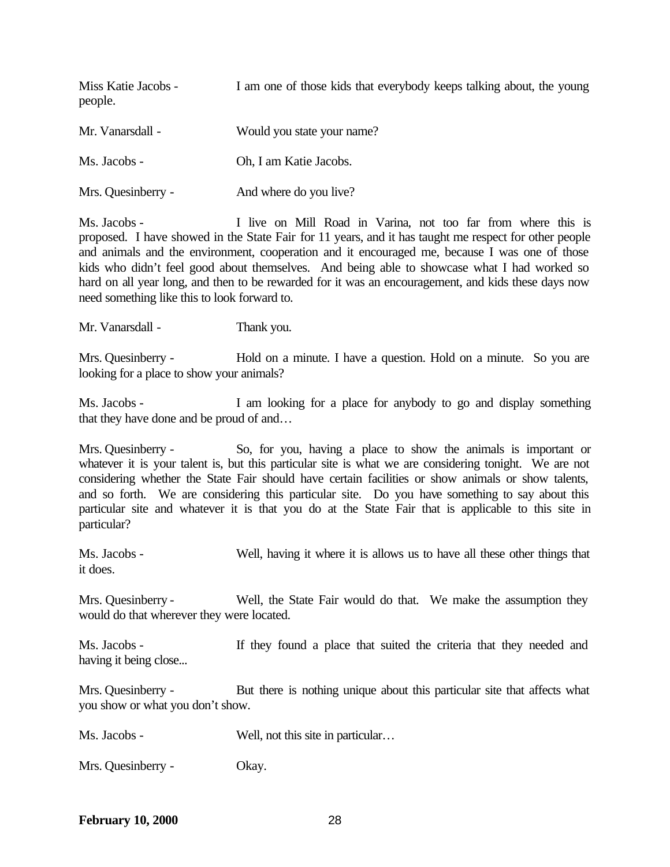| Miss Katie Jacobs -<br>people. | I am one of those kids that everybody keeps talking about, the young |
|--------------------------------|----------------------------------------------------------------------|
| Mr. Vanarsdall -               | Would you state your name?                                           |
| Ms. Jacobs -                   | Oh, I am Katie Jacobs.                                               |
| Mrs. Quesinberry -             | And where do you live?                                               |

Ms. Jacobs - I live on Mill Road in Varina, not too far from where this is proposed. I have showed in the State Fair for 11 years, and it has taught me respect for other people and animals and the environment, cooperation and it encouraged me, because I was one of those kids who didn't feel good about themselves. And being able to showcase what I had worked so hard on all year long, and then to be rewarded for it was an encouragement, and kids these days now need something like this to look forward to.

Mr. Vanarsdall - Thank you.

Mrs. Quesinberry - Hold on a minute. I have a question. Hold on a minute. So you are looking for a place to show your animals?

Ms. Jacobs - I am looking for a place for anybody to go and display something that they have done and be proud of and…

Mrs. Quesinberry - So, for you, having a place to show the animals is important or whatever it is your talent is, but this particular site is what we are considering tonight. We are not considering whether the State Fair should have certain facilities or show animals or show talents, and so forth. We are considering this particular site. Do you have something to say about this particular site and whatever it is that you do at the State Fair that is applicable to this site in particular?

Ms. Jacobs - Well, having it where it is allows us to have all these other things that it does.

Mrs. Quesinberry - Well, the State Fair would do that. We make the assumption they would do that wherever they were located.

Ms. Jacobs - If they found a place that suited the criteria that they needed and having it being close...

Mrs. Quesinberry - But there is nothing unique about this particular site that affects what you show or what you don't show.

Ms. Jacobs - Well, not this site in particular…

Mrs. Quesinberry - Okay.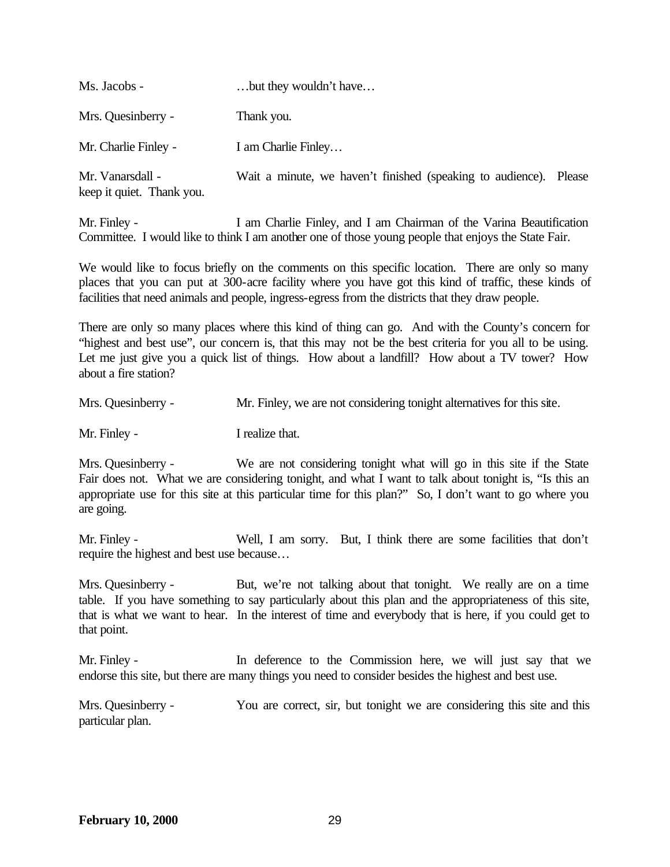| Ms. Jacobs -                                  | but they wouldn't have                                            |  |
|-----------------------------------------------|-------------------------------------------------------------------|--|
| Mrs. Quesinberry -                            | Thank you.                                                        |  |
| Mr. Charlie Finley -                          | I am Charlie Finley                                               |  |
| Mr. Vanarsdall -<br>keep it quiet. Thank you. | Wait a minute, we haven't finished (speaking to audience). Please |  |

Mr. Finley - I am Charlie Finley, and I am Chairman of the Varina Beautification Committee. I would like to think I am another one of those young people that enjoys the State Fair.

We would like to focus briefly on the comments on this specific location. There are only so many places that you can put at 300-acre facility where you have got this kind of traffic, these kinds of facilities that need animals and people, ingress-egress from the districts that they draw people.

There are only so many places where this kind of thing can go. And with the County's concern for "highest and best use", our concern is, that this may not be the best criteria for you all to be using. Let me just give you a quick list of things. How about a landfill? How about a TV tower? How about a fire station?

| Mrs. Quesinberry - | Mr. Finley, we are not considering tonight alternatives for this site. |  |
|--------------------|------------------------------------------------------------------------|--|
|                    |                                                                        |  |

Mr. Finley - I realize that.

Mrs. Quesinberry - We are not considering tonight what will go in this site if the State Fair does not. What we are considering tonight, and what I want to talk about tonight is, "Is this an appropriate use for this site at this particular time for this plan?" So, I don't want to go where you are going.

Mr. Finley - Well, I am sorry. But, I think there are some facilities that don't require the highest and best use because…

Mrs. Quesinberry - But, we're not talking about that tonight. We really are on a time table. If you have something to say particularly about this plan and the appropriateness of this site, that is what we want to hear. In the interest of time and everybody that is here, if you could get to that point.

Mr. Finley - In deference to the Commission here, we will just say that we endorse this site, but there are many things you need to consider besides the highest and best use.

Mrs. Quesinberry - You are correct, sir, but tonight we are considering this site and this particular plan.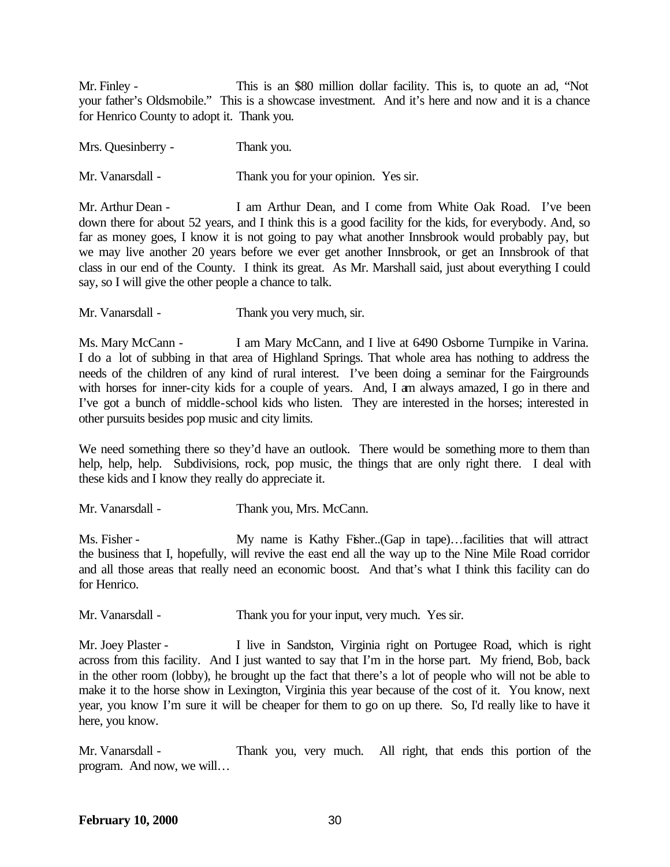Mr. Finley - This is an \$80 million dollar facility. This is, to quote an ad, "Not your father's Oldsmobile." This is a showcase investment. And it's here and now and it is a chance for Henrico County to adopt it. Thank you.

Mrs. Quesinberry - Thank you.

Mr. Vanarsdall - Thank you for your opinion. Yes sir.

Mr. Arthur Dean - I am Arthur Dean, and I come from White Oak Road. I've been down there for about 52 years, and I think this is a good facility for the kids, for everybody. And, so far as money goes, I know it is not going to pay what another Innsbrook would probably pay, but we may live another 20 years before we ever get another Innsbrook, or get an Innsbrook of that class in our end of the County. I think its great. As Mr. Marshall said, just about everything I could say, so I will give the other people a chance to talk.

Mr. Vanarsdall - Thank you very much, sir.

Ms. Mary McCann - I am Mary McCann, and I live at 6490 Osborne Turnpike in Varina. I do a lot of subbing in that area of Highland Springs. That whole area has nothing to address the needs of the children of any kind of rural interest. I've been doing a seminar for the Fairgrounds with horses for inner-city kids for a couple of years. And, I am always amazed, I go in there and I've got a bunch of middle-school kids who listen. They are interested in the horses; interested in other pursuits besides pop music and city limits.

We need something there so they'd have an outlook. There would be something more to them than help, help, help. Subdivisions, rock, pop music, the things that are only right there. I deal with these kids and I know they really do appreciate it.

Mr. Vanarsdall - Thank you, Mrs. McCann.

Ms. Fisher - My name is Kathy Fisher..(Gap in tape)...facilities that will attract the business that I, hopefully, will revive the east end all the way up to the Nine Mile Road corridor and all those areas that really need an economic boost. And that's what I think this facility can do for Henrico.

Mr. Vanarsdall - Thank you for your input, very much. Yes sir.

Mr. Joey Plaster - I live in Sandston, Virginia right on Portugee Road, which is right across from this facility. And I just wanted to say that I'm in the horse part. My friend, Bob, back in the other room (lobby), he brought up the fact that there's a lot of people who will not be able to make it to the horse show in Lexington, Virginia this year because of the cost of it. You know, next year, you know I'm sure it will be cheaper for them to go on up there. So, I'd really like to have it here, you know.

Mr. Vanarsdall - Thank you, very much. All right, that ends this portion of the program. And now, we will…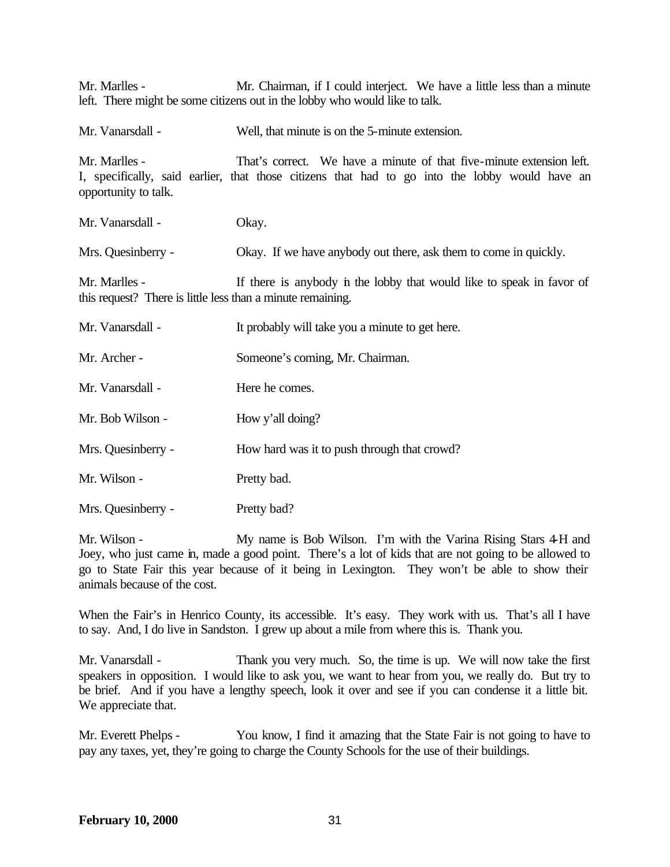Mr. Marlles - Mr. Chairman, if I could interject. We have a little less than a minute left. There might be some citizens out in the lobby who would like to talk.

Mr. Vanarsdall - Well, that minute is on the 5-minute extension. Mr. Marlles - That's correct. We have a minute of that five-minute extension left. I, specifically, said earlier, that those citizens that had to go into the lobby would have an opportunity to talk. Mr. Vanarsdall - Okay. Mrs. Quesinberry - Okay. If we have anybody out there, ask them to come in quickly. Mr. Marlles - If there is anybody in the lobby that would like to speak in favor of this request? There is little less than a minute remaining. Mr. Vanarsdall - It probably will take you a minute to get here. Mr. Archer - Someone's coming, Mr. Chairman. Mr. Vanarsdall - **Here he comes.** Mr. Bob Wilson - How y'all doing? Mrs. Quesinberry - How hard was it to push through that crowd? Mr. Wilson - Pretty bad. Mrs. Quesinberry - Pretty bad?

Mr. Wilson - My name is Bob Wilson. I'm with the Varina Rising Stars 4-H and Joey, who just came in, made a good point. There's a lot of kids that are not going to be allowed to go to State Fair this year because of it being in Lexington. They won't be able to show their animals because of the cost.

When the Fair's in Henrico County, its accessible. It's easy. They work with us. That's all I have to say. And, I do live in Sandston. I grew up about a mile from where this is. Thank you.

Mr. Vanarsdall - Thank you very much. So, the time is up. We will now take the first speakers in opposition. I would like to ask you, we want to hear from you, we really do. But try to be brief. And if you have a lengthy speech, look it over and see if you can condense it a little bit. We appreciate that.

Mr. Everett Phelps - You know, I find it amazing that the State Fair is not going to have to pay any taxes, yet, they're going to charge the County Schools for the use of their buildings.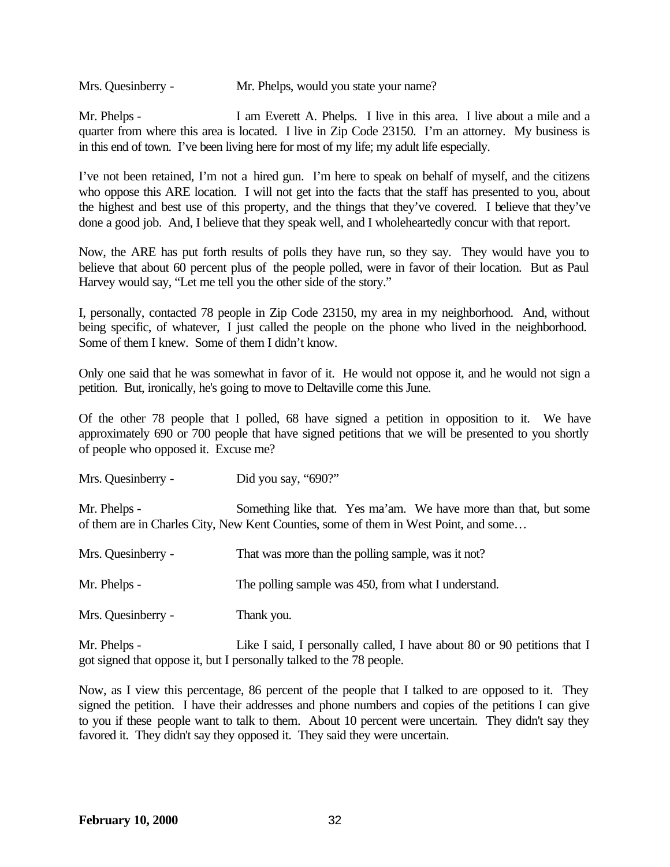Mrs. Quesinberry - Mr. Phelps, would you state your name?

Mr. Phelps - I am Everett A. Phelps. I live in this area. I live about a mile and a quarter from where this area is located. I live in Zip Code 23150. I'm an attorney. My business is in this end of town. I've been living here for most of my life; my adult life especially.

I've not been retained, I'm not a hired gun. I'm here to speak on behalf of myself, and the citizens who oppose this ARE location. I will not get into the facts that the staff has presented to you, about the highest and best use of this property, and the things that they've covered. I believe that they've done a good job. And, I believe that they speak well, and I wholeheartedly concur with that report.

Now, the ARE has put forth results of polls they have run, so they say. They would have you to believe that about 60 percent plus of the people polled, were in favor of their location. But as Paul Harvey would say, "Let me tell you the other side of the story."

I, personally, contacted 78 people in Zip Code 23150, my area in my neighborhood. And, without being specific, of whatever, I just called the people on the phone who lived in the neighborhood. Some of them I knew. Some of them I didn't know.

Only one said that he was somewhat in favor of it. He would not oppose it, and he would not sign a petition. But, ironically, he's going to move to Deltaville come this June.

Of the other 78 people that I polled, 68 have signed a petition in opposition to it. We have approximately 690 or 700 people that have signed petitions that we will be presented to you shortly of people who opposed it. Excuse me?

Mrs. Quesinberry - Did you say, "690?"

Mr. Phelps - Something like that. Yes ma'am. We have more than that, but some of them are in Charles City, New Kent Counties, some of them in West Point, and some…

| Mrs. Quesinberry - | That was more than the polling sample, was it not?  |
|--------------------|-----------------------------------------------------|
| Mr. Phelps -       | The polling sample was 450, from what I understand. |
| Mrs. Quesinberry - | Thank you.                                          |

Mr. Phelps - Like I said, I personally called, I have about 80 or 90 petitions that I got signed that oppose it, but I personally talked to the 78 people.

Now, as I view this percentage, 86 percent of the people that I talked to are opposed to it. They signed the petition. I have their addresses and phone numbers and copies of the petitions I can give to you if these people want to talk to them. About 10 percent were uncertain. They didn't say they favored it. They didn't say they opposed it. They said they were uncertain.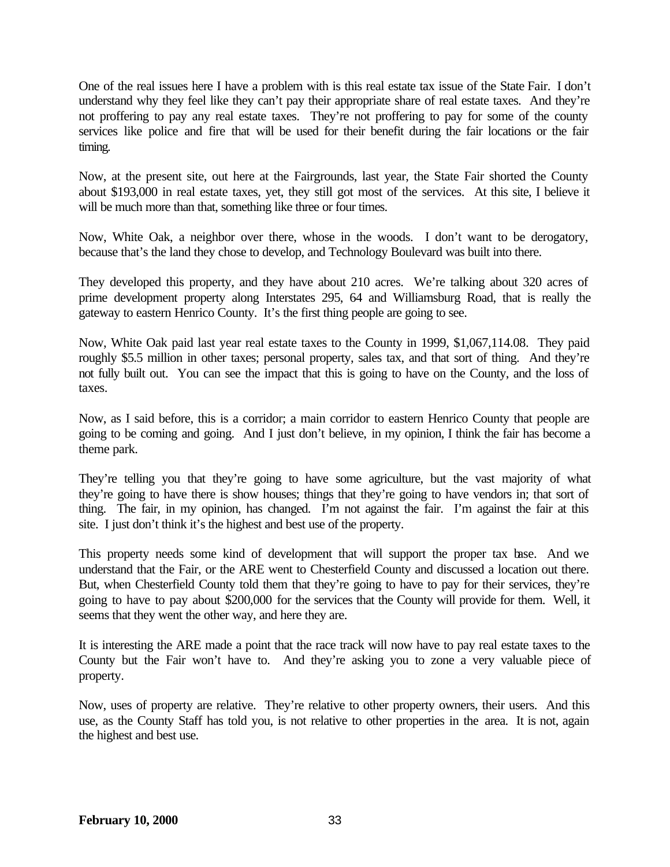One of the real issues here I have a problem with is this real estate tax issue of the State Fair. I don't understand why they feel like they can't pay their appropriate share of real estate taxes. And they're not proffering to pay any real estate taxes. They're not proffering to pay for some of the county services like police and fire that will be used for their benefit during the fair locations or the fair timing.

Now, at the present site, out here at the Fairgrounds, last year, the State Fair shorted the County about \$193,000 in real estate taxes, yet, they still got most of the services. At this site, I believe it will be much more than that, something like three or four times.

Now, White Oak, a neighbor over there, whose in the woods. I don't want to be derogatory, because that's the land they chose to develop, and Technology Boulevard was built into there.

They developed this property, and they have about 210 acres. We're talking about 320 acres of prime development property along Interstates 295, 64 and Williamsburg Road, that is really the gateway to eastern Henrico County. It's the first thing people are going to see.

Now, White Oak paid last year real estate taxes to the County in 1999, \$1,067,114.08. They paid roughly \$5.5 million in other taxes; personal property, sales tax, and that sort of thing. And they're not fully built out. You can see the impact that this is going to have on the County, and the loss of taxes.

Now, as I said before, this is a corridor; a main corridor to eastern Henrico County that people are going to be coming and going. And I just don't believe, in my opinion, I think the fair has become a theme park.

They're telling you that they're going to have some agriculture, but the vast majority of what they're going to have there is show houses; things that they're going to have vendors in; that sort of thing. The fair, in my opinion, has changed. I'm not against the fair. I'm against the fair at this site. I just don't think it's the highest and best use of the property.

This property needs some kind of development that will support the proper tax base. And we understand that the Fair, or the ARE went to Chesterfield County and discussed a location out there. But, when Chesterfield County told them that they're going to have to pay for their services, they're going to have to pay about \$200,000 for the services that the County will provide for them. Well, it seems that they went the other way, and here they are.

It is interesting the ARE made a point that the race track will now have to pay real estate taxes to the County but the Fair won't have to. And they're asking you to zone a very valuable piece of property.

Now, uses of property are relative. They're relative to other property owners, their users. And this use, as the County Staff has told you, is not relative to other properties in the area. It is not, again the highest and best use.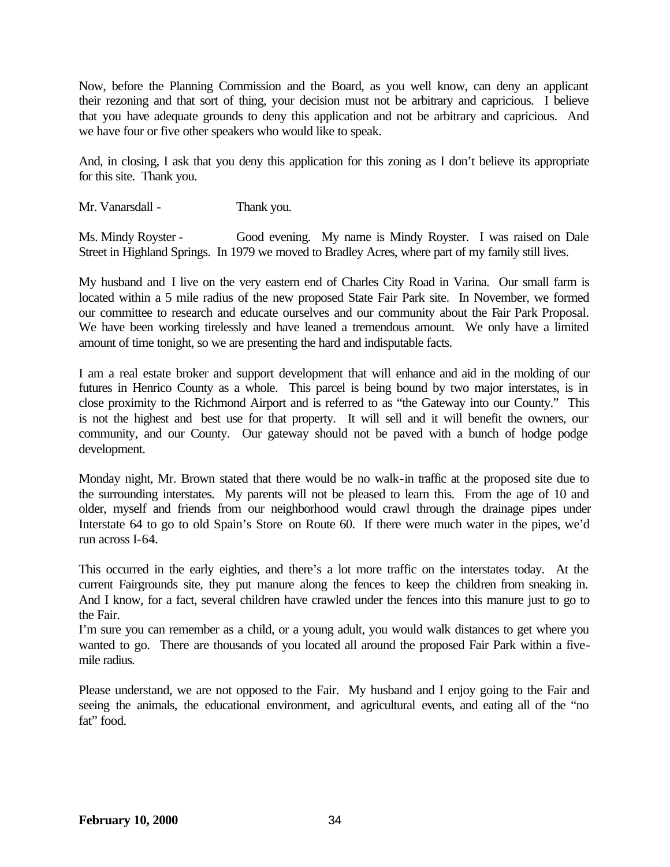Now, before the Planning Commission and the Board, as you well know, can deny an applicant their rezoning and that sort of thing, your decision must not be arbitrary and capricious. I believe that you have adequate grounds to deny this application and not be arbitrary and capricious. And we have four or five other speakers who would like to speak.

And, in closing, I ask that you deny this application for this zoning as I don't believe its appropriate for this site. Thank you.

Mr. Vanarsdall - Thank you.

Ms. Mindy Royster - Good evening. My name is Mindy Royster. I was raised on Dale Street in Highland Springs. In 1979 we moved to Bradley Acres, where part of my family still lives.

My husband and I live on the very eastern end of Charles City Road in Varina. Our small farm is located within a 5 mile radius of the new proposed State Fair Park site. In November, we formed our committee to research and educate ourselves and our community about the Fair Park Proposal. We have been working tirelessly and have leaned a tremendous amount. We only have a limited amount of time tonight, so we are presenting the hard and indisputable facts.

I am a real estate broker and support development that will enhance and aid in the molding of our futures in Henrico County as a whole. This parcel is being bound by two major interstates, is in close proximity to the Richmond Airport and is referred to as "the Gateway into our County." This is not the highest and best use for that property. It will sell and it will benefit the owners, our community, and our County. Our gateway should not be paved with a bunch of hodge podge development.

Monday night, Mr. Brown stated that there would be no walk-in traffic at the proposed site due to the surrounding interstates. My parents will not be pleased to learn this. From the age of 10 and older, myself and friends from our neighborhood would crawl through the drainage pipes under Interstate 64 to go to old Spain's Store on Route 60. If there were much water in the pipes, we'd run across I-64.

This occurred in the early eighties, and there's a lot more traffic on the interstates today. At the current Fairgrounds site, they put manure along the fences to keep the children from sneaking in. And I know, for a fact, several children have crawled under the fences into this manure just to go to the Fair.

I'm sure you can remember as a child, or a young adult, you would walk distances to get where you wanted to go. There are thousands of you located all around the proposed Fair Park within a fivemile radius.

Please understand, we are not opposed to the Fair. My husband and I enjoy going to the Fair and seeing the animals, the educational environment, and agricultural events, and eating all of the "no fat" food.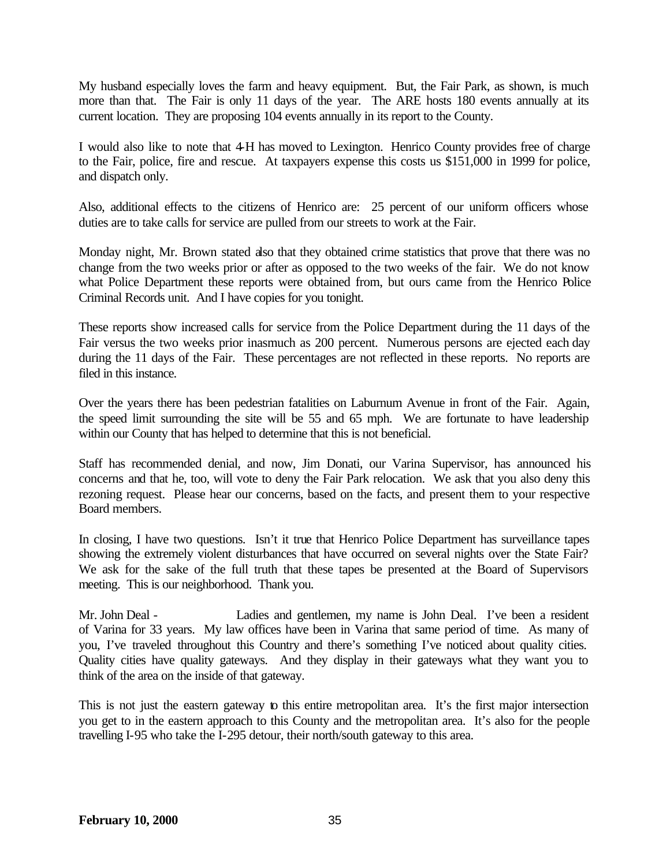My husband especially loves the farm and heavy equipment. But, the Fair Park, as shown, is much more than that. The Fair is only 11 days of the year. The ARE hosts 180 events annually at its current location. They are proposing 104 events annually in its report to the County.

I would also like to note that 4-H has moved to Lexington. Henrico County provides free of charge to the Fair, police, fire and rescue. At taxpayers expense this costs us \$151,000 in 1999 for police, and dispatch only.

Also, additional effects to the citizens of Henrico are: 25 percent of our uniform officers whose duties are to take calls for service are pulled from our streets to work at the Fair.

Monday night, Mr. Brown stated also that they obtained crime statistics that prove that there was no change from the two weeks prior or after as opposed to the two weeks of the fair. We do not know what Police Department these reports were obtained from, but ours came from the Henrico Police Criminal Records unit. And I have copies for you tonight.

These reports show increased calls for service from the Police Department during the 11 days of the Fair versus the two weeks prior inasmuch as 200 percent. Numerous persons are ejected each day during the 11 days of the Fair. These percentages are not reflected in these reports. No reports are filed in this instance.

Over the years there has been pedestrian fatalities on Laburnum Avenue in front of the Fair. Again, the speed limit surrounding the site will be 55 and 65 mph. We are fortunate to have leadership within our County that has helped to determine that this is not beneficial.

Staff has recommended denial, and now, Jim Donati, our Varina Supervisor, has announced his concerns and that he, too, will vote to deny the Fair Park relocation. We ask that you also deny this rezoning request. Please hear our concerns, based on the facts, and present them to your respective Board members.

In closing, I have two questions. Isn't it true that Henrico Police Department has surveillance tapes showing the extremely violent disturbances that have occurred on several nights over the State Fair? We ask for the sake of the full truth that these tapes be presented at the Board of Supervisors meeting. This is our neighborhood. Thank you.

Mr. John Deal - Ladies and gentlemen, my name is John Deal. I've been a resident of Varina for 33 years. My law offices have been in Varina that same period of time. As many of you, I've traveled throughout this Country and there's something I've noticed about quality cities. Quality cities have quality gateways. And they display in their gateways what they want you to think of the area on the inside of that gateway.

This is not just the eastern gateway to this entire metropolitan area. It's the first major intersection you get to in the eastern approach to this County and the metropolitan area. It's also for the people travelling I-95 who take the I-295 detour, their north/south gateway to this area.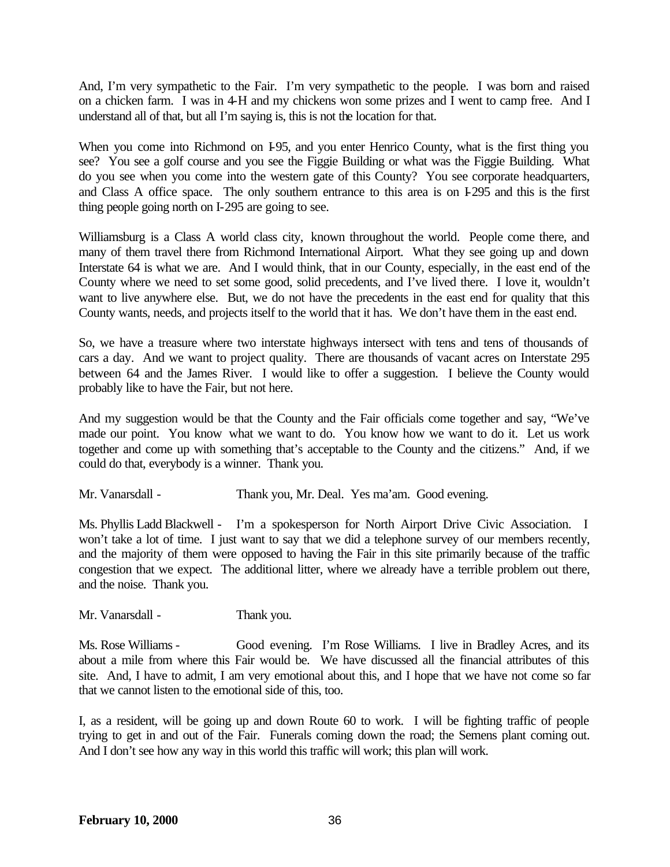And, I'm very sympathetic to the Fair. I'm very sympathetic to the people. I was born and raised on a chicken farm. I was in 4-H and my chickens won some prizes and I went to camp free. And I understand all of that, but all I'm saying is, this is not the location for that.

When you come into Richmond on 195, and you enter Henrico County, what is the first thing you see? You see a golf course and you see the Figgie Building or what was the Figgie Building. What do you see when you come into the western gate of this County? You see corporate headquarters, and Class A office space. The only southern entrance to this area is on I-295 and this is the first thing people going north on I-295 are going to see.

Williamsburg is a Class A world class city, known throughout the world. People come there, and many of them travel there from Richmond International Airport. What they see going up and down Interstate 64 is what we are. And I would think, that in our County, especially, in the east end of the County where we need to set some good, solid precedents, and I've lived there. I love it, wouldn't want to live anywhere else. But, we do not have the precedents in the east end for quality that this County wants, needs, and projects itself to the world that it has. We don't have them in the east end.

So, we have a treasure where two interstate highways intersect with tens and tens of thousands of cars a day. And we want to project quality. There are thousands of vacant acres on Interstate 295 between 64 and the James River. I would like to offer a suggestion. I believe the County would probably like to have the Fair, but not here.

And my suggestion would be that the County and the Fair officials come together and say, "We've made our point. You know what we want to do. You know how we want to do it. Let us work together and come up with something that's acceptable to the County and the citizens." And, if we could do that, everybody is a winner. Thank you.

Mr. Vanarsdall - Thank you, Mr. Deal. Yes ma'am. Good evening.

Ms. Phyllis Ladd Blackwell - I'm a spokesperson for North Airport Drive Civic Association. I won't take a lot of time. I just want to say that we did a telephone survey of our members recently, and the majority of them were opposed to having the Fair in this site primarily because of the traffic congestion that we expect. The additional litter, where we already have a terrible problem out there, and the noise. Thank you.

Mr. Vanarsdall - Thank you.

Ms. Rose Williams - Good evening. I'm Rose Williams. I live in Bradley Acres, and its about a mile from where this Fair would be. We have discussed all the financial attributes of this site. And, I have to admit, I am very emotional about this, and I hope that we have not come so far that we cannot listen to the emotional side of this, too.

I, as a resident, will be going up and down Route 60 to work. I will be fighting traffic of people trying to get in and out of the Fair. Funerals coming down the road; the Semens plant coming out. And I don't see how any way in this world this traffic will work; this plan will work.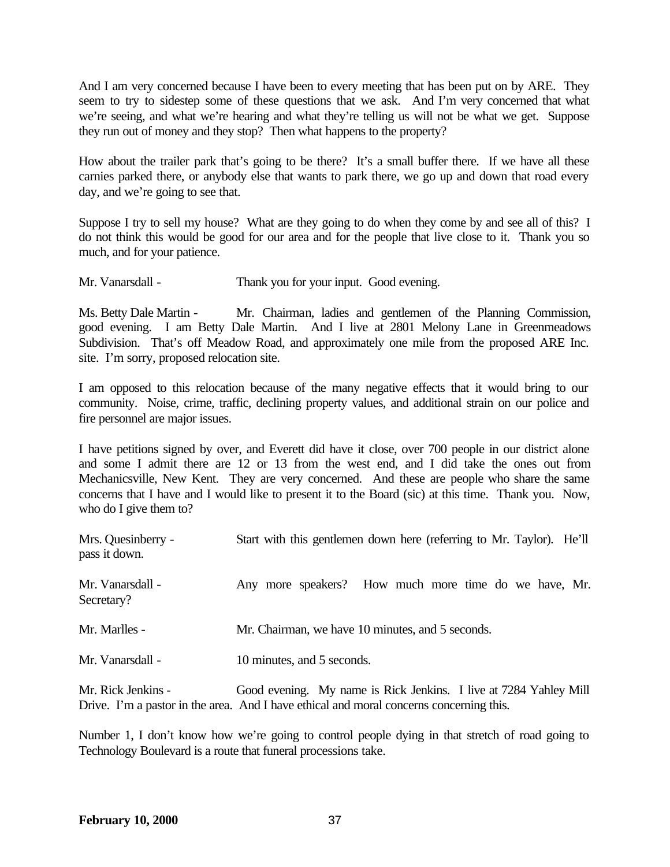And I am very concerned because I have been to every meeting that has been put on by ARE. They seem to try to sidestep some of these questions that we ask. And I'm very concerned that what we're seeing, and what we're hearing and what they're telling us will not be what we get. Suppose they run out of money and they stop? Then what happens to the property?

How about the trailer park that's going to be there? It's a small buffer there. If we have all these carnies parked there, or anybody else that wants to park there, we go up and down that road every day, and we're going to see that.

Suppose I try to sell my house? What are they going to do when they come by and see all of this? I do not think this would be good for our area and for the people that live close to it. Thank you so much, and for your patience.

Mr. Vanarsdall - Thank you for your input. Good evening.

Ms. Betty Dale Martin - Mr. Chairman, ladies and gentlemen of the Planning Commission, good evening. I am Betty Dale Martin. And I live at 2801 Melony Lane in Greenmeadows Subdivision. That's off Meadow Road, and approximately one mile from the proposed ARE Inc. site. I'm sorry, proposed relocation site.

I am opposed to this relocation because of the many negative effects that it would bring to our community. Noise, crime, traffic, declining property values, and additional strain on our police and fire personnel are major issues.

I have petitions signed by over, and Everett did have it close, over 700 people in our district alone and some I admit there are 12 or 13 from the west end, and I did take the ones out from Mechanicsville, New Kent. They are very concerned. And these are people who share the same concerns that I have and I would like to present it to the Board (sic) at this time. Thank you. Now, who do I give them to?

| Mrs. Quesinberry -<br>pass it down. | Start with this gentlemen down here (referring to Mr. Taylor). He'll |
|-------------------------------------|----------------------------------------------------------------------|
| Mr. Vanarsdall -<br>Secretary?      | Any more speakers? How much more time do we have, Mr.                |
| Mr. Marlles -                       | Mr. Chairman, we have 10 minutes, and 5 seconds.                     |
| Mr. Vanarsdall -                    | 10 minutes, and 5 seconds.                                           |

Mr. Rick Jenkins - Good evening. My name is Rick Jenkins. I live at 7284 Yahley Mill Drive. I'm a pastor in the area. And I have ethical and moral concerns concerning this.

Number 1, I don't know how we're going to control people dying in that stretch of road going to Technology Boulevard is a route that funeral processions take.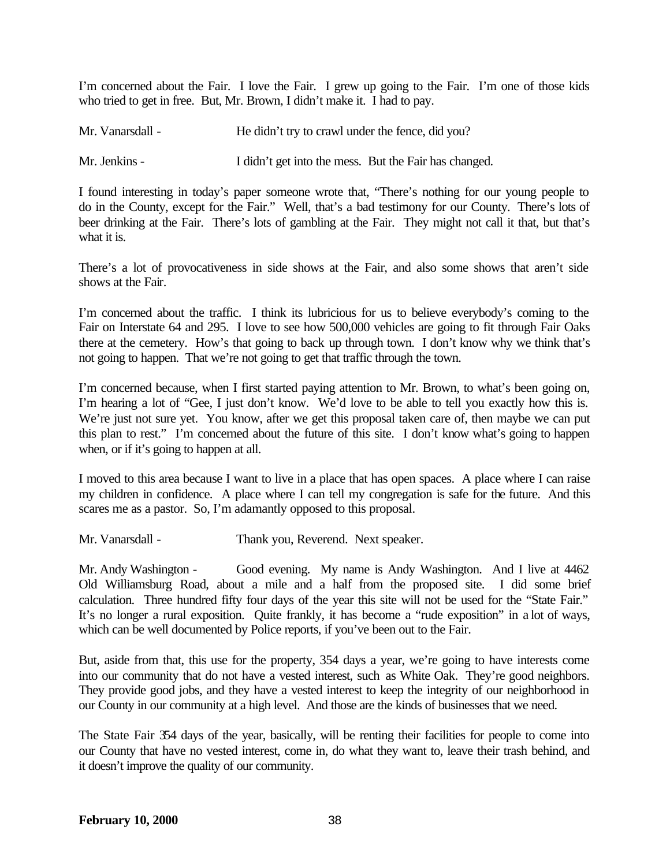I'm concerned about the Fair. I love the Fair. I grew up going to the Fair. I'm one of those kids who tried to get in free. But, Mr. Brown, I didn't make it. I had to pay.

| Mr. Vanarsdall - | He didn't try to crawl under the fence, did you? |                                                       |
|------------------|--------------------------------------------------|-------------------------------------------------------|
| Mr. Jenkins -    |                                                  | I didn't get into the mess. But the Fair has changed. |

I found interesting in today's paper someone wrote that, "There's nothing for our young people to do in the County, except for the Fair." Well, that's a bad testimony for our County. There's lots of beer drinking at the Fair. There's lots of gambling at the Fair. They might not call it that, but that's what it is.

There's a lot of provocativeness in side shows at the Fair, and also some shows that aren't side shows at the Fair.

I'm concerned about the traffic. I think its lubricious for us to believe everybody's coming to the Fair on Interstate 64 and 295. I love to see how 500,000 vehicles are going to fit through Fair Oaks there at the cemetery. How's that going to back up through town. I don't know why we think that's not going to happen. That we're not going to get that traffic through the town.

I'm concerned because, when I first started paying attention to Mr. Brown, to what's been going on, I'm hearing a lot of "Gee, I just don't know. We'd love to be able to tell you exactly how this is. We're just not sure yet. You know, after we get this proposal taken care of, then maybe we can put this plan to rest." I'm concerned about the future of this site. I don't know what's going to happen when, or if it's going to happen at all.

I moved to this area because I want to live in a place that has open spaces. A place where I can raise my children in confidence. A place where I can tell my congregation is safe for the future. And this scares me as a pastor. So, I'm adamantly opposed to this proposal.

Mr. Vanarsdall - Thank you, Reverend. Next speaker.

Mr. Andy Washington - Good evening. My name is Andy Washington. And I live at 4462 Old Williamsburg Road, about a mile and a half from the proposed site. I did some brief calculation. Three hundred fifty four days of the year this site will not be used for the "State Fair." It's no longer a rural exposition. Quite frankly, it has become a "rude exposition" in a lot of ways, which can be well documented by Police reports, if you've been out to the Fair.

But, aside from that, this use for the property, 354 days a year, we're going to have interests come into our community that do not have a vested interest, such as White Oak. They're good neighbors. They provide good jobs, and they have a vested interest to keep the integrity of our neighborhood in our County in our community at a high level. And those are the kinds of businesses that we need.

The State Fair 354 days of the year, basically, will be renting their facilities for people to come into our County that have no vested interest, come in, do what they want to, leave their trash behind, and it doesn't improve the quality of our community.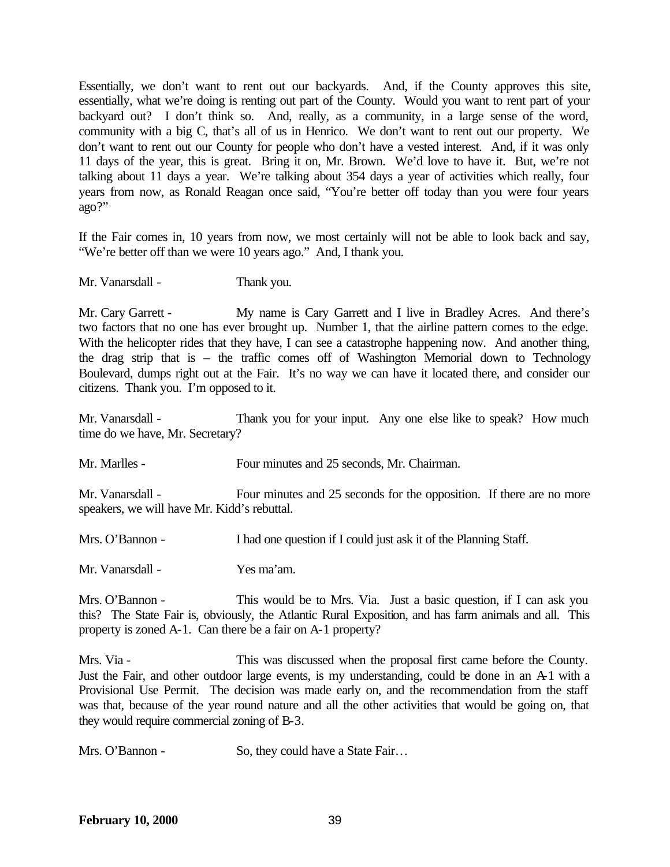Essentially, we don't want to rent out our backyards. And, if the County approves this site, essentially, what we're doing is renting out part of the County. Would you want to rent part of your backyard out? I don't think so. And, really, as a community, in a large sense of the word, community with a big C, that's all of us in Henrico. We don't want to rent out our property. We don't want to rent out our County for people who don't have a vested interest. And, if it was only 11 days of the year, this is great. Bring it on, Mr. Brown. We'd love to have it. But, we're not talking about 11 days a year. We're talking about 354 days a year of activities which really, four years from now, as Ronald Reagan once said, "You're better off today than you were four years ago?"

If the Fair comes in, 10 years from now, we most certainly will not be able to look back and say, "We're better off than we were 10 years ago." And, I thank you.

Mr. Vanarsdall - Thank you.

Mr. Cary Garrett - My name is Cary Garrett and I live in Bradley Acres. And there's two factors that no one has ever brought up. Number 1, that the airline pattern comes to the edge. With the helicopter rides that they have, I can see a catastrophe happening now. And another thing, the drag strip that is – the traffic comes off of Washington Memorial down to Technology Boulevard, dumps right out at the Fair. It's no way we can have it located there, and consider our citizens. Thank you. I'm opposed to it.

Mr. Vanarsdall - Thank you for your input. Any one else like to speak? How much time do we have, Mr. Secretary?

Mr. Marlles - Four minutes and 25 seconds, Mr. Chairman.

Mr. Vanarsdall - Four minutes and 25 seconds for the opposition. If there are no more speakers, we will have Mr. Kidd's rebuttal.

Mrs. O'Bannon - I had one question if I could just ask it of the Planning Staff.

Mr. Vanarsdall - Yes ma'am.

Mrs. O'Bannon - This would be to Mrs. Via. Just a basic question, if I can ask you this? The State Fair is, obviously, the Atlantic Rural Exposition, and has farm animals and all. This property is zoned A-1. Can there be a fair on A-1 property?

Mrs. Via - This was discussed when the proposal first came before the County. Just the Fair, and other outdoor large events, is my understanding, could be done in an A-1 with a Provisional Use Permit. The decision was made early on, and the recommendation from the staff was that, because of the year round nature and all the other activities that would be going on, that they would require commercial zoning of B-3.

Mrs. O'Bannon - So, they could have a State Fair...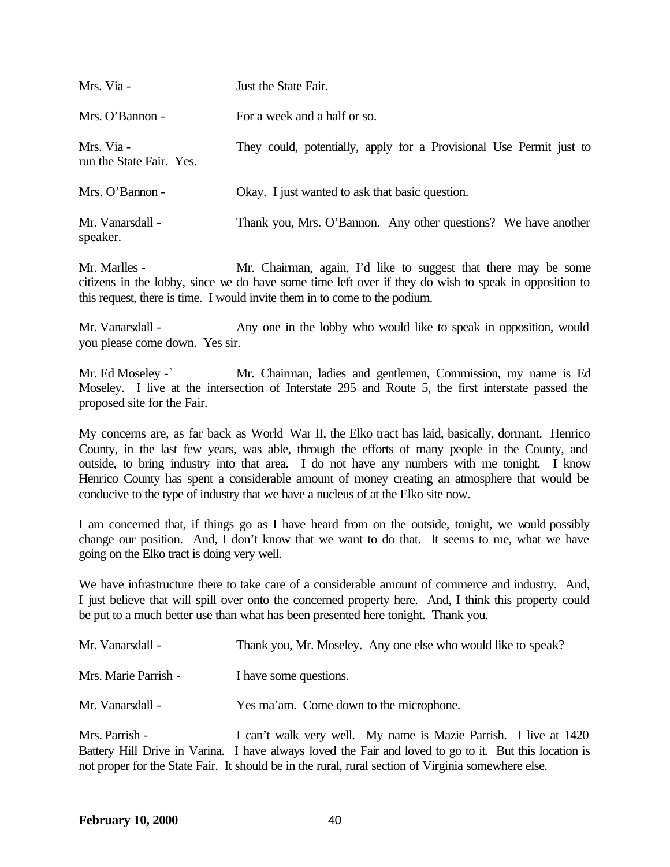| Mrs. Via -                             | Just the State Fair.                                                |
|----------------------------------------|---------------------------------------------------------------------|
| Mrs. O'Bannon -                        | For a week and a half or so.                                        |
| Mrs. Via -<br>run the State Fair. Yes. | They could, potentially, apply for a Provisional Use Permit just to |
| Mrs. O'Bannon -                        | Okay. I just wanted to ask that basic question.                     |
| Mr. Vanarsdall -<br>speaker.           | Thank you, Mrs. O'Bannon. Any other questions? We have another      |

Mr. Marlles - Mr. Chairman, again, I'd like to suggest that there may be some citizens in the lobby, since we do have some time left over if they do wish to speak in opposition to this request, there is time. I would invite them in to come to the podium.

Mr. Vanarsdall - Any one in the lobby who would like to speak in opposition, would you please come down. Yes sir.

Mr. Ed Moseley -` Mr. Chairman, ladies and gentlemen, Commission, my name is Ed Moseley. I live at the intersection of Interstate 295 and Route 5, the first interstate passed the proposed site for the Fair.

My concerns are, as far back as World War II, the Elko tract has laid, basically, dormant. Henrico County, in the last few years, was able, through the efforts of many people in the County, and outside, to bring industry into that area. I do not have any numbers with me tonight. I know Henrico County has spent a considerable amount of money creating an atmosphere that would be conducive to the type of industry that we have a nucleus of at the Elko site now.

I am concerned that, if things go as I have heard from on the outside, tonight, we would possibly change our position. And, I don't know that we want to do that. It seems to me, what we have going on the Elko tract is doing very well.

We have infrastructure there to take care of a considerable amount of commerce and industry. And, I just believe that will spill over onto the concerned property here. And, I think this property could be put to a much better use than what has been presented here tonight. Thank you.

| Mr. Vanarsdall -     | Thank you, Mr. Moseley. Any one else who would like to speak? |
|----------------------|---------------------------------------------------------------|
| Mrs. Marie Parrish - | I have some questions.                                        |
| Mr. Vanarsdall -     | Yes ma'am. Come down to the microphone.                       |
| Mrs. Parrish -       | can't walk very well. My name is Mazie Parrish I live at 14   |

I can't walk very well. My name is Mazie Parrish. I live at 1420 Battery Hill Drive in Varina. I have always loved the Fair and loved to go to it. But this location is not proper for the State Fair. It should be in the rural, rural section of Virginia somewhere else.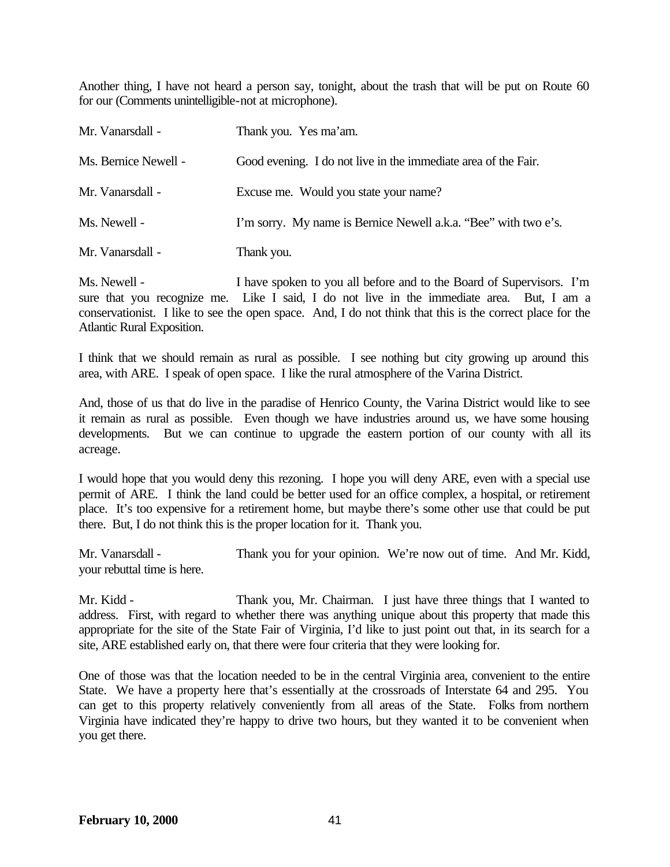Another thing, I have not heard a person say, tonight, about the trash that will be put on Route 60 for our (Comments unintelligible-not at microphone).

| Mr. Vanarsdall -     | Thank you. Yes ma'am.                                           |
|----------------------|-----------------------------------------------------------------|
| Ms. Bernice Newell - | Good evening. I do not live in the immediate area of the Fair.  |
| Mr. Vanarsdall -     | Excuse me. Would you state your name?                           |
| Ms. Newell -         | I'm sorry. My name is Bernice Newell a.k.a. "Bee" with two e's. |
| Mr. Vanarsdall -     | Thank you.                                                      |

Ms. Newell - I have spoken to you all before and to the Board of Supervisors. I'm sure that you recognize me. Like I said, I do not live in the immediate area. But, I am a conservationist. I like to see the open space. And, I do not think that this is the correct place for the Atlantic Rural Exposition.

I think that we should remain as rural as possible. I see nothing but city growing up around this area, with ARE. I speak of open space. I like the rural atmosphere of the Varina District.

And, those of us that do live in the paradise of Henrico County, the Varina District would like to see it remain as rural as possible. Even though we have industries around us, we have some housing developments. But we can continue to upgrade the eastern portion of our county with all its acreage.

I would hope that you would deny this rezoning. I hope you will deny ARE, even with a special use permit of ARE. I think the land could be better used for an office complex, a hospital, or retirement place. It's too expensive for a retirement home, but maybe there's some other use that could be put there. But, I do not think this is the proper location for it. Thank you.

Mr. Vanarsdall - Thank you for your opinion. We're now out of time. And Mr. Kidd, your rebuttal time is here.

Mr. Kidd - Thank you, Mr. Chairman. I just have three things that I wanted to address. First, with regard to whether there was anything unique about this property that made this appropriate for the site of the State Fair of Virginia, I'd like to just point out that, in its search for a site, ARE established early on, that there were four criteria that they were looking for.

One of those was that the location needed to be in the central Virginia area, convenient to the entire State. We have a property here that's essentially at the crossroads of Interstate 64 and 295. You can get to this property relatively conveniently from all areas of the State. Folks from northern Virginia have indicated they're happy to drive two hours, but they wanted it to be convenient when you get there.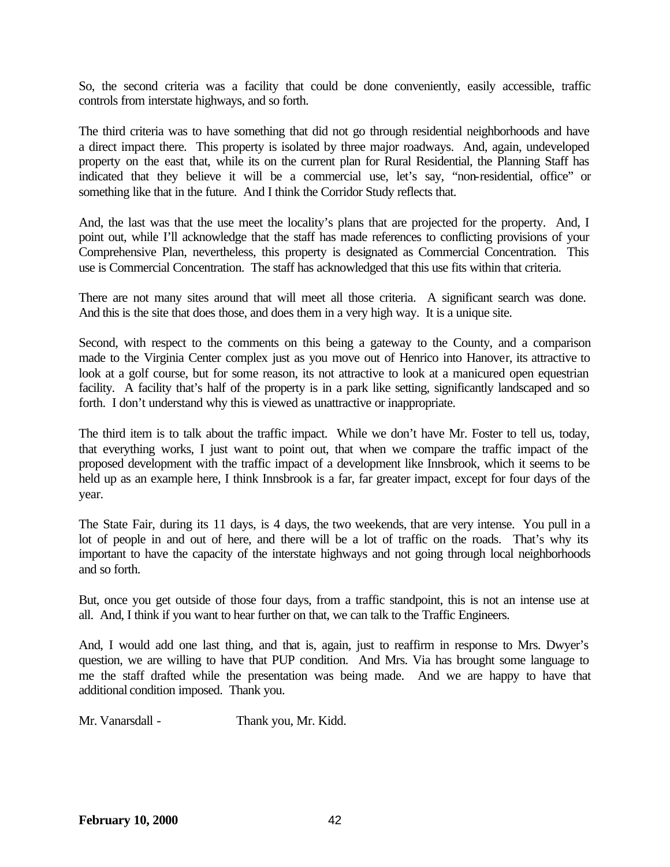So, the second criteria was a facility that could be done conveniently, easily accessible, traffic controls from interstate highways, and so forth.

The third criteria was to have something that did not go through residential neighborhoods and have a direct impact there. This property is isolated by three major roadways. And, again, undeveloped property on the east that, while its on the current plan for Rural Residential, the Planning Staff has indicated that they believe it will be a commercial use, let's say, "non-residential, office" or something like that in the future. And I think the Corridor Study reflects that.

And, the last was that the use meet the locality's plans that are projected for the property. And, I point out, while I'll acknowledge that the staff has made references to conflicting provisions of your Comprehensive Plan, nevertheless, this property is designated as Commercial Concentration. This use is Commercial Concentration. The staff has acknowledged that this use fits within that criteria.

There are not many sites around that will meet all those criteria. A significant search was done. And this is the site that does those, and does them in a very high way. It is a unique site.

Second, with respect to the comments on this being a gateway to the County, and a comparison made to the Virginia Center complex just as you move out of Henrico into Hanover, its attractive to look at a golf course, but for some reason, its not attractive to look at a manicured open equestrian facility. A facility that's half of the property is in a park like setting, significantly landscaped and so forth. I don't understand why this is viewed as unattractive or inappropriate.

The third item is to talk about the traffic impact. While we don't have Mr. Foster to tell us, today, that everything works, I just want to point out, that when we compare the traffic impact of the proposed development with the traffic impact of a development like Innsbrook, which it seems to be held up as an example here, I think Innsbrook is a far, far greater impact, except for four days of the year.

The State Fair, during its 11 days, is 4 days, the two weekends, that are very intense. You pull in a lot of people in and out of here, and there will be a lot of traffic on the roads. That's why its important to have the capacity of the interstate highways and not going through local neighborhoods and so forth.

But, once you get outside of those four days, from a traffic standpoint, this is not an intense use at all. And, I think if you want to hear further on that, we can talk to the Traffic Engineers.

And, I would add one last thing, and that is, again, just to reaffirm in response to Mrs. Dwyer's question, we are willing to have that PUP condition. And Mrs. Via has brought some language to me the staff drafted while the presentation was being made. And we are happy to have that additional condition imposed. Thank you.

Mr. Vanarsdall - Thank you, Mr. Kidd.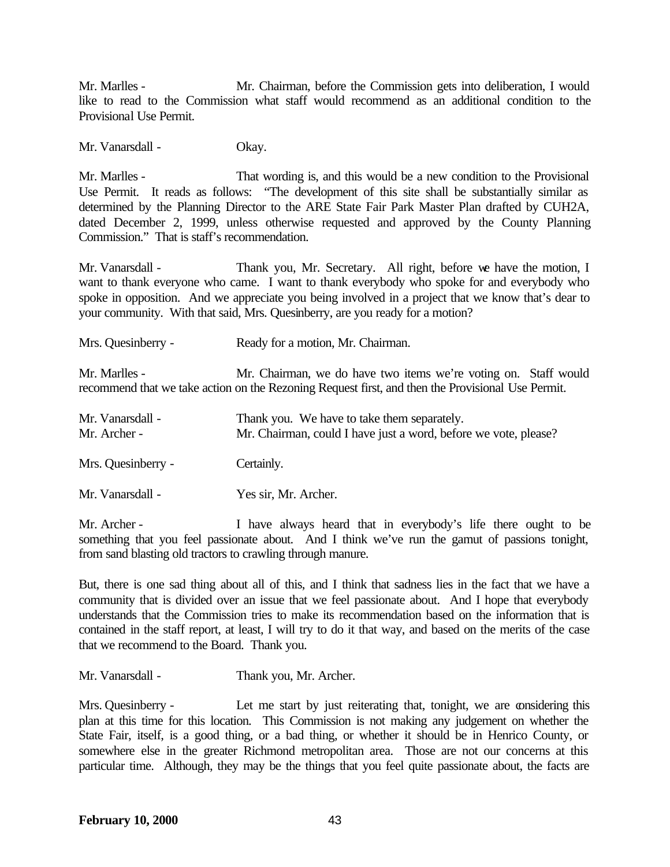Mr. Marlles - Mr. Chairman, before the Commission gets into deliberation, I would like to read to the Commission what staff would recommend as an additional condition to the Provisional Use Permit.

Mr. Vanarsdall - Okay.

Mr. Marlles - That wording is, and this would be a new condition to the Provisional Use Permit. It reads as follows: "The development of this site shall be substantially similar as determined by the Planning Director to the ARE State Fair Park Master Plan drafted by CUH2A, dated December 2, 1999, unless otherwise requested and approved by the County Planning Commission." That is staff's recommendation.

Mr. Vanarsdall - Thank you, Mr. Secretary. All right, before we have the motion, I want to thank everyone who came. I want to thank everybody who spoke for and everybody who spoke in opposition. And we appreciate you being involved in a project that we know that's dear to your community. With that said, Mrs. Quesinberry, are you ready for a motion?

Mrs. Quesinberry - Ready for a motion, Mr. Chairman.

Mr. Marlles - Mr. Chairman, we do have two items we're voting on. Staff would recommend that we take action on the Rezoning Request first, and then the Provisional Use Permit.

| Mr. Vanarsdall -<br>Mr. Archer - | Thank you. We have to take them separately.<br>Mr. Chairman, could I have just a word, before we vote, please? |
|----------------------------------|----------------------------------------------------------------------------------------------------------------|
| Mrs. Quesinberry -               | Certainly.                                                                                                     |
| Mr. Vanarsdall -                 | Yes sir, Mr. Archer.                                                                                           |

Mr. Archer - I have always heard that in everybody's life there ought to be something that you feel passionate about. And I think we've run the gamut of passions tonight, from sand blasting old tractors to crawling through manure.

But, there is one sad thing about all of this, and I think that sadness lies in the fact that we have a community that is divided over an issue that we feel passionate about. And I hope that everybody understands that the Commission tries to make its recommendation based on the information that is contained in the staff report, at least, I will try to do it that way, and based on the merits of the case that we recommend to the Board. Thank you.

Mr. Vanarsdall - Thank you, Mr. Archer.

Mrs. Quesinberry - Let me start by just reiterating that, tonight, we are considering this plan at this time for this location. This Commission is not making any judgement on whether the State Fair, itself, is a good thing, or a bad thing, or whether it should be in Henrico County, or somewhere else in the greater Richmond metropolitan area. Those are not our concerns at this particular time. Although, they may be the things that you feel quite passionate about, the facts are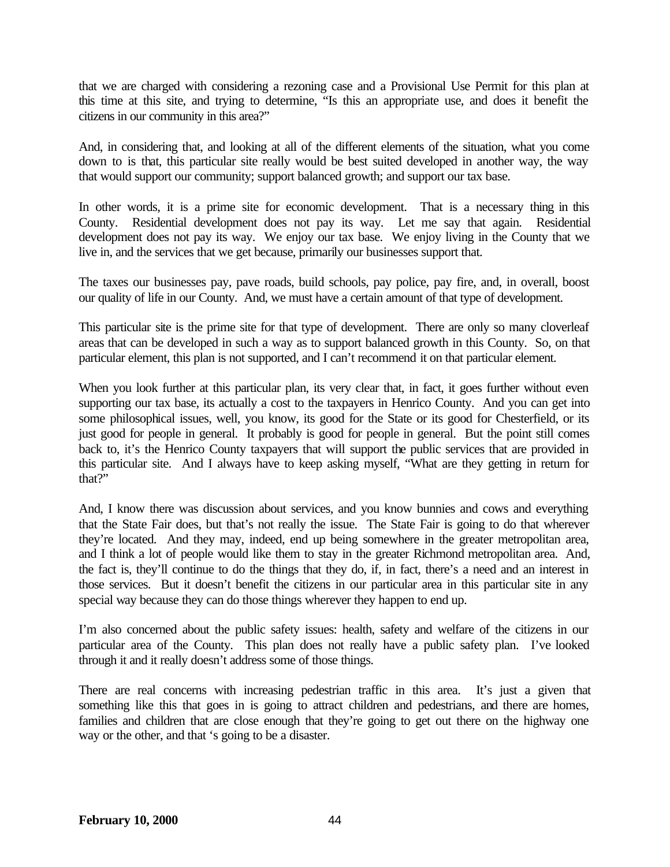that we are charged with considering a rezoning case and a Provisional Use Permit for this plan at this time at this site, and trying to determine, "Is this an appropriate use, and does it benefit the citizens in our community in this area?"

And, in considering that, and looking at all of the different elements of the situation, what you come down to is that, this particular site really would be best suited developed in another way, the way that would support our community; support balanced growth; and support our tax base.

In other words, it is a prime site for economic development. That is a necessary thing in this County. Residential development does not pay its way. Let me say that again. Residential development does not pay its way. We enjoy our tax base. We enjoy living in the County that we live in, and the services that we get because, primarily our businesses support that.

The taxes our businesses pay, pave roads, build schools, pay police, pay fire, and, in overall, boost our quality of life in our County. And, we must have a certain amount of that type of development.

This particular site is the prime site for that type of development. There are only so many cloverleaf areas that can be developed in such a way as to support balanced growth in this County. So, on that particular element, this plan is not supported, and I can't recommend it on that particular element.

When you look further at this particular plan, its very clear that, in fact, it goes further without even supporting our tax base, its actually a cost to the taxpayers in Henrico County. And you can get into some philosophical issues, well, you know, its good for the State or its good for Chesterfield, or its just good for people in general. It probably is good for people in general. But the point still comes back to, it's the Henrico County taxpayers that will support the public services that are provided in this particular site. And I always have to keep asking myself, "What are they getting in return for that?"

And, I know there was discussion about services, and you know bunnies and cows and everything that the State Fair does, but that's not really the issue. The State Fair is going to do that wherever they're located. And they may, indeed, end up being somewhere in the greater metropolitan area, and I think a lot of people would like them to stay in the greater Richmond metropolitan area. And, the fact is, they'll continue to do the things that they do, if, in fact, there's a need and an interest in those services. But it doesn't benefit the citizens in our particular area in this particular site in any special way because they can do those things wherever they happen to end up.

I'm also concerned about the public safety issues: health, safety and welfare of the citizens in our particular area of the County. This plan does not really have a public safety plan. I've looked through it and it really doesn't address some of those things.

There are real concerns with increasing pedestrian traffic in this area. It's just a given that something like this that goes in is going to attract children and pedestrians, and there are homes, families and children that are close enough that they're going to get out there on the highway one way or the other, and that 's going to be a disaster.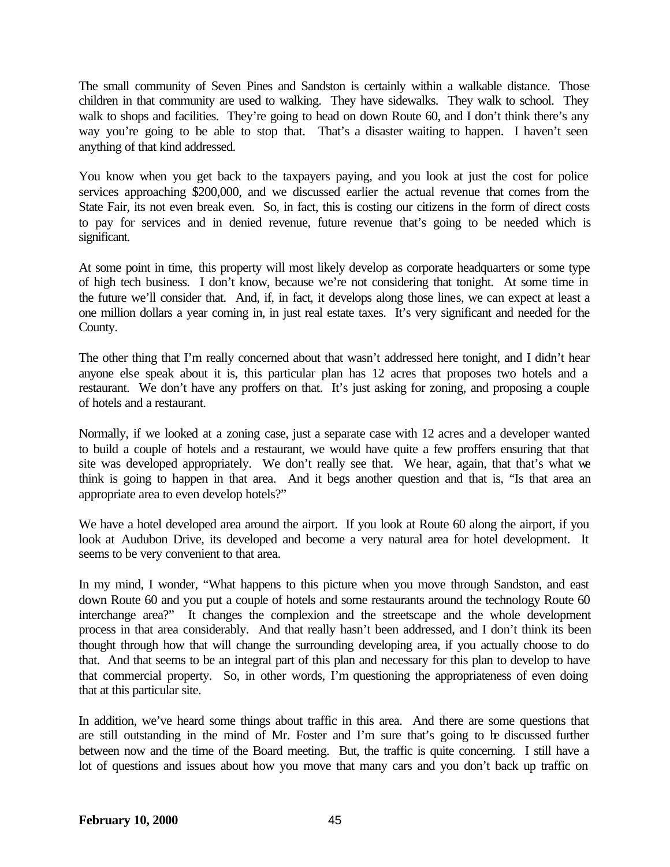The small community of Seven Pines and Sandston is certainly within a walkable distance. Those children in that community are used to walking. They have sidewalks. They walk to school. They walk to shops and facilities. They're going to head on down Route 60, and I don't think there's any way you're going to be able to stop that. That's a disaster waiting to happen. I haven't seen anything of that kind addressed.

You know when you get back to the taxpayers paying, and you look at just the cost for police services approaching \$200,000, and we discussed earlier the actual revenue that comes from the State Fair, its not even break even. So, in fact, this is costing our citizens in the form of direct costs to pay for services and in denied revenue, future revenue that's going to be needed which is significant.

At some point in time, this property will most likely develop as corporate headquarters or some type of high tech business. I don't know, because we're not considering that tonight. At some time in the future we'll consider that. And, if, in fact, it develops along those lines, we can expect at least a one million dollars a year coming in, in just real estate taxes. It's very significant and needed for the County.

The other thing that I'm really concerned about that wasn't addressed here tonight, and I didn't hear anyone else speak about it is, this particular plan has 12 acres that proposes two hotels and a restaurant. We don't have any proffers on that. It's just asking for zoning, and proposing a couple of hotels and a restaurant.

Normally, if we looked at a zoning case, just a separate case with 12 acres and a developer wanted to build a couple of hotels and a restaurant, we would have quite a few proffers ensuring that that site was developed appropriately. We don't really see that. We hear, again, that that's what we think is going to happen in that area. And it begs another question and that is, "Is that area an appropriate area to even develop hotels?"

We have a hotel developed area around the airport. If you look at Route 60 along the airport, if you look at Audubon Drive, its developed and become a very natural area for hotel development. It seems to be very convenient to that area.

In my mind, I wonder, "What happens to this picture when you move through Sandston, and east down Route 60 and you put a couple of hotels and some restaurants around the technology Route 60 interchange area?" It changes the complexion and the streetscape and the whole development process in that area considerably. And that really hasn't been addressed, and I don't think its been thought through how that will change the surrounding developing area, if you actually choose to do that. And that seems to be an integral part of this plan and necessary for this plan to develop to have that commercial property. So, in other words, I'm questioning the appropriateness of even doing that at this particular site.

In addition, we've heard some things about traffic in this area. And there are some questions that are still outstanding in the mind of Mr. Foster and I'm sure that's going to be discussed further between now and the time of the Board meeting. But, the traffic is quite concerning. I still have a lot of questions and issues about how you move that many cars and you don't back up traffic on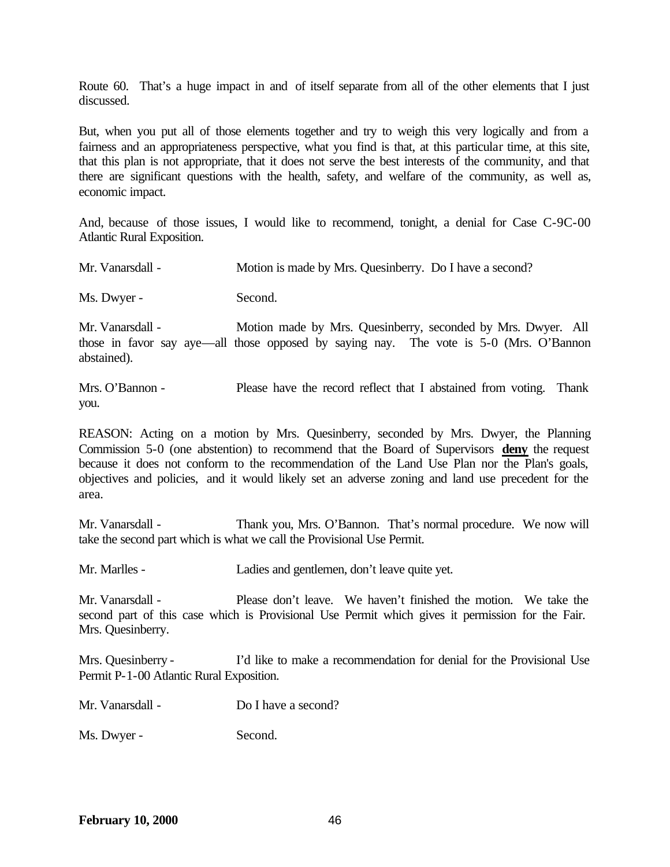Route 60. That's a huge impact in and of itself separate from all of the other elements that I just discussed.

But, when you put all of those elements together and try to weigh this very logically and from a fairness and an appropriateness perspective, what you find is that, at this particular time, at this site, that this plan is not appropriate, that it does not serve the best interests of the community, and that there are significant questions with the health, safety, and welfare of the community, as well as, economic impact.

And, because of those issues, I would like to recommend, tonight, a denial for Case C-9C-00 Atlantic Rural Exposition.

Ms. Dwyer - Second.

Mr. Vanarsdall - Motion made by Mrs. Quesinberry, seconded by Mrs. Dwyer. All those in favor say aye—all those opposed by saying nay. The vote is 5-0 (Mrs. O'Bannon abstained).

Mrs. O'Bannon - Please have the record reflect that I abstained from voting. Thank you.

REASON: Acting on a motion by Mrs. Quesinberry, seconded by Mrs. Dwyer, the Planning Commission 5-0 (one abstention) to recommend that the Board of Supervisors **deny** the request because it does not conform to the recommendation of the Land Use Plan nor the Plan's goals, objectives and policies, and it would likely set an adverse zoning and land use precedent for the area.

Mr. Vanarsdall - Thank you, Mrs. O'Bannon. That's normal procedure. We now will take the second part which is what we call the Provisional Use Permit.

Mr. Marlles - Ladies and gentlemen, don't leave quite yet.

Mr. Vanarsdall - Please don't leave. We haven't finished the motion. We take the second part of this case which is Provisional Use Permit which gives it permission for the Fair. Mrs. Quesinberry.

Mrs. Quesinberry - I'd like to make a recommendation for denial for the Provisional Use Permit P-1-00 Atlantic Rural Exposition.

| Mr. Vanarsdall - | Do I have a second? |  |
|------------------|---------------------|--|
|                  |                     |  |

Ms. Dwyer - Second.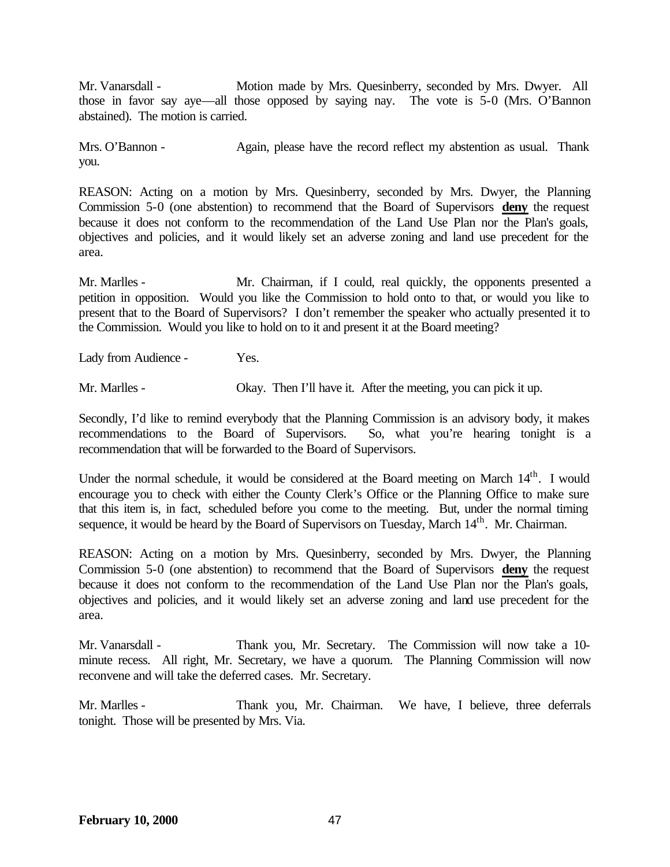Mr. Vanarsdall - Motion made by Mrs. Quesinberry, seconded by Mrs. Dwyer. All those in favor say aye—all those opposed by saying nay. The vote is 5-0 (Mrs. O'Bannon abstained). The motion is carried.

Mrs. O'Bannon - Again, please have the record reflect my abstention as usual. Thank you.

REASON: Acting on a motion by Mrs. Quesinberry, seconded by Mrs. Dwyer, the Planning Commission 5-0 (one abstention) to recommend that the Board of Supervisors **deny** the request because it does not conform to the recommendation of the Land Use Plan nor the Plan's goals, objectives and policies, and it would likely set an adverse zoning and land use precedent for the area.

Mr. Marlles - Mr. Chairman, if I could, real quickly, the opponents presented a petition in opposition. Would you like the Commission to hold onto to that, or would you like to present that to the Board of Supervisors? I don't remember the speaker who actually presented it to the Commission. Would you like to hold on to it and present it at the Board meeting?

Lady from Audience - Yes.

Mr. Marlles - Okay. Then I'll have it. After the meeting, you can pick it up.

Secondly, I'd like to remind everybody that the Planning Commission is an advisory body, it makes recommendations to the Board of Supervisors. So, what you're hearing tonight is a recommendation that will be forwarded to the Board of Supervisors.

Under the normal schedule, it would be considered at the Board meeting on March  $14<sup>th</sup>$ . I would encourage you to check with either the County Clerk's Office or the Planning Office to make sure that this item is, in fact, scheduled before you come to the meeting. But, under the normal timing sequence, it would be heard by the Board of Supervisors on Tuesday, March 14<sup>th</sup>. Mr. Chairman.

REASON: Acting on a motion by Mrs. Quesinberry, seconded by Mrs. Dwyer, the Planning Commission 5-0 (one abstention) to recommend that the Board of Supervisors **deny** the request because it does not conform to the recommendation of the Land Use Plan nor the Plan's goals, objectives and policies, and it would likely set an adverse zoning and land use precedent for the area.

Mr. Vanarsdall - Thank you, Mr. Secretary. The Commission will now take a 10 minute recess. All right, Mr. Secretary, we have a quorum. The Planning Commission will now reconvene and will take the deferred cases. Mr. Secretary.

Mr. Marlles - Thank you, Mr. Chairman. We have, I believe, three deferrals tonight. Those will be presented by Mrs. Via.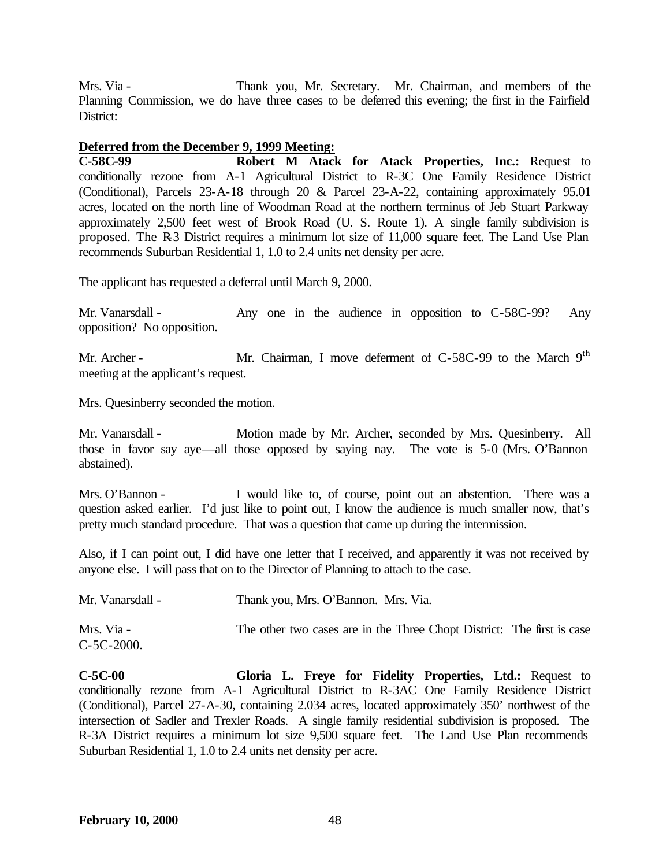Mrs. Via - Thank you, Mr. Secretary. Mr. Chairman, and members of the Planning Commission, we do have three cases to be deferred this evening; the first in the Fairfield District:

## **Deferred from the December 9, 1999 Meeting:**

**C-58C-99 Robert M Atack for Atack Properties, Inc.:** Request to conditionally rezone from A-1 Agricultural District to R-3C One Family Residence District (Conditional), Parcels 23-A-18 through 20 & Parcel 23-A-22, containing approximately 95.01 acres, located on the north line of Woodman Road at the northern terminus of Jeb Stuart Parkway approximately 2,500 feet west of Brook Road (U. S. Route 1). A single family subdivision is proposed. The R-3 District requires a minimum lot size of 11,000 square feet. The Land Use Plan recommends Suburban Residential 1, 1.0 to 2.4 units net density per acre.

The applicant has requested a deferral until March 9, 2000.

Mr. Vanarsdall - Any one in the audience in opposition to C-58C-99? Any opposition? No opposition.

Mr. Archer - Mr. Chairman, I move deferment of C-58C-99 to the March 9<sup>th</sup> meeting at the applicant's request.

Mrs. Quesinberry seconded the motion.

Mr. Vanarsdall - Motion made by Mr. Archer, seconded by Mrs. Quesinberry. All those in favor say aye—all those opposed by saying nay. The vote is 5-0 (Mrs. O'Bannon abstained).

Mrs. O'Bannon - I would like to, of course, point out an abstention. There was a question asked earlier. I'd just like to point out, I know the audience is much smaller now, that's pretty much standard procedure. That was a question that came up during the intermission.

Also, if I can point out, I did have one letter that I received, and apparently it was not received by anyone else. I will pass that on to the Director of Planning to attach to the case.

| Mr. Vanarsdall - | Thank you, Mrs. O'Bannon. Mrs. Via.                                    |  |
|------------------|------------------------------------------------------------------------|--|
| Mrs. Via -       | The other two cases are in the Three Chopt District: The first is case |  |
| $C-5C-2000.$     |                                                                        |  |

**C-5C-00 Gloria L. Freye for Fidelity Properties, Ltd.:** Request to conditionally rezone from A-1 Agricultural District to R-3AC One Family Residence District (Conditional), Parcel 27-A-30, containing 2.034 acres, located approximately 350' northwest of the intersection of Sadler and Trexler Roads. A single family residential subdivision is proposed. The R-3A District requires a minimum lot size 9,500 square feet. The Land Use Plan recommends Suburban Residential 1, 1.0 to 2.4 units net density per acre.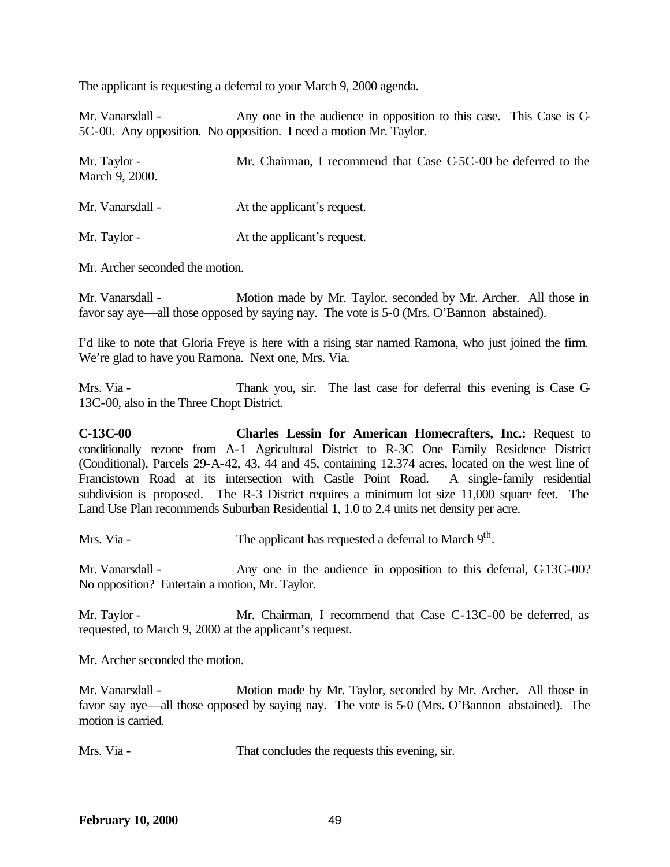The applicant is requesting a deferral to your March 9, 2000 agenda.

Mr. Vanarsdall - Any one in the audience in opposition to this case. This Case is C-5C-00. Any opposition. No opposition. I need a motion Mr. Taylor.

| Mr. Taylor -<br>March 9, 2000. | Mr. Chairman, I recommend that Case C-5C-00 be deferred to the |
|--------------------------------|----------------------------------------------------------------|
| Mr. Vanarsdall -               | At the applicant's request.                                    |
| Mr. Taylor -                   | At the applicant's request.                                    |

Mr. Archer seconded the motion.

Mr. Vanarsdall - Motion made by Mr. Taylor, seconded by Mr. Archer. All those in favor say aye—all those opposed by saying nay. The vote is 5-0 (Mrs. O'Bannon abstained).

I'd like to note that Gloria Freye is here with a rising star named Ramona, who just joined the firm. We're glad to have you Ramona. Next one, Mrs. Via.

Mrs. Via - Thank you, sir. The last case for deferral this evening is Case C-13C-00, also in the Three Chopt District.

**C-13C-00 Charles Lessin for American Homecrafters, Inc.:** Request to conditionally rezone from A-1 Agricultural District to R-3C One Family Residence District (Conditional), Parcels 29-A-42, 43, 44 and 45, containing 12.374 acres, located on the west line of Francistown Road at its intersection with Castle Point Road. A single-family residential subdivision is proposed. The R-3 District requires a minimum lot size 11,000 square feet. The Land Use Plan recommends Suburban Residential 1, 1.0 to 2.4 units net density per acre.

Mrs. Via - The applicant has requested a deferral to March 9<sup>th</sup>.

Mr. Vanarsdall - Any one in the audience in opposition to this deferral, C-13C-00? No opposition? Entertain a motion, Mr. Taylor.

Mr. Taylor - Mr. Chairman, I recommend that Case C-13C-00 be deferred, as requested, to March 9, 2000 at the applicant's request.

Mr. Archer seconded the motion.

Mr. Vanarsdall - Motion made by Mr. Taylor, seconded by Mr. Archer. All those in favor say aye—all those opposed by saying nay. The vote is 5-0 (Mrs. O'Bannon abstained). The motion is carried.

Mrs. Via - That concludes the requests this evening, sir.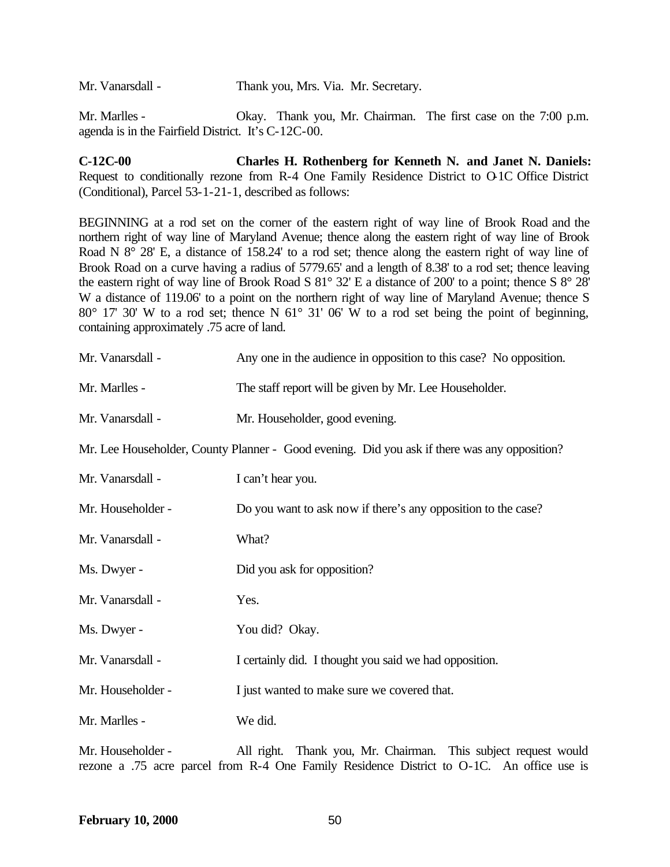Mr. Vanarsdall - Thank you, Mrs. Via. Mr. Secretary.

Mr. Marlles - Okay. Thank you, Mr. Chairman. The first case on the 7:00 p.m. agenda is in the Fairfield District. It's C-12C-00.

**C-12C-00 Charles H. Rothenberg for Kenneth N. and Janet N. Daniels:** Request to conditionally rezone from R-4 One Family Residence District to O-1C Office District (Conditional), Parcel 53-1-21-1, described as follows:

BEGINNING at a rod set on the corner of the eastern right of way line of Brook Road and the northern right of way line of Maryland Avenue; thence along the eastern right of way line of Brook Road N 8° 28' E, a distance of 158.24' to a rod set; thence along the eastern right of way line of Brook Road on a curve having a radius of 5779.65' and a length of 8.38' to a rod set; thence leaving the eastern right of way line of Brook Road S 81° 32' E a distance of 200' to a point; thence S 8° 28' W a distance of 119.06' to a point on the northern right of way line of Maryland Avenue; thence S 80° 17' 30' W to a rod set; thence N 61° 31' 06' W to a rod set being the point of beginning, containing approximately .75 acre of land.

| Mr. Vanarsdall -                                                                             | Any one in the audience in opposition to this case? No opposition. |  |
|----------------------------------------------------------------------------------------------|--------------------------------------------------------------------|--|
| Mr. Marlles -                                                                                | The staff report will be given by Mr. Lee Householder.             |  |
| Mr. Vanarsdall -                                                                             | Mr. Householder, good evening.                                     |  |
| Mr. Lee Householder, County Planner - Good evening. Did you ask if there was any opposition? |                                                                    |  |
| Mr. Vanarsdall -                                                                             | I can't hear you.                                                  |  |
| Mr. Householder -                                                                            | Do you want to ask now if there's any opposition to the case?      |  |
| Mr. Vanarsdall -                                                                             | What?                                                              |  |
| Ms. Dwyer -                                                                                  | Did you ask for opposition?                                        |  |
| Mr. Vanarsdall -                                                                             | Yes.                                                               |  |
| Ms. Dwyer -                                                                                  | You did? Okay.                                                     |  |
| Mr. Vanarsdall -                                                                             | I certainly did. I thought you said we had opposition.             |  |
| Mr. Householder -                                                                            | I just wanted to make sure we covered that.                        |  |
| Mr. Marlles -                                                                                | We did.                                                            |  |
|                                                                                              |                                                                    |  |

Mr. Householder - All right. Thank you, Mr. Chairman. This subject request would rezone a .75 acre parcel from R-4 One Family Residence District to O-1C. An office use is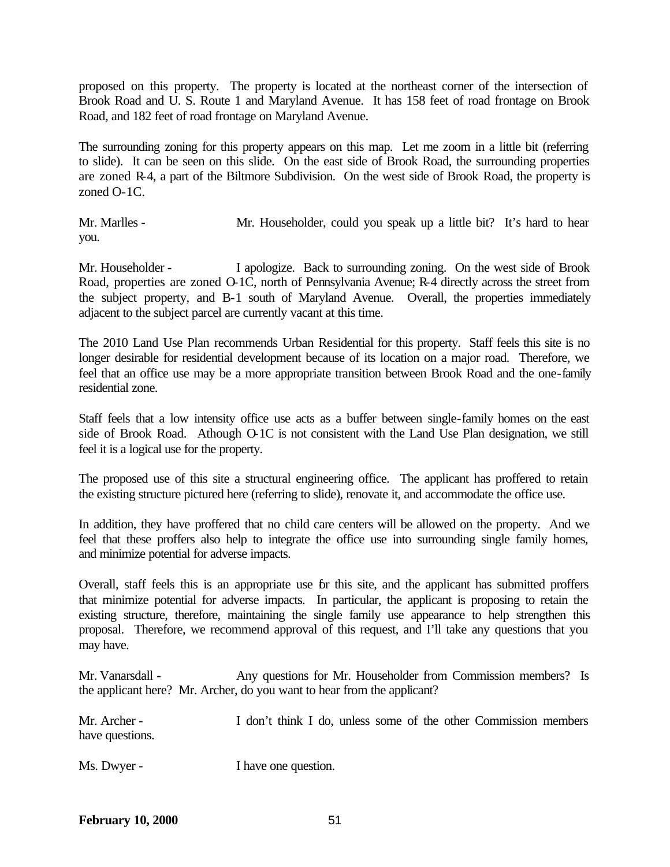proposed on this property. The property is located at the northeast corner of the intersection of Brook Road and U. S. Route 1 and Maryland Avenue. It has 158 feet of road frontage on Brook Road, and 182 feet of road frontage on Maryland Avenue.

The surrounding zoning for this property appears on this map. Let me zoom in a little bit (referring to slide). It can be seen on this slide. On the east side of Brook Road, the surrounding properties are zoned R-4, a part of the Biltmore Subdivision. On the west side of Brook Road, the property is zoned O-1C.

Mr. Marlles - Mr. Householder, could you speak up a little bit? It's hard to hear you.

Mr. Householder - I apologize. Back to surrounding zoning. On the west side of Brook Road, properties are zoned O-1C, north of Pennsylvania Avenue; R-4 directly across the street from the subject property, and B-1 south of Maryland Avenue. Overall, the properties immediately adjacent to the subject parcel are currently vacant at this time.

The 2010 Land Use Plan recommends Urban Residential for this property. Staff feels this site is no longer desirable for residential development because of its location on a major road. Therefore, we feel that an office use may be a more appropriate transition between Brook Road and the one-family residential zone.

Staff feels that a low intensity office use acts as a buffer between single-family homes on the east side of Brook Road. Athough O-1C is not consistent with the Land Use Plan designation, we still feel it is a logical use for the property.

The proposed use of this site a structural engineering office. The applicant has proffered to retain the existing structure pictured here (referring to slide), renovate it, and accommodate the office use.

In addition, they have proffered that no child care centers will be allowed on the property. And we feel that these proffers also help to integrate the office use into surrounding single family homes, and minimize potential for adverse impacts.

Overall, staff feels this is an appropriate use for this site, and the applicant has submitted proffers that minimize potential for adverse impacts. In particular, the applicant is proposing to retain the existing structure, therefore, maintaining the single family use appearance to help strengthen this proposal. Therefore, we recommend approval of this request, and I'll take any questions that you may have.

Mr. Vanarsdall - Any questions for Mr. Householder from Commission members? Is the applicant here? Mr. Archer, do you want to hear from the applicant?

Mr. Archer - I don't think I do, unless some of the other Commission members have questions.

Ms. Dwyer - I have one question.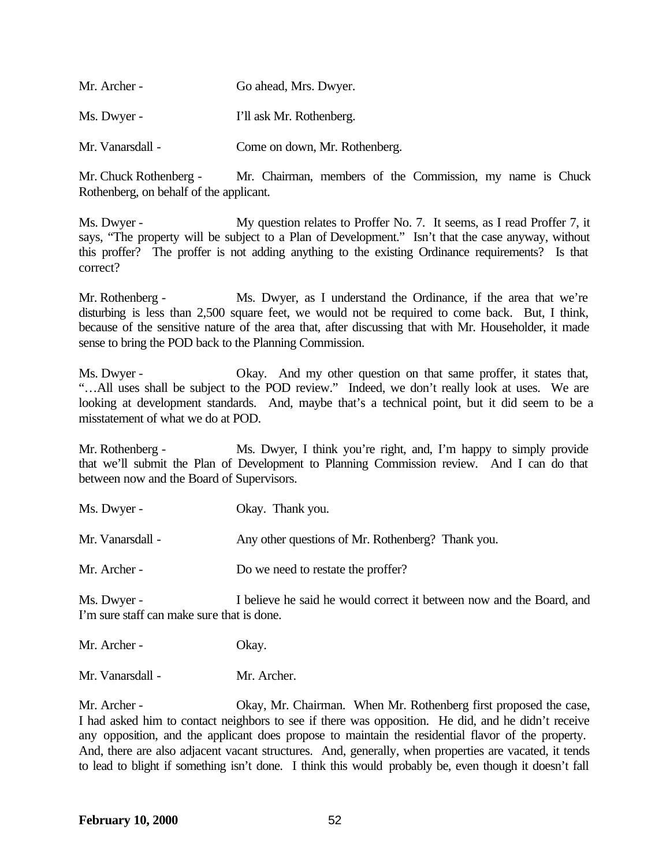| Mr. Archer -     | Go ahead, Mrs. Dwyer.         |
|------------------|-------------------------------|
| Ms. Dwyer -      | I'll ask Mr. Rothenberg.      |
| Mr. Vanarsdall - | Come on down, Mr. Rothenberg. |

Mr. Chuck Rothenberg - Mr. Chairman, members of the Commission, my name is Chuck Rothenberg, on behalf of the applicant.

Ms. Dwyer - My question relates to Proffer No. 7. It seems, as I read Proffer 7, it says, "The property will be subject to a Plan of Development." Isn't that the case anyway, without this proffer? The proffer is not adding anything to the existing Ordinance requirements? Is that correct?

Mr. Rothenberg - Ms. Dwyer, as I understand the Ordinance, if the area that we're disturbing is less than 2,500 square feet, we would not be required to come back. But, I think, because of the sensitive nature of the area that, after discussing that with Mr. Householder, it made sense to bring the POD back to the Planning Commission.

Ms. Dwyer - Okay. And my other question on that same proffer, it states that, "…All uses shall be subject to the POD review." Indeed, we don't really look at uses. We are looking at development standards. And, maybe that's a technical point, but it did seem to be a misstatement of what we do at POD.

Mr. Rothenberg - Ms. Dwyer, I think you're right, and, I'm happy to simply provide that we'll submit the Plan of Development to Planning Commission review. And I can do that between now and the Board of Supervisors.

| Ms. Dwyer -      | Okay. Thank you.                                  |
|------------------|---------------------------------------------------|
| Mr. Vanarsdall - | Any other questions of Mr. Rothenberg? Thank you. |
| Mr. Archer -     | Do we need to restate the proffer?                |

Ms. Dwyer - I believe he said he would correct it between now and the Board, and I'm sure staff can make sure that is done.

Mr. Archer - Okay.

Mr. Vanarsdall - Mr. Archer.

Mr. Archer - Okay, Mr. Chairman. When Mr. Rothenberg first proposed the case, I had asked him to contact neighbors to see if there was opposition. He did, and he didn't receive any opposition, and the applicant does propose to maintain the residential flavor of the property. And, there are also adjacent vacant structures. And, generally, when properties are vacated, it tends to lead to blight if something isn't done. I think this would probably be, even though it doesn't fall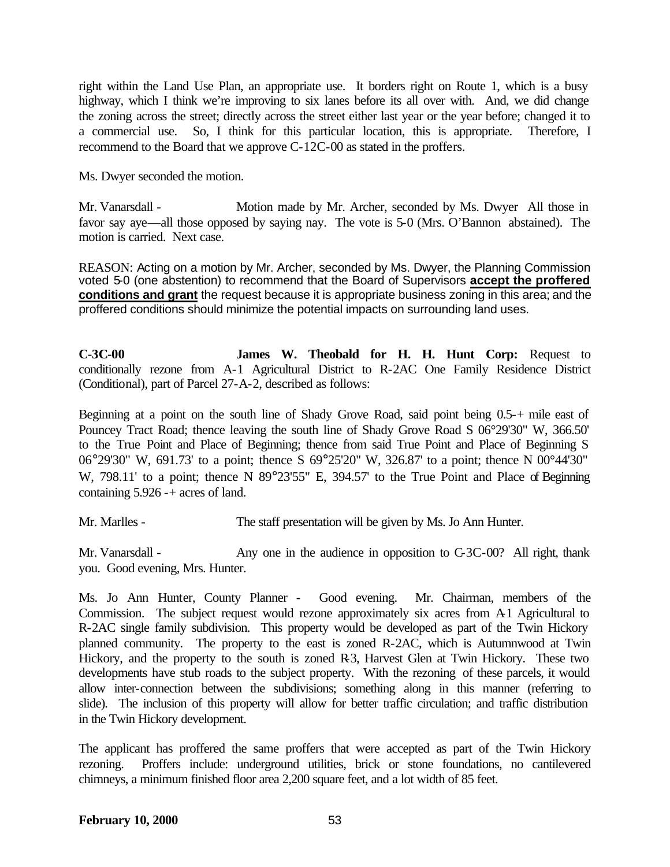right within the Land Use Plan, an appropriate use. It borders right on Route 1, which is a busy highway, which I think we're improving to six lanes before its all over with. And, we did change the zoning across the street; directly across the street either last year or the year before; changed it to a commercial use. So, I think for this particular location, this is appropriate. Therefore, I recommend to the Board that we approve C-12C-00 as stated in the proffers.

Ms. Dwyer seconded the motion.

Mr. Vanarsdall - Motion made by Mr. Archer, seconded by Ms. Dwyer All those in favor say aye—all those opposed by saying nay. The vote is 5-0 (Mrs. O'Bannon abstained). The motion is carried. Next case.

REASON: Acting on a motion by Mr. Archer, seconded by Ms. Dwyer, the Planning Commission voted 5-0 (one abstention) to recommend that the Board of Supervisors **accept the proffered conditions and grant** the request because it is appropriate business zoning in this area; and the proffered conditions should minimize the potential impacts on surrounding land uses.

**C-3C-00 James W. Theobald for H. H. Hunt Corp:** Request to conditionally rezone from A-1 Agricultural District to R-2AC One Family Residence District (Conditional), part of Parcel 27-A-2, described as follows:

Beginning at a point on the south line of Shady Grove Road, said point being 0.5-+ mile east of Pouncey Tract Road; thence leaving the south line of Shady Grove Road S 06°29'30" W, 366.50' to the True Point and Place of Beginning; thence from said True Point and Place of Beginning S 06°29'30" W, 691.73' to a point; thence S 69°25'20" W, 326.87' to a point; thence N 00°44'30" W, 798.11' to a point; thence N 89°23'55" E, 394.57' to the True Point and Place of Beginning containing 5.926 -+ acres of land.

Mr. Marlles - The staff presentation will be given by Ms. Jo Ann Hunter.

Mr. Vanarsdall - Any one in the audience in opposition to C-3C-00? All right, thank you. Good evening, Mrs. Hunter.

Ms. Jo Ann Hunter, County Planner - Good evening. Mr. Chairman, members of the Commission. The subject request would rezone approximately six acres from A1 Agricultural to R-2AC single family subdivision. This property would be developed as part of the Twin Hickory planned community. The property to the east is zoned R-2AC, which is Autumnwood at Twin Hickory, and the property to the south is zoned R-3, Harvest Glen at Twin Hickory. These two developments have stub roads to the subject property. With the rezoning of these parcels, it would allow inter-connection between the subdivisions; something along in this manner (referring to slide). The inclusion of this property will allow for better traffic circulation; and traffic distribution in the Twin Hickory development.

The applicant has proffered the same proffers that were accepted as part of the Twin Hickory rezoning. Proffers include: underground utilities, brick or stone foundations, no cantilevered chimneys, a minimum finished floor area 2,200 square feet, and a lot width of 85 feet.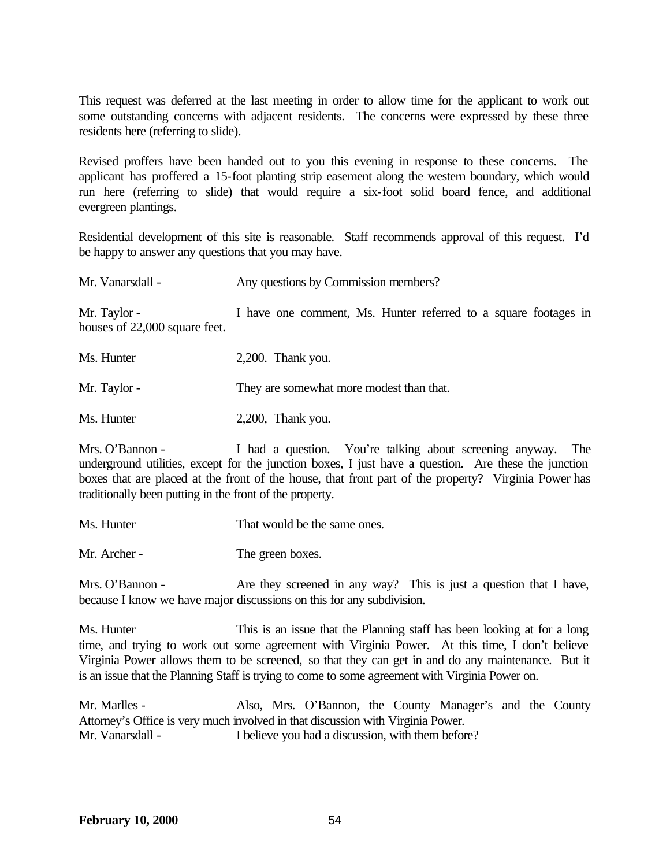This request was deferred at the last meeting in order to allow time for the applicant to work out some outstanding concerns with adjacent residents. The concerns were expressed by these three residents here (referring to slide).

Revised proffers have been handed out to you this evening in response to these concerns. The applicant has proffered a 15-foot planting strip easement along the western boundary, which would run here (referring to slide) that would require a six-foot solid board fence, and additional evergreen plantings.

Residential development of this site is reasonable. Staff recommends approval of this request. I'd be happy to answer any questions that you may have.

| Mr. Vanarsdall -                              | Any questions by Commission members?                            |  |
|-----------------------------------------------|-----------------------------------------------------------------|--|
| Mr. Taylor -<br>houses of 22,000 square feet. | I have one comment, Ms. Hunter referred to a square footages in |  |
| Ms. Hunter                                    | $2,200$ . Thank you.                                            |  |
| Mr. Taylor -                                  | They are somewhat more modest than that.                        |  |

Ms. Hunter 2,200, Thank you.

Mrs. O'Bannon - I had a question. You're talking about screening anyway. The underground utilities, except for the junction boxes, I just have a question. Are these the junction boxes that are placed at the front of the house, that front part of the property? Virginia Power has traditionally been putting in the front of the property.

Ms. Hunter That would be the same ones.

Mr. Archer - The green boxes.

Mrs. O'Bannon - Are they screened in any way? This is just a question that I have, because I know we have major discussions on this for any subdivision.

Ms. Hunter This is an issue that the Planning staff has been looking at for a long time, and trying to work out some agreement with Virginia Power. At this time, I don't believe Virginia Power allows them to be screened, so that they can get in and do any maintenance. But it is an issue that the Planning Staff is trying to come to some agreement with Virginia Power on.

Mr. Marlles - Also, Mrs. O'Bannon, the County Manager's and the County Attorney's Office is very much involved in that discussion with Virginia Power. Mr. Vanarsdall - I believe you had a discussion, with them before?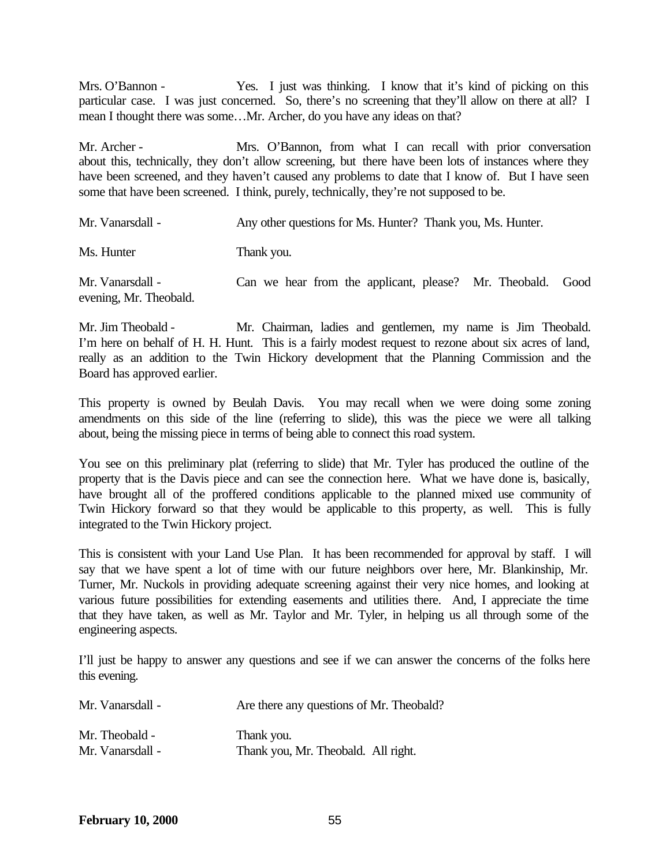Mrs. O'Bannon - Yes. I just was thinking. I know that it's kind of picking on this particular case. I was just concerned. So, there's no screening that they'll allow on there at all? I mean I thought there was some…Mr. Archer, do you have any ideas on that?

Mr. Archer - Mrs. O'Bannon, from what I can recall with prior conversation about this, technically, they don't allow screening, but there have been lots of instances where they have been screened, and they haven't caused any problems to date that I know of. But I have seen some that have been screened. I think, purely, technically, they're not supposed to be.

| Mr. Vanarsdall -                           | Any other questions for Ms. Hunter? Thank you, Ms. Hunter. |      |
|--------------------------------------------|------------------------------------------------------------|------|
| Ms. Hunter                                 | Thank you.                                                 |      |
| Mr. Vanarsdall -<br>evening, Mr. Theobald. | Can we hear from the applicant, please? Mr. Theobald.      | Good |

Mr. Jim Theobald - Mr. Chairman, ladies and gentlemen, my name is Jim Theobald. I'm here on behalf of H. H. Hunt. This is a fairly modest request to rezone about six acres of land, really as an addition to the Twin Hickory development that the Planning Commission and the Board has approved earlier.

This property is owned by Beulah Davis. You may recall when we were doing some zoning amendments on this side of the line (referring to slide), this was the piece we were all talking about, being the missing piece in terms of being able to connect this road system.

You see on this preliminary plat (referring to slide) that Mr. Tyler has produced the outline of the property that is the Davis piece and can see the connection here. What we have done is, basically, have brought all of the proffered conditions applicable to the planned mixed use community of Twin Hickory forward so that they would be applicable to this property, as well. This is fully integrated to the Twin Hickory project.

This is consistent with your Land Use Plan. It has been recommended for approval by staff. I will say that we have spent a lot of time with our future neighbors over here, Mr. Blankinship, Mr. Turner, Mr. Nuckols in providing adequate screening against their very nice homes, and looking at various future possibilities for extending easements and utilities there. And, I appreciate the time that they have taken, as well as Mr. Taylor and Mr. Tyler, in helping us all through some of the engineering aspects.

I'll just be happy to answer any questions and see if we can answer the concerns of the folks here this evening.

| Mr. Vanarsdall - | Are there any questions of Mr. Theobald? |
|------------------|------------------------------------------|
| Mr. Theobald -   | Thank you.                               |
| Mr. Vanarsdall - | Thank you, Mr. Theobald. All right.      |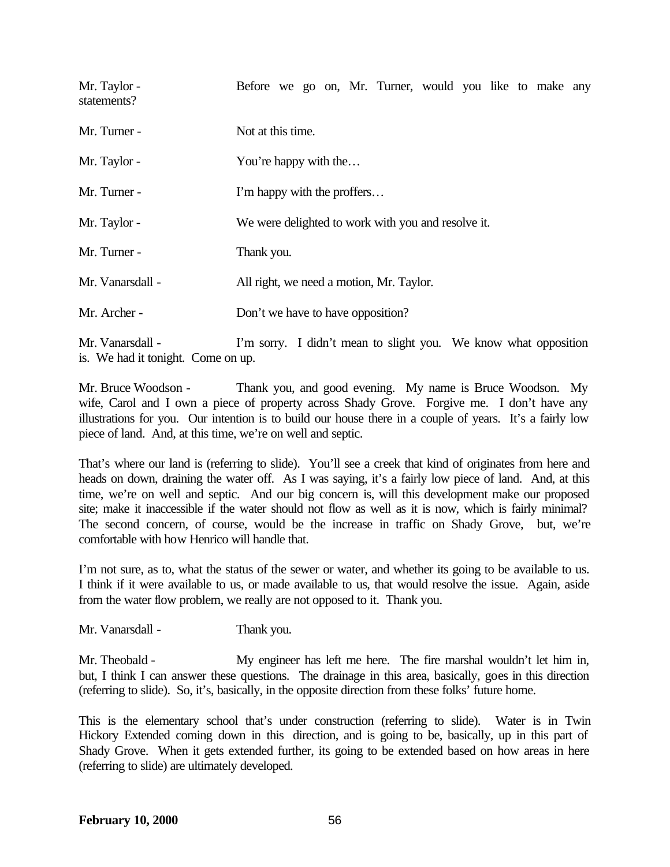| Mr. Taylor -<br>statements? | Before we go on, Mr. Turner, would you like to make any                                                                                                                                                                                                                                                                            |
|-----------------------------|------------------------------------------------------------------------------------------------------------------------------------------------------------------------------------------------------------------------------------------------------------------------------------------------------------------------------------|
| Mr. Turner -                | Not at this time.                                                                                                                                                                                                                                                                                                                  |
| Mr. Taylor -                | You're happy with the                                                                                                                                                                                                                                                                                                              |
| Mr. Turner -                | I'm happy with the proffers                                                                                                                                                                                                                                                                                                        |
| Mr. Taylor -                | We were delighted to work with you and resolve it.                                                                                                                                                                                                                                                                                 |
| Mr. Turner -                | Thank you.                                                                                                                                                                                                                                                                                                                         |
| Mr. Vanarsdall -            | All right, we need a motion, Mr. Taylor.                                                                                                                                                                                                                                                                                           |
| Mr. Archer -                | Don't we have to have opposition?                                                                                                                                                                                                                                                                                                  |
| 11 17 11                    | $\mathbf{I}^{*}$ , $\mathbf{I}^{*}$ , $\mathbf{I}^{*}$ , $\mathbf{I}^{*}$ , $\mathbf{I}^{*}$ , $\mathbf{I}^{*}$ , $\mathbf{I}^{*}$ , $\mathbf{I}^{*}$ , $\mathbf{I}^{*}$ , $\mathbf{I}^{*}$ , $\mathbf{I}^{*}$ , $\mathbf{I}^{*}$ , $\mathbf{I}^{*}$ , $\mathbf{I}^{*}$ , $\mathbf{I}^{*}$ , $\mathbf{I}^{*}$ , $\mathbf{I}^{*}$ , |

Mr. Vanarsdall - I'm sorry. I didn't mean to slight you. We know what opposition is. We had it tonight. Come on up.

Mr. Bruce Woodson - Thank you, and good evening. My name is Bruce Woodson. My wife, Carol and I own a piece of property across Shady Grove. Forgive me. I don't have any illustrations for you. Our intention is to build our house there in a couple of years. It's a fairly low piece of land. And, at this time, we're on well and septic.

That's where our land is (referring to slide). You'll see a creek that kind of originates from here and heads on down, draining the water off. As I was saying, it's a fairly low piece of land. And, at this time, we're on well and septic. And our big concern is, will this development make our proposed site; make it inaccessible if the water should not flow as well as it is now, which is fairly minimal? The second concern, of course, would be the increase in traffic on Shady Grove, but, we're comfortable with how Henrico will handle that.

I'm not sure, as to, what the status of the sewer or water, and whether its going to be available to us. I think if it were available to us, or made available to us, that would resolve the issue. Again, aside from the water flow problem, we really are not opposed to it. Thank you.

Mr. Vanarsdall - Thank you.

Mr. Theobald - My engineer has left me here. The fire marshal wouldn't let him in, but, I think I can answer these questions. The drainage in this area, basically, goes in this direction (referring to slide). So, it's, basically, in the opposite direction from these folks' future home.

This is the elementary school that's under construction (referring to slide). Water is in Twin Hickory Extended coming down in this direction, and is going to be, basically, up in this part of Shady Grove. When it gets extended further, its going to be extended based on how areas in here (referring to slide) are ultimately developed.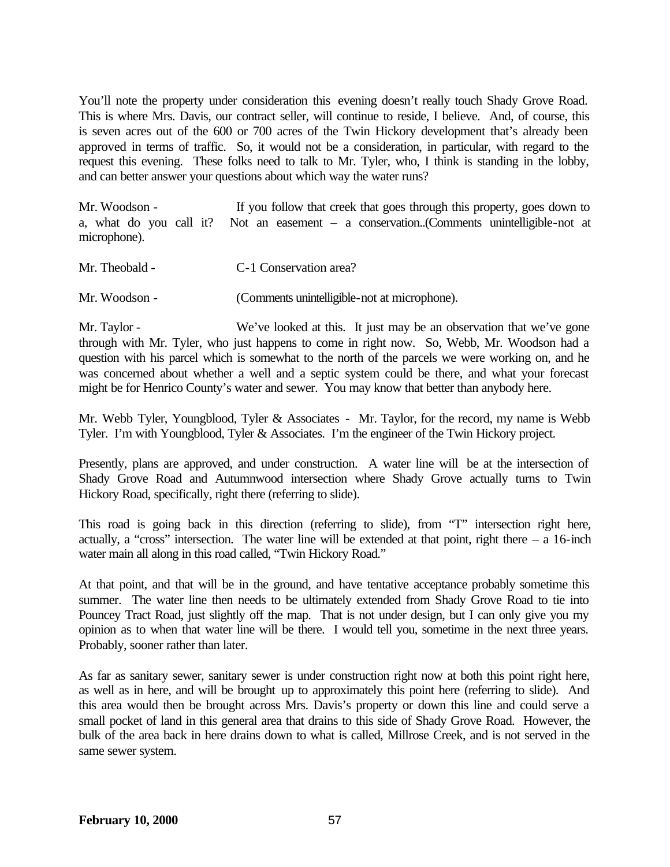You'll note the property under consideration this evening doesn't really touch Shady Grove Road. This is where Mrs. Davis, our contract seller, will continue to reside, I believe. And, of course, this is seven acres out of the 600 or 700 acres of the Twin Hickory development that's already been approved in terms of traffic. So, it would not be a consideration, in particular, with regard to the request this evening. These folks need to talk to Mr. Tyler, who, I think is standing in the lobby, and can better answer your questions about which way the water runs?

Mr. Woodson - If you follow that creek that goes through this property, goes down to a, what do you call it? Not an easement – a conservation..(Comments unintelligible-not at microphone).

| Mr. Theobald - | C-1 Conservation area? |
|----------------|------------------------|
|----------------|------------------------|

Mr. Woodson - (Comments unintelligible-not at microphone).

Mr. Taylor - We've looked at this. It just may be an observation that we've gone through with Mr. Tyler, who just happens to come in right now. So, Webb, Mr. Woodson had a question with his parcel which is somewhat to the north of the parcels we were working on, and he was concerned about whether a well and a septic system could be there, and what your forecast might be for Henrico County's water and sewer. You may know that better than anybody here.

Mr. Webb Tyler, Youngblood, Tyler & Associates - Mr. Taylor, for the record, my name is Webb Tyler. I'm with Youngblood, Tyler & Associates. I'm the engineer of the Twin Hickory project.

Presently, plans are approved, and under construction. A water line will be at the intersection of Shady Grove Road and Autumnwood intersection where Shady Grove actually turns to Twin Hickory Road, specifically, right there (referring to slide).

This road is going back in this direction (referring to slide), from "T" intersection right here, actually, a "cross" intersection. The water line will be extended at that point, right there  $-$  a 16-inch water main all along in this road called, "Twin Hickory Road."

At that point, and that will be in the ground, and have tentative acceptance probably sometime this summer. The water line then needs to be ultimately extended from Shady Grove Road to tie into Pouncey Tract Road, just slightly off the map. That is not under design, but I can only give you my opinion as to when that water line will be there. I would tell you, sometime in the next three years. Probably, sooner rather than later.

As far as sanitary sewer, sanitary sewer is under construction right now at both this point right here, as well as in here, and will be brought up to approximately this point here (referring to slide). And this area would then be brought across Mrs. Davis's property or down this line and could serve a small pocket of land in this general area that drains to this side of Shady Grove Road. However, the bulk of the area back in here drains down to what is called, Millrose Creek, and is not served in the same sewer system.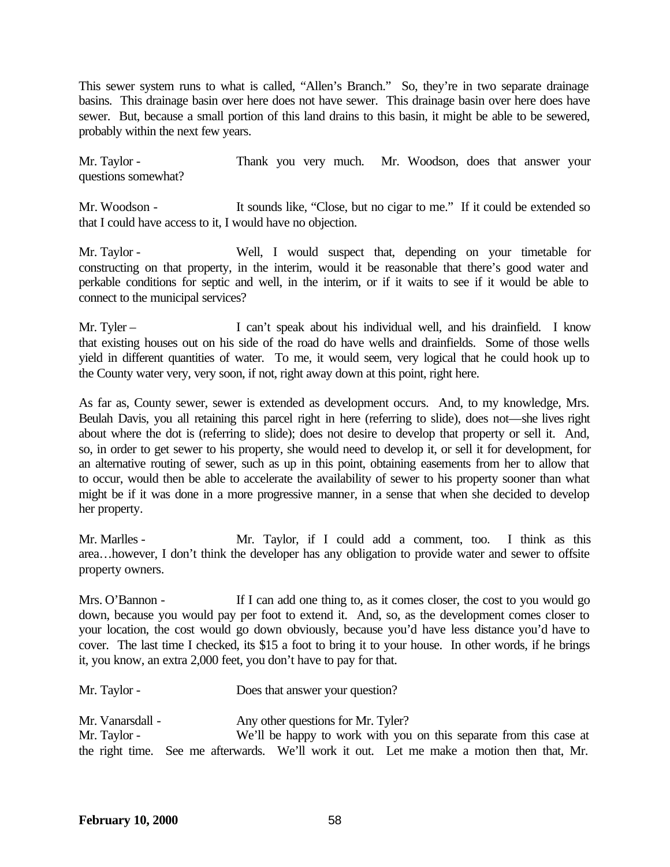This sewer system runs to what is called, "Allen's Branch." So, they're in two separate drainage basins. This drainage basin over here does not have sewer. This drainage basin over here does have sewer. But, because a small portion of this land drains to this basin, it might be able to be sewered, probably within the next few years.

Mr. Taylor - Thank you very much. Mr. Woodson, does that answer your questions somewhat?

Mr. Woodson - It sounds like, "Close, but no cigar to me." If it could be extended so that I could have access to it, I would have no objection.

Mr. Taylor - Well, I would suspect that, depending on your timetable for constructing on that property, in the interim, would it be reasonable that there's good water and perkable conditions for septic and well, in the interim, or if it waits to see if it would be able to connect to the municipal services?

Mr. Tyler – I can't speak about his individual well, and his drainfield. I know that existing houses out on his side of the road do have wells and drainfields. Some of those wells yield in different quantities of water. To me, it would seem, very logical that he could hook up to the County water very, very soon, if not, right away down at this point, right here.

As far as, County sewer, sewer is extended as development occurs. And, to my knowledge, Mrs. Beulah Davis, you all retaining this parcel right in here (referring to slide), does not—she lives right about where the dot is (referring to slide); does not desire to develop that property or sell it. And, so, in order to get sewer to his property, she would need to develop it, or sell it for development, for an alternative routing of sewer, such as up in this point, obtaining easements from her to allow that to occur, would then be able to accelerate the availability of sewer to his property sooner than what might be if it was done in a more progressive manner, in a sense that when she decided to develop her property.

Mr. Marlles - Mr. Taylor, if I could add a comment, too. I think as this area…however, I don't think the developer has any obligation to provide water and sewer to offsite property owners.

Mrs. O'Bannon - If I can add one thing to, as it comes closer, the cost to you would go down, because you would pay per foot to extend it. And, so, as the development comes closer to your location, the cost would go down obviously, because you'd have less distance you'd have to cover. The last time I checked, its \$15 a foot to bring it to your house. In other words, if he brings it, you know, an extra 2,000 feet, you don't have to pay for that.

Mr. Taylor - Does that answer your question?

Mr. Vanarsdall - Any other questions for Mr. Tyler? Mr. Taylor - We'll be happy to work with you on this separate from this case at the right time. See me afterwards. We'll work it out. Let me make a motion then that, Mr.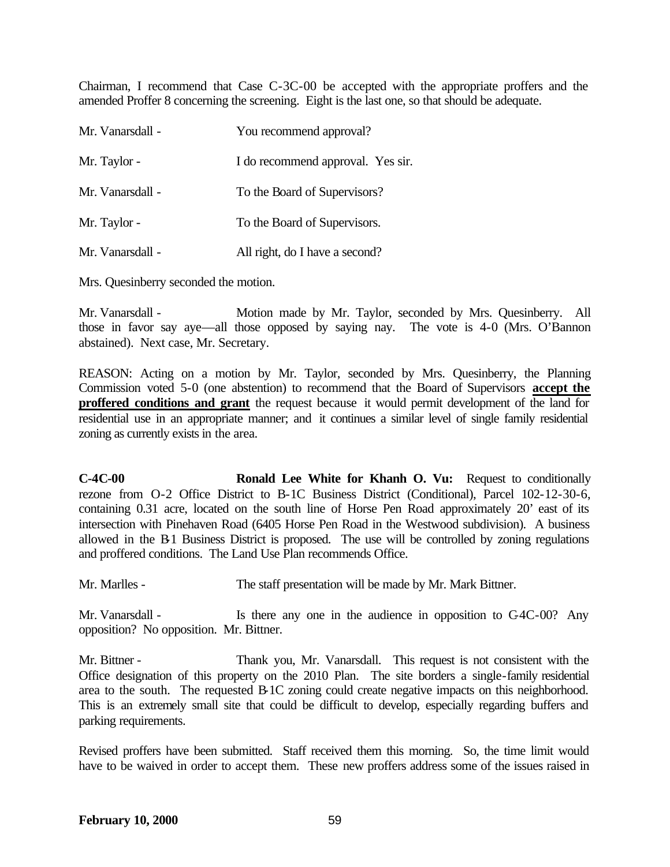Chairman, I recommend that Case C-3C-00 be accepted with the appropriate proffers and the amended Proffer 8 concerning the screening. Eight is the last one, so that should be adequate.

| Mr. Vanarsdall - | You recommend approval?           |
|------------------|-----------------------------------|
| Mr. Taylor -     | I do recommend approval. Yes sir. |
| Mr. Vanarsdall - | To the Board of Supervisors?      |
| Mr. Taylor -     | To the Board of Supervisors.      |
| Mr. Vanarsdall - | All right, do I have a second?    |

Mrs. Quesinberry seconded the motion.

Mr. Vanarsdall - Motion made by Mr. Taylor, seconded by Mrs. Quesinberry. All those in favor say aye—all those opposed by saying nay. The vote is 4-0 (Mrs. O'Bannon abstained). Next case, Mr. Secretary.

REASON: Acting on a motion by Mr. Taylor, seconded by Mrs. Quesinberry, the Planning Commission voted 5-0 (one abstention) to recommend that the Board of Supervisors **accept the proffered conditions and grant** the request because it would permit development of the land for residential use in an appropriate manner; and it continues a similar level of single family residential zoning as currently exists in the area.

**C-4C-00 Ronald Lee White for Khanh O. Vu:** Request to conditionally rezone from O-2 Office District to B-1C Business District (Conditional), Parcel 102-12-30-6, containing 0.31 acre, located on the south line of Horse Pen Road approximately 20' east of its intersection with Pinehaven Road (6405 Horse Pen Road in the Westwood subdivision). A business allowed in the B-1 Business District is proposed. The use will be controlled by zoning regulations and proffered conditions. The Land Use Plan recommends Office.

Mr. Marlles - The staff presentation will be made by Mr. Mark Bittner.

Mr. Vanarsdall - Is there any one in the audience in opposition to C4C-00? Any opposition? No opposition. Mr. Bittner.

Mr. Bittner - Thank you, Mr. Vanarsdall. This request is not consistent with the Office designation of this property on the 2010 Plan. The site borders a single-family residential area to the south. The requested B-1C zoning could create negative impacts on this neighborhood. This is an extremely small site that could be difficult to develop, especially regarding buffers and parking requirements.

Revised proffers have been submitted. Staff received them this morning. So, the time limit would have to be waived in order to accept them. These new proffers address some of the issues raised in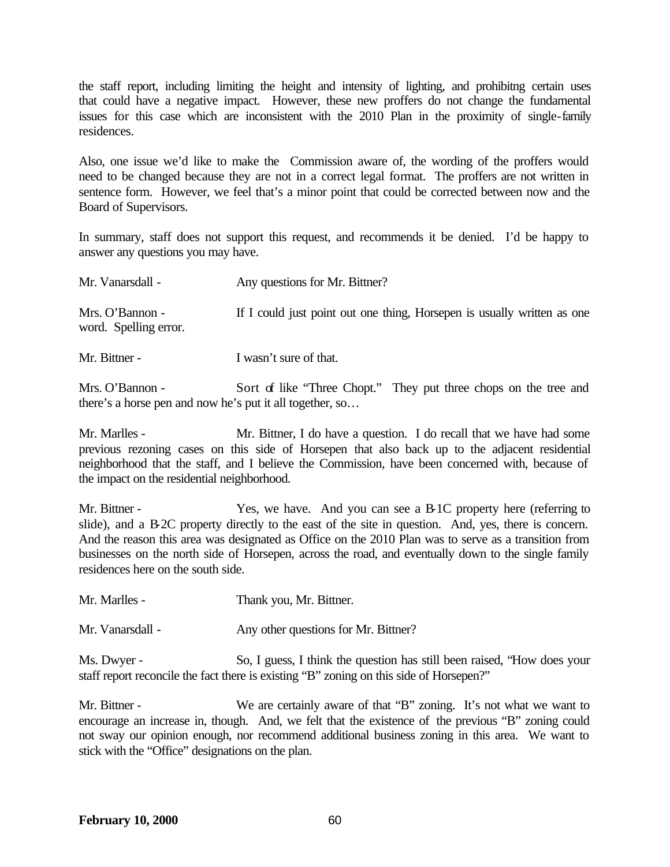the staff report, including limiting the height and intensity of lighting, and prohibitng certain uses that could have a negative impact. However, these new proffers do not change the fundamental issues for this case which are inconsistent with the 2010 Plan in the proximity of single-family residences.

Also, one issue we'd like to make the Commission aware of, the wording of the proffers would need to be changed because they are not in a correct legal format. The proffers are not written in sentence form. However, we feel that's a minor point that could be corrected between now and the Board of Supervisors.

In summary, staff does not support this request, and recommends it be denied. I'd be happy to answer any questions you may have.

| Mr. Vanarsdall -                         | Any questions for Mr. Bittner?                                          |
|------------------------------------------|-------------------------------------------------------------------------|
| Mrs. O'Bannon -<br>word. Spelling error. | If I could just point out one thing, Horsepen is usually written as one |

Mr. Bittner - I wasn't sure of that.

Mrs. O'Bannon - Sort of like "Three Chopt." They put three chops on the tree and there's a horse pen and now he's put it all together, so…

Mr. Marlles - Mr. Bittner, I do have a question. I do recall that we have had some previous rezoning cases on this side of Horsepen that also back up to the adjacent residential neighborhood that the staff, and I believe the Commission, have been concerned with, because of the impact on the residential neighborhood.

Mr. Bittner - Yes, we have. And you can see a B-1C property here (referring to slide), and a B-2C property directly to the east of the site in question. And, yes, there is concern. And the reason this area was designated as Office on the 2010 Plan was to serve as a transition from businesses on the north side of Horsepen, across the road, and eventually down to the single family residences here on the south side.

Mr. Marlles - Thank you, Mr. Bittner.

Mr. Vanarsdall - Any other questions for Mr. Bittner?

Ms. Dwyer - So, I guess, I think the question has still been raised, "How does your staff report reconcile the fact there is existing "B" zoning on this side of Horsepen?"

Mr. Bittner - We are certainly aware of that "B" zoning. It's not what we want to encourage an increase in, though. And, we felt that the existence of the previous "B" zoning could not sway our opinion enough, nor recommend additional business zoning in this area. We want to stick with the "Office" designations on the plan.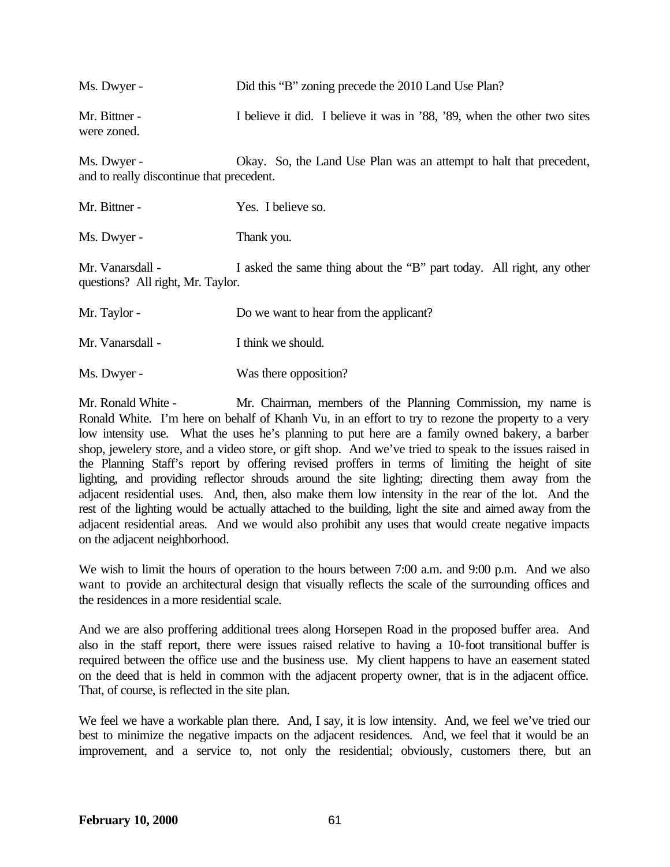| Ms. Dwyer -                  | Did this "B" zoning precede the 2010 Land Use Plan?                      |
|------------------------------|--------------------------------------------------------------------------|
| Mr. Bittner -<br>were zoned. | I believe it did. I believe it was in '88, '89, when the other two sites |
| $M_0$ Duryor                 | Olzay, So the L and Hee Plan was an attempt to half that precedent       |

Ms. Dwyer - Okay. So, the Land Use Plan was an attempt to halt that precedent, and to really discontinue that precedent.

| Mr. Bittner - | Yes. I believe so. |
|---------------|--------------------|
|               |                    |

Ms. Dwyer - Thank you.

Mr. Vanarsdall - I asked the same thing about the "B" part today. All right, any other questions? All right, Mr. Taylor.

Mr. Vanarsdall - I think we should.

Ms. Dwyer - Was there opposition?

Mr. Ronald White - Mr. Chairman, members of the Planning Commission, my name is Ronald White. I'm here on behalf of Khanh Vu, in an effort to try to rezone the property to a very low intensity use. What the uses he's planning to put here are a family owned bakery, a barber shop, jewelery store, and a video store, or gift shop. And we've tried to speak to the issues raised in the Planning Staff's report by offering revised proffers in terms of limiting the height of site lighting, and providing reflector shrouds around the site lighting; directing them away from the adjacent residential uses. And, then, also make them low intensity in the rear of the lot. And the rest of the lighting would be actually attached to the building, light the site and aimed away from the adjacent residential areas. And we would also prohibit any uses that would create negative impacts on the adjacent neighborhood.

We wish to limit the hours of operation to the hours between 7:00 a.m. and 9:00 p.m. And we also want to provide an architectural design that visually reflects the scale of the surrounding offices and the residences in a more residential scale.

And we are also proffering additional trees along Horsepen Road in the proposed buffer area. And also in the staff report, there were issues raised relative to having a 10-foot transitional buffer is required between the office use and the business use. My client happens to have an easement stated on the deed that is held in common with the adjacent property owner, that is in the adjacent office. That, of course, is reflected in the site plan.

We feel we have a workable plan there. And, I say, it is low intensity. And, we feel we've tried our best to minimize the negative impacts on the adjacent residences. And, we feel that it would be an improvement, and a service to, not only the residential; obviously, customers there, but an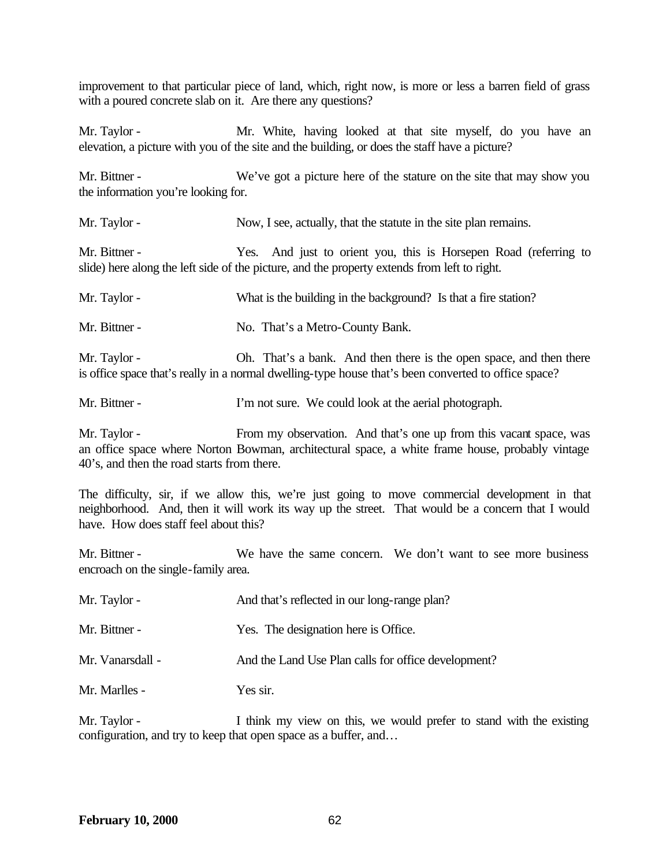improvement to that particular piece of land, which, right now, is more or less a barren field of grass with a poured concrete slab on it. Are there any questions?

Mr. Taylor - Mr. White, having looked at that site myself, do you have an elevation, a picture with you of the site and the building, or does the staff have a picture?

Mr. Bittner - We've got a picture here of the stature on the site that may show you the information you're looking for.

Mr. Taylor - Now, I see, actually, that the statute in the site plan remains.

Mr. Bittner - Yes. And just to orient you, this is Horsepen Road (referring to slide) here along the left side of the picture, and the property extends from left to right.

Mr. Taylor - What is the building in the background? Is that a fire station?

Mr. Bittner - No. That's a Metro-County Bank.

Mr. Taylor - Oh. That's a bank. And then there is the open space, and then there is office space that's really in a normal dwelling-type house that's been converted to office space?

Mr. Bittner - I'm not sure. We could look at the aerial photograph.

Mr. Taylor - From my observation. And that's one up from this vacant space, was an office space where Norton Bowman, architectural space, a white frame house, probably vintage 40's, and then the road starts from there.

The difficulty, sir, if we allow this, we're just going to move commercial development in that neighborhood. And, then it will work its way up the street. That would be a concern that I would have. How does staff feel about this?

Mr. Bittner - We have the same concern. We don't want to see more business encroach on the single-family area.

| Mr. Taylor -     | And that's reflected in our long-range plan?        |
|------------------|-----------------------------------------------------|
| Mr. Bittner -    | Yes. The designation here is Office.                |
| Mr. Vanarsdall - | And the Land Use Plan calls for office development? |
| Mr. Marlles -    | Yes sir.                                            |

Mr. Taylor - I think my view on this, we would prefer to stand with the existing configuration, and try to keep that open space as a buffer, and…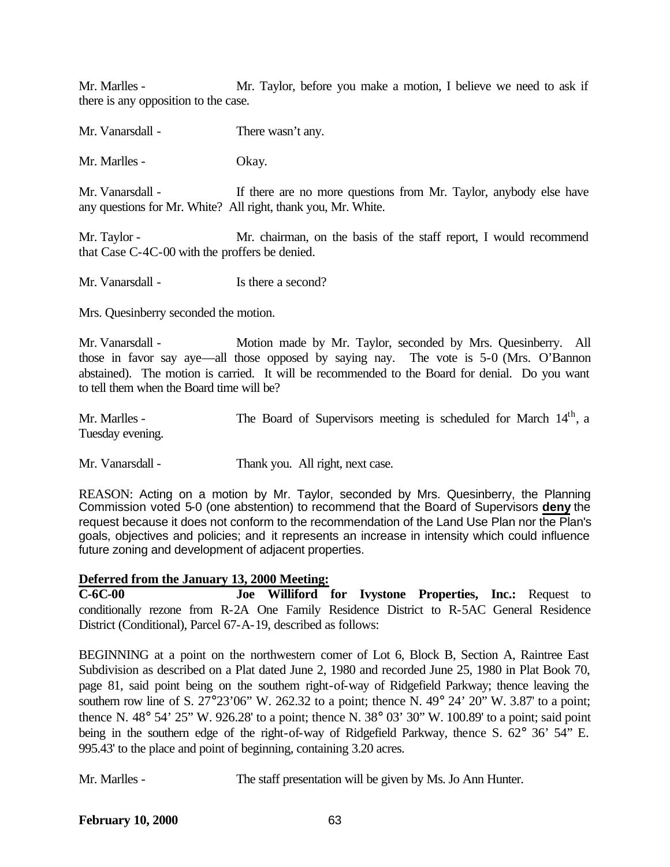Mr. Marlles - Mr. Taylor, before you make a motion, I believe we need to ask if there is any opposition to the case.

Mr. Vanarsdall - There wasn't any.

Mr. Marlles - Okay.

Mr. Vanarsdall - If there are no more questions from Mr. Taylor, anybody else have any questions for Mr. White? All right, thank you, Mr. White.

Mr. Taylor - Mr. chairman, on the basis of the staff report, I would recommend that Case C-4C-00 with the proffers be denied.

Mr. Vanarsdall - Is there a second?

Mrs. Quesinberry seconded the motion.

Mr. Vanarsdall - Motion made by Mr. Taylor, seconded by Mrs. Quesinberry. All those in favor say aye—all those opposed by saying nay. The vote is 5-0 (Mrs. O'Bannon abstained). The motion is carried. It will be recommended to the Board for denial. Do you want to tell them when the Board time will be?

Mr. Marlles - The Board of Supervisors meeting is scheduled for March 14<sup>th</sup>, a Tuesday evening.

Mr. Vanarsdall - Thank you. All right, next case.

REASON: Acting on a motion by Mr. Taylor, seconded by Mrs. Quesinberry, the Planning Commission voted 5-0 (one abstention) to recommend that the Board of Supervisors **deny** the request because it does not conform to the recommendation of the Land Use Plan nor the Plan's goals, objectives and policies; and it represents an increase in intensity which could influence future zoning and development of adjacent properties.

## **Deferred from the January 13, 2000 Meeting:**

**C-6C-00 Joe Williford for Ivystone Properties, Inc.:** Request to conditionally rezone from R-2A One Family Residence District to R-5AC General Residence District (Conditional), Parcel 67-A-19, described as follows:

BEGINNING at a point on the northwestern comer of Lot 6, Block B, Section A, Raintree East Subdivision as described on a Plat dated June 2, 1980 and recorded June 25, 1980 in Plat Book 70, page 81, said point being on the southem right-of-way of Ridgefield Parkway; thence leaving the southern row line of S.  $27^{\circ}23'06''$  W.  $262.32$  to a point; thence N.  $49^{\circ}$   $24'$   $20''$  W.  $3.87'$  to a point; thence N. 48 $^{\circ}$  54' 25" W. 926.28' to a point; thence N. 38 $^{\circ}$  03' 30" W. 100.89' to a point; said point being in the southern edge of the right-of-way of Ridgefield Parkway, thence S. 62° 36' 54" E. 995.43' to the place and point of beginning, containing 3.20 acres.

Mr. Marlles - The staff presentation will be given by Ms. Jo Ann Hunter.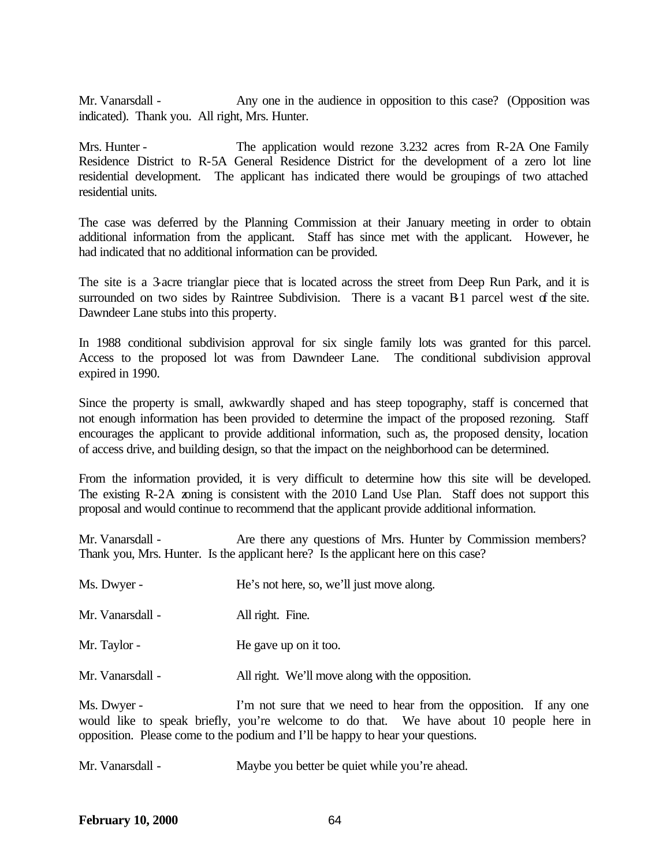Mr. Vanarsdall - Any one in the audience in opposition to this case? (Opposition was indicated). Thank you. All right, Mrs. Hunter.

Mrs. Hunter - The application would rezone 3.232 acres from R-2A One Family Residence District to R-5A General Residence District for the development of a zero lot line residential development. The applicant has indicated there would be groupings of two attached residential units.

The case was deferred by the Planning Commission at their January meeting in order to obtain additional information from the applicant. Staff has since met with the applicant. However, he had indicated that no additional information can be provided.

The site is a 3-acre trianglar piece that is located across the street from Deep Run Park, and it is surrounded on two sides by Raintree Subdivision. There is a vacant B1 parcel west of the site. Dawndeer Lane stubs into this property.

In 1988 conditional subdivision approval for six single family lots was granted for this parcel. Access to the proposed lot was from Dawndeer Lane. The conditional subdivision approval expired in 1990.

Since the property is small, awkwardly shaped and has steep topography, staff is concerned that not enough information has been provided to determine the impact of the proposed rezoning. Staff encourages the applicant to provide additional information, such as, the proposed density, location of access drive, and building design, so that the impact on the neighborhood can be determined.

From the information provided, it is very difficult to determine how this site will be developed. The existing R-2A zoning is consistent with the 2010 Land Use Plan. Staff does not support this proposal and would continue to recommend that the applicant provide additional information.

Mr. Vanarsdall - Are there any questions of Mrs. Hunter by Commission members? Thank you, Mrs. Hunter. Is the applicant here? Is the applicant here on this case?

| Ms. Dwyer -      | He's not here, so, we'll just move along.        |
|------------------|--------------------------------------------------|
| Mr. Vanarsdall - | All right. Fine.                                 |
| Mr. Taylor -     | He gave up on it too.                            |
| Mr. Vanarsdall - | All right. We'll move along with the opposition. |

Ms. Dwyer - I'm not sure that we need to hear from the opposition. If any one would like to speak briefly, you're welcome to do that. We have about 10 people here in opposition. Please come to the podium and I'll be happy to hear your questions.

Mr. Vanarsdall - Maybe you better be quiet while you're ahead.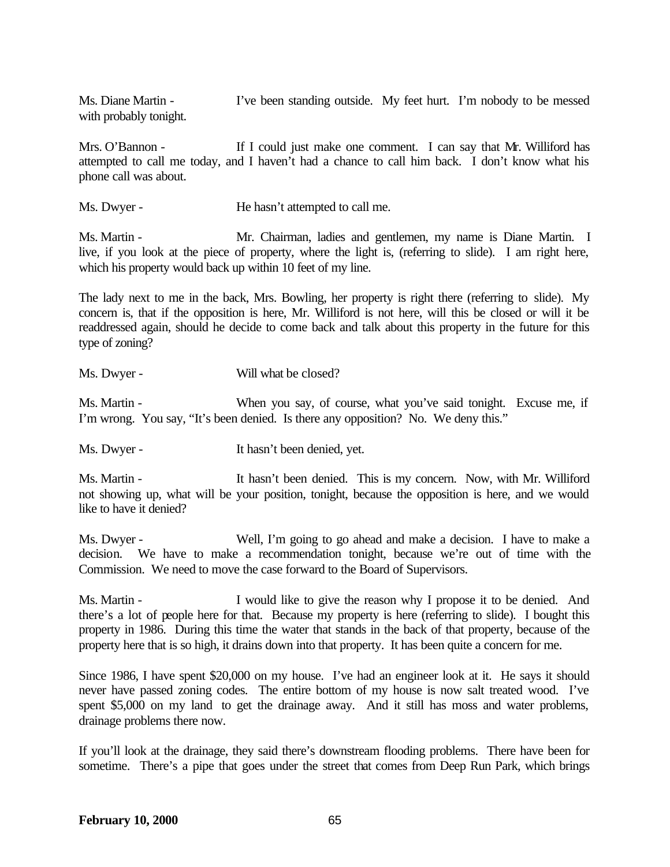Ms. Diane Martin - I've been standing outside. My feet hurt. I'm nobody to be messed with probably tonight.

Mrs. O'Bannon - If I could just make one comment. I can say that Mr. Williford has attempted to call me today, and I haven't had a chance to call him back. I don't know what his phone call was about.

Ms. Dwyer - He hasn't attempted to call me.

Ms. Martin - Mr. Chairman, ladies and gentlemen, my name is Diane Martin. I live, if you look at the piece of property, where the light is, (referring to slide). I am right here, which his property would back up within 10 feet of my line.

The lady next to me in the back, Mrs. Bowling, her property is right there (referring to slide). My concern is, that if the opposition is here, Mr. Williford is not here, will this be closed or will it be readdressed again, should he decide to come back and talk about this property in the future for this type of zoning?

Ms. Dwyer - Will what be closed?

Ms. Martin - When you say, of course, what you've said tonight. Excuse me, if I'm wrong. You say, "It's been denied. Is there any opposition? No. We deny this."

Ms. Dwyer - It hasn't been denied, yet.

Ms. Martin - It hasn't been denied. This is my concern. Now, with Mr. Williford not showing up, what will be your position, tonight, because the opposition is here, and we would like to have it denied?

Ms. Dwyer - Well, I'm going to go ahead and make a decision. I have to make a decision. We have to make a recommendation tonight, because we're out of time with the Commission. We need to move the case forward to the Board of Supervisors.

Ms. Martin - I would like to give the reason why I propose it to be denied. And there's a lot of people here for that. Because my property is here (referring to slide). I bought this property in 1986. During this time the water that stands in the back of that property, because of the property here that is so high, it drains down into that property. It has been quite a concern for me.

Since 1986, I have spent \$20,000 on my house. I've had an engineer look at it. He says it should never have passed zoning codes. The entire bottom of my house is now salt treated wood. I've spent \$5,000 on my land to get the drainage away. And it still has moss and water problems, drainage problems there now.

If you'll look at the drainage, they said there's downstream flooding problems. There have been for sometime. There's a pipe that goes under the street that comes from Deep Run Park, which brings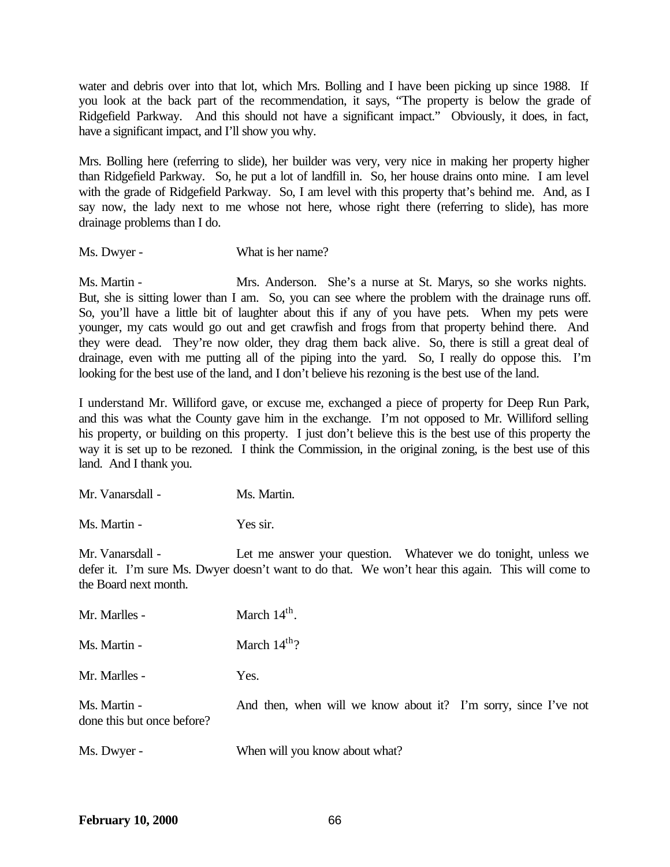water and debris over into that lot, which Mrs. Bolling and I have been picking up since 1988. If you look at the back part of the recommendation, it says, "The property is below the grade of Ridgefield Parkway. And this should not have a significant impact." Obviously, it does, in fact, have a significant impact, and I'll show you why.

Mrs. Bolling here (referring to slide), her builder was very, very nice in making her property higher than Ridgefield Parkway. So, he put a lot of landfill in. So, her house drains onto mine. I am level with the grade of Ridgefield Parkway. So, I am level with this property that's behind me. And, as I say now, the lady next to me whose not here, whose right there (referring to slide), has more drainage problems than I do.

Ms. Dwyer - What is her name?

Ms. Martin - Mrs. Anderson. She's a nurse at St. Marys, so she works nights. But, she is sitting lower than I am. So, you can see where the problem with the drainage runs off. So, you'll have a little bit of laughter about this if any of you have pets. When my pets were younger, my cats would go out and get crawfish and frogs from that property behind there. And they were dead. They're now older, they drag them back alive. So, there is still a great deal of drainage, even with me putting all of the piping into the yard. So, I really do oppose this. I'm looking for the best use of the land, and I don't believe his rezoning is the best use of the land.

I understand Mr. Williford gave, or excuse me, exchanged a piece of property for Deep Run Park, and this was what the County gave him in the exchange. I'm not opposed to Mr. Williford selling his property, or building on this property. I just don't believe this is the best use of this property the way it is set up to be rezoned. I think the Commission, in the original zoning, is the best use of this land. And I thank you.

| Mr. Vanarsdall -<br>Ms. Martin. |
|---------------------------------|
|                                 |

Ms. Martin - Yes sir.

Mr. Vanarsdall - Let me answer your question. Whatever we do tonight, unless we defer it. I'm sure Ms. Dwyer doesn't want to do that. We won't hear this again. This will come to the Board next month.

| Mr. Marlles -                              | March $14th$ .                                                  |
|--------------------------------------------|-----------------------------------------------------------------|
| Ms. Martin -                               | March $14^{th}$ ?                                               |
| Mr. Marlles -                              | Yes.                                                            |
| Ms. Martin -<br>done this but once before? | And then, when will we know about it? I'm sorry, since I've not |
| Ms. Dwyer -                                | When will you know about what?                                  |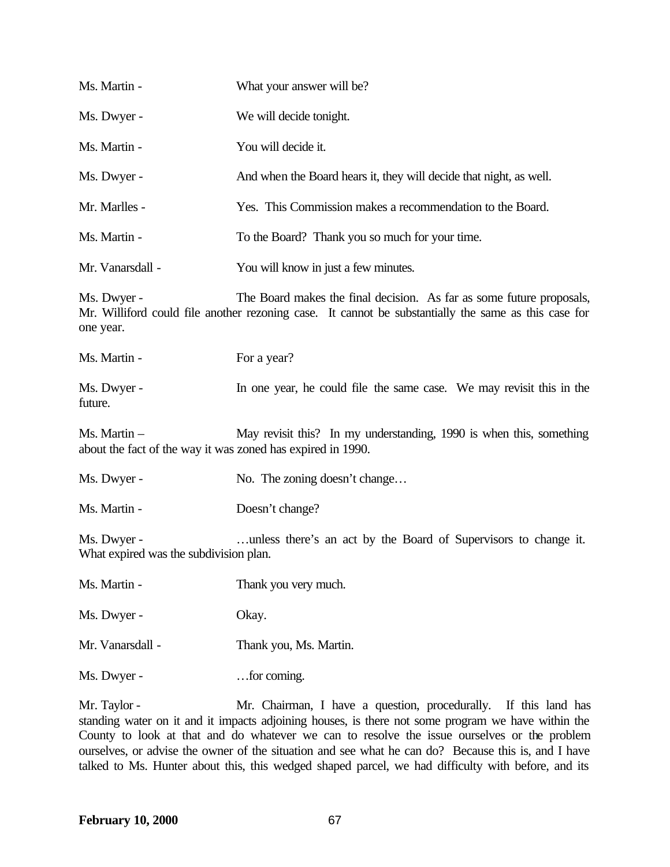| Ms. Martin -                                                                | What your answer will be?                                                                                                                                                    |
|-----------------------------------------------------------------------------|------------------------------------------------------------------------------------------------------------------------------------------------------------------------------|
| Ms. Dwyer -                                                                 | We will decide tonight.                                                                                                                                                      |
| Ms. Martin -                                                                | You will decide it.                                                                                                                                                          |
| Ms. Dwyer -                                                                 | And when the Board hears it, they will decide that night, as well.                                                                                                           |
| Mr. Marlles -                                                               | Yes. This Commission makes a recommendation to the Board.                                                                                                                    |
| Ms. Martin -                                                                | To the Board? Thank you so much for your time.                                                                                                                               |
| Mr. Vanarsdall -                                                            | You will know in just a few minutes.                                                                                                                                         |
| Ms. Dwyer -<br>one year.                                                    | The Board makes the final decision. As far as some future proposals,<br>Mr. Williford could file another rezoning case. It cannot be substantially the same as this case for |
| Ms. Martin -                                                                | For a year?                                                                                                                                                                  |
| Ms. Dwyer -<br>future.                                                      | In one year, he could file the same case. We may revisit this in the                                                                                                         |
| Ms. Martin -<br>about the fact of the way it was zoned has expired in 1990. | May revisit this? In my understanding, 1990 is when this, something                                                                                                          |
| Ms. Dwyer -                                                                 | No. The zoning doesn't change                                                                                                                                                |
| Ms. Martin -                                                                | Doesn't change?                                                                                                                                                              |
| Ms. Dwyer -<br>What expired was the subdivision plan.                       | unless there's an act by the Board of Supervisors to change it.                                                                                                              |
| Ms. Martin -                                                                | Thank you very much.                                                                                                                                                         |
| Ms. Dwyer -                                                                 | Okay.                                                                                                                                                                        |
| Mr. Vanarsdall -                                                            | Thank you, Ms. Martin.                                                                                                                                                       |
| Ms. Dwyer -                                                                 | for coming.                                                                                                                                                                  |

Mr. Taylor - Mr. Chairman, I have a question, procedurally. If this land has standing water on it and it impacts adjoining houses, is there not some program we have within the County to look at that and do whatever we can to resolve the issue ourselves or the problem ourselves, or advise the owner of the situation and see what he can do? Because this is, and I have talked to Ms. Hunter about this, this wedged shaped parcel, we had difficulty with before, and its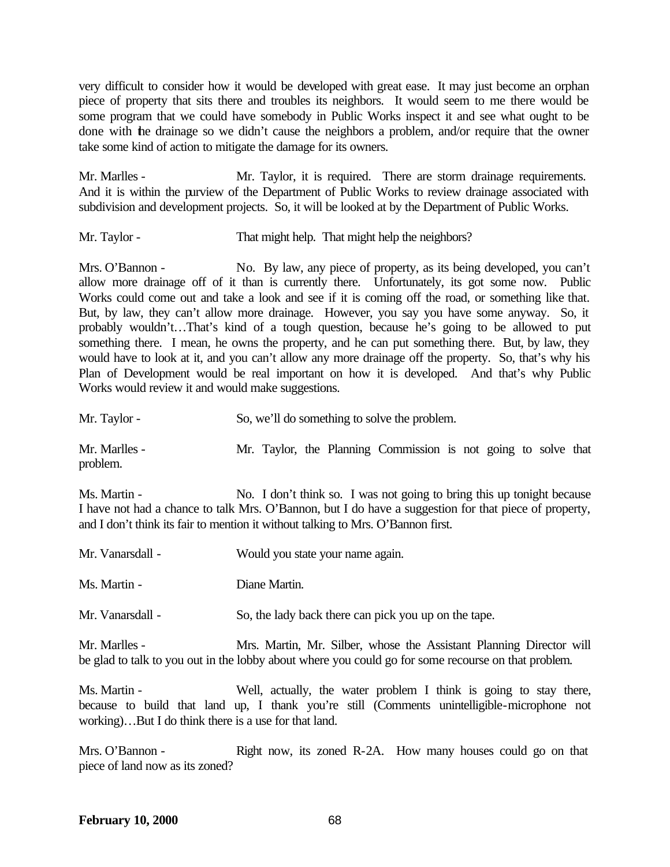very difficult to consider how it would be developed with great ease. It may just become an orphan piece of property that sits there and troubles its neighbors. It would seem to me there would be some program that we could have somebody in Public Works inspect it and see what ought to be done with the drainage so we didn't cause the neighbors a problem, and/or require that the owner take some kind of action to mitigate the damage for its owners.

Mr. Marlles - Mr. Taylor, it is required. There are storm drainage requirements. And it is within the purview of the Department of Public Works to review drainage associated with subdivision and development projects. So, it will be looked at by the Department of Public Works.

Mr. Taylor - That might help. That might help the neighbors?

Mrs. O'Bannon - No. By law, any piece of property, as its being developed, you can't allow more drainage off of it than is currently there. Unfortunately, its got some now. Public Works could come out and take a look and see if it is coming off the road, or something like that. But, by law, they can't allow more drainage. However, you say you have some anyway. So, it probably wouldn't…That's kind of a tough question, because he's going to be allowed to put something there. I mean, he owns the property, and he can put something there. But, by law, they would have to look at it, and you can't allow any more drainage off the property. So, that's why his Plan of Development would be real important on how it is developed. And that's why Public Works would review it and would make suggestions.

| Mr. Taylor -              |  |  | So, we'll do something to solve the problem.                   |  |  |  |
|---------------------------|--|--|----------------------------------------------------------------|--|--|--|
| Mr. Marlles -<br>problem. |  |  | Mr. Taylor, the Planning Commission is not going to solve that |  |  |  |

Ms. Martin - No. I don't think so. I was not going to bring this up tonight because I have not had a chance to talk Mrs. O'Bannon, but I do have a suggestion for that piece of property, and I don't think its fair to mention it without talking to Mrs. O'Bannon first.

| Mr. Vanarsdall - | Would you state your name again. |
|------------------|----------------------------------|
| Ms. Martin -     | Diane Martin.                    |

Mr. Vanarsdall - So, the lady back there can pick you up on the tape.

Mr. Marlles - Mrs. Martin, Mr. Silber, whose the Assistant Planning Director will be glad to talk to you out in the lobby about where you could go for some recourse on that problem.

Ms. Martin - Well, actually, the water problem I think is going to stay there, because to build that land up, I thank you're still (Comments unintelligible-microphone not working)…But I do think there is a use for that land.

Mrs. O'Bannon - Right now, its zoned R-2A. How many houses could go on that piece of land now as its zoned?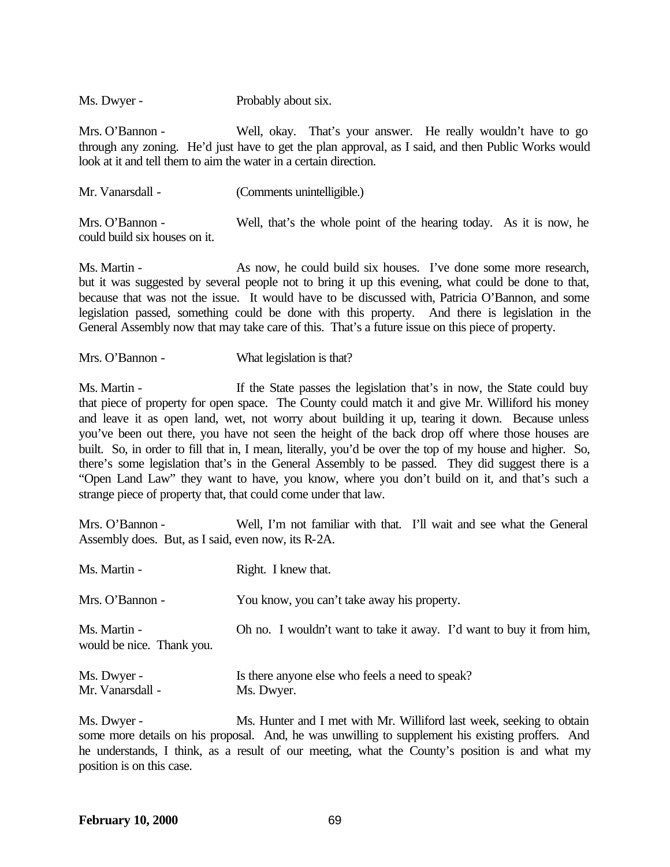Ms. Dwyer - Probably about six.

Mrs. O'Bannon - Well, okay. That's your answer. He really wouldn't have to go through any zoning. He'd just have to get the plan approval, as I said, and then Public Works would look at it and tell them to aim the water in a certain direction.

| Mr. Vanarsdall -                                 | (Comments unintelligible.)                                          |  |
|--------------------------------------------------|---------------------------------------------------------------------|--|
| Mrs. O'Bannon -<br>could build six houses on it. | Well, that's the whole point of the hearing today. As it is now, he |  |

Ms. Martin - As now, he could build six houses. I've done some more research, but it was suggested by several people not to bring it up this evening, what could be done to that, because that was not the issue. It would have to be discussed with, Patricia O'Bannon, and some legislation passed, something could be done with this property. And there is legislation in the General Assembly now that may take care of this. That's a future issue on this piece of property.

Mrs. O'Bannon - What legislation is that?

Ms. Martin - If the State passes the legislation that's in now, the State could buy that piece of property for open space. The County could match it and give Mr. Williford his money and leave it as open land, wet, not worry about building it up, tearing it down. Because unless you've been out there, you have not seen the height of the back drop off where those houses are built. So, in order to fill that in, I mean, literally, you'd be over the top of my house and higher. So, there's some legislation that's in the General Assembly to be passed. They did suggest there is a "Open Land Law" they want to have, you know, where you don't build on it, and that's such a strange piece of property that, that could come under that law.

Mrs. O'Bannon - Well, I'm not familiar with that. I'll wait and see what the General Assembly does. But, as I said, even now, its R-2A.

| Ms. Martin -                              | Right. I knew that.                                                  |
|-------------------------------------------|----------------------------------------------------------------------|
| Mrs. O'Bannon -                           | You know, you can't take away his property.                          |
| Ms. Martin -<br>would be nice. Thank you. | Oh no. I wouldn't want to take it away. I'd want to buy it from him, |
| Ms. Dwyer -<br>Mr. Vanarsdall -           | Is there anyone else who feels a need to speak?<br>Ms. Dwyer.        |

Ms. Dwyer - Ms. Hunter and I met with Mr. Williford last week, seeking to obtain some more details on his proposal. And, he was unwilling to supplement his existing proffers. And he understands, I think, as a result of our meeting, what the County's position is and what my position is on this case.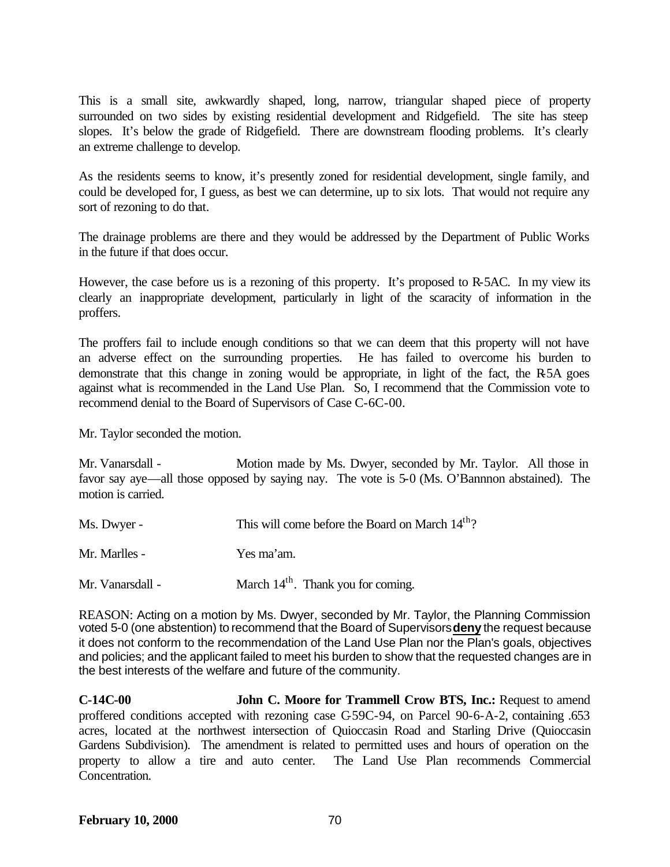This is a small site, awkwardly shaped, long, narrow, triangular shaped piece of property surrounded on two sides by existing residential development and Ridgefield. The site has steep slopes. It's below the grade of Ridgefield. There are downstream flooding problems. It's clearly an extreme challenge to develop.

As the residents seems to know, it's presently zoned for residential development, single family, and could be developed for, I guess, as best we can determine, up to six lots. That would not require any sort of rezoning to do that.

The drainage problems are there and they would be addressed by the Department of Public Works in the future if that does occur.

However, the case before us is a rezoning of this property. It's proposed to R-5AC. In my view its clearly an inappropriate development, particularly in light of the scaracity of information in the proffers.

The proffers fail to include enough conditions so that we can deem that this property will not have an adverse effect on the surrounding properties. He has failed to overcome his burden to demonstrate that this change in zoning would be appropriate, in light of the fact, the R-5A goes against what is recommended in the Land Use Plan. So, I recommend that the Commission vote to recommend denial to the Board of Supervisors of Case C-6C-00.

Mr. Taylor seconded the motion.

Mr. Vanarsdall - Motion made by Ms. Dwyer, seconded by Mr. Taylor. All those in favor say aye—all those opposed by saying nay. The vote is 5-0 (Ms. O'Bannnon abstained). The motion is carried.

| Ms. Dwyer -      | This will come before the Board on March 14 <sup>th</sup> ? |
|------------------|-------------------------------------------------------------|
| Mr. Marlles -    | Yes ma'am.                                                  |
| Mr. Vanarsdall - | March 14 <sup>th</sup> . Thank you for coming.              |

REASON: Acting on a motion by Ms. Dwyer, seconded by Mr. Taylor, the Planning Commission voted 5-0 (one abstention) to recommend that the Board of Supervisors **deny** the request because it does not conform to the recommendation of the Land Use Plan nor the Plan's goals, objectives and policies; and the applicant failed to meet his burden to show that the requested changes are in the best interests of the welfare and future of the community.

**C-14C-00 John C. Moore for Trammell Crow BTS, Inc.:** Request to amend proffered conditions accepted with rezoning case C-59C-94, on Parcel 90-6-A-2, containing .653 acres, located at the northwest intersection of Quioccasin Road and Starling Drive (Quioccasin Gardens Subdivision). The amendment is related to permitted uses and hours of operation on the property to allow a tire and auto center. The Land Use Plan recommends Commercial Concentration.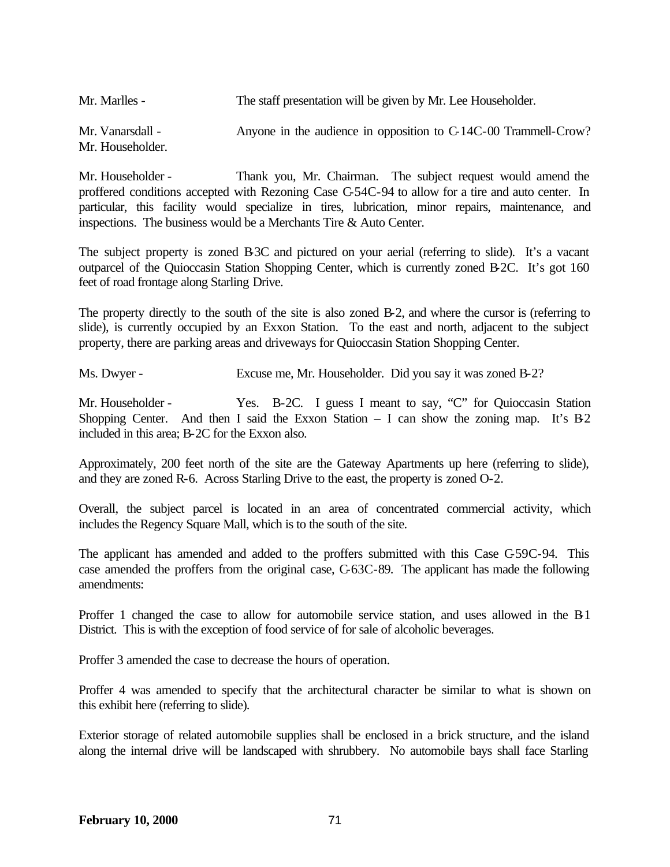| Mr. Marlles -                       | The staff presentation will be given by Mr. Lee Householder.    |
|-------------------------------------|-----------------------------------------------------------------|
| Mr. Vanarsdall -<br>Mr. Householder | Anyone in the audience in opposition to C-14C-00 Trammell-Crow? |

Mr. Householder - Thank you, Mr. Chairman. The subject request would amend the proffered conditions accepted with Rezoning Case C-54C-94 to allow for a tire and auto center. In particular, this facility would specialize in tires, lubrication, minor repairs, maintenance, and inspections. The business would be a Merchants Tire & Auto Center.

The subject property is zoned B3C and pictured on your aerial (referring to slide). It's a vacant outparcel of the Quioccasin Station Shopping Center, which is currently zoned B-2C. It's got 160 feet of road frontage along Starling Drive.

The property directly to the south of the site is also zoned B-2, and where the cursor is (referring to slide), is currently occupied by an Exxon Station. To the east and north, adjacent to the subject property, there are parking areas and driveways for Quioccasin Station Shopping Center.

Ms. Dwyer - Excuse me, Mr. Householder. Did you say it was zoned B-2?

Mr. Householder - Yes. B-2C. I guess I meant to say, "C" for Quioccasin Station Shopping Center. And then I said the Exxon Station  $-$  I can show the zoning map. It's B-2 included in this area; B-2C for the Exxon also.

Approximately, 200 feet north of the site are the Gateway Apartments up here (referring to slide), and they are zoned R-6. Across Starling Drive to the east, the property is zoned O-2.

Overall, the subject parcel is located in an area of concentrated commercial activity, which includes the Regency Square Mall, which is to the south of the site.

The applicant has amended and added to the proffers submitted with this Case C-59C-94. This case amended the proffers from the original case, C-63C-89. The applicant has made the following amendments:

Proffer 1 changed the case to allow for automobile service station, and uses allowed in the B-1 District. This is with the exception of food service of for sale of alcoholic beverages.

Proffer 3 amended the case to decrease the hours of operation.

Proffer 4 was amended to specify that the architectural character be similar to what is shown on this exhibit here (referring to slide).

Exterior storage of related automobile supplies shall be enclosed in a brick structure, and the island along the internal drive will be landscaped with shrubbery. No automobile bays shall face Starling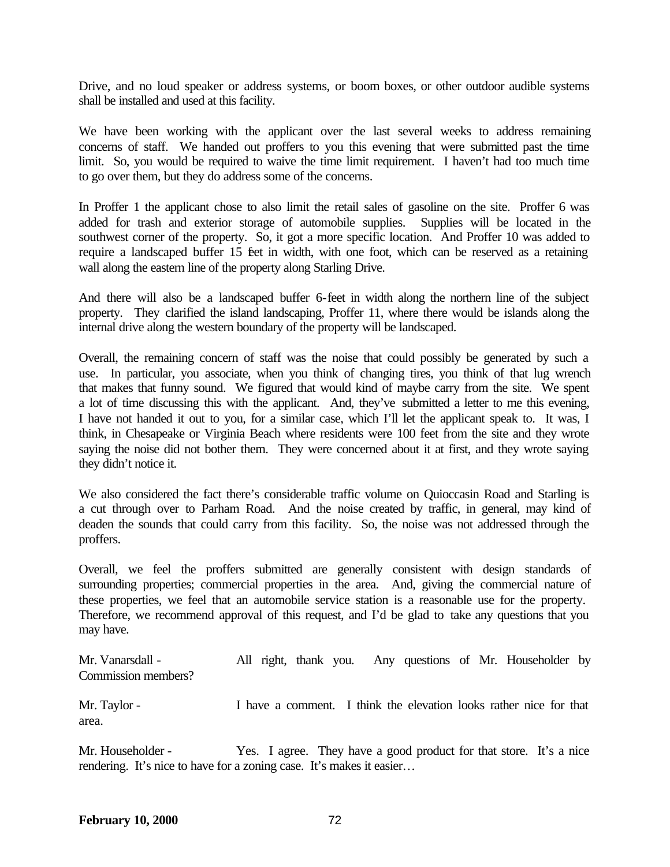Drive, and no loud speaker or address systems, or boom boxes, or other outdoor audible systems shall be installed and used at this facility.

We have been working with the applicant over the last several weeks to address remaining concerns of staff. We handed out proffers to you this evening that were submitted past the time limit. So, you would be required to waive the time limit requirement. I haven't had too much time to go over them, but they do address some of the concerns.

In Proffer 1 the applicant chose to also limit the retail sales of gasoline on the site. Proffer 6 was added for trash and exterior storage of automobile supplies. Supplies will be located in the southwest corner of the property. So, it got a more specific location. And Proffer 10 was added to require a landscaped buffer 15 feet in width, with one foot, which can be reserved as a retaining wall along the eastern line of the property along Starling Drive.

And there will also be a landscaped buffer 6-feet in width along the northern line of the subject property. They clarified the island landscaping, Proffer 11, where there would be islands along the internal drive along the western boundary of the property will be landscaped.

Overall, the remaining concern of staff was the noise that could possibly be generated by such a use. In particular, you associate, when you think of changing tires, you think of that lug wrench that makes that funny sound. We figured that would kind of maybe carry from the site. We spent a lot of time discussing this with the applicant. And, they've submitted a letter to me this evening, I have not handed it out to you, for a similar case, which I'll let the applicant speak to. It was, I think, in Chesapeake or Virginia Beach where residents were 100 feet from the site and they wrote saying the noise did not bother them. They were concerned about it at first, and they wrote saying they didn't notice it.

We also considered the fact there's considerable traffic volume on Quioccasin Road and Starling is a cut through over to Parham Road. And the noise created by traffic, in general, may kind of deaden the sounds that could carry from this facility. So, the noise was not addressed through the proffers.

Overall, we feel the proffers submitted are generally consistent with design standards of surrounding properties; commercial properties in the area. And, giving the commercial nature of these properties, we feel that an automobile service station is a reasonable use for the property. Therefore, we recommend approval of this request, and I'd be glad to take any questions that you may have.

Mr. Vanarsdall - All right, thank you. Any questions of Mr. Householder by Commission members? Mr. Taylor - I have a comment. I think the elevation looks rather nice for that area.

Mr. Householder - Yes. I agree. They have a good product for that store. It's a nice rendering. It's nice to have for a zoning case. It's makes it easier…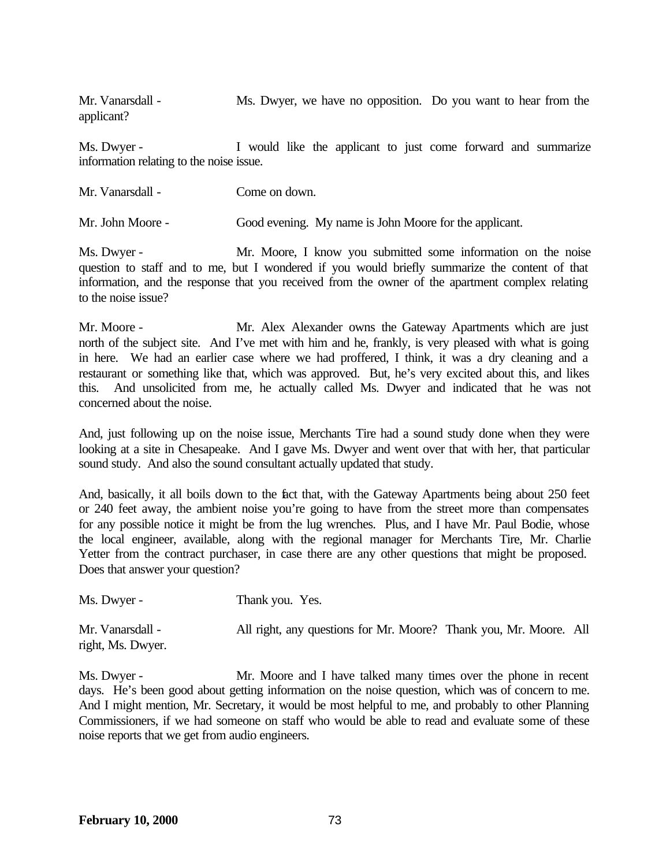Mr. Vanarsdall - Ms. Dwyer, we have no opposition. Do you want to hear from the applicant?

Ms. Dwyer - I would like the applicant to just come forward and summarize information relating to the noise issue.

| Mr. Vanarsdall - | Come on down.                                          |  |  |  |
|------------------|--------------------------------------------------------|--|--|--|
| Mr. John Moore - | Good evening. My name is John Moore for the applicant. |  |  |  |

Ms. Dwyer - Mr. Moore, I know you submitted some information on the noise question to staff and to me, but I wondered if you would briefly summarize the content of that information, and the response that you received from the owner of the apartment complex relating to the noise issue?

Mr. Moore - Mr. Alex Alexander owns the Gateway Apartments which are just north of the subject site. And I've met with him and he, frankly, is very pleased with what is going in here. We had an earlier case where we had proffered, I think, it was a dry cleaning and a restaurant or something like that, which was approved. But, he's very excited about this, and likes this. And unsolicited from me, he actually called Ms. Dwyer and indicated that he was not concerned about the noise.

And, just following up on the noise issue, Merchants Tire had a sound study done when they were looking at a site in Chesapeake. And I gave Ms. Dwyer and went over that with her, that particular sound study. And also the sound consultant actually updated that study.

And, basically, it all boils down to the fact that, with the Gateway Apartments being about 250 feet or 240 feet away, the ambient noise you're going to have from the street more than compensates for any possible notice it might be from the lug wrenches. Plus, and I have Mr. Paul Bodie, whose the local engineer, available, along with the regional manager for Merchants Tire, Mr. Charlie Yetter from the contract purchaser, in case there are any other questions that might be proposed. Does that answer your question?

| Ms. Dwyer -       | Thank you. Yes.                                                   |  |
|-------------------|-------------------------------------------------------------------|--|
| Mr. Vanarsdall -  | All right, any questions for Mr. Moore? Thank you, Mr. Moore. All |  |
| right, Ms. Dwyer. |                                                                   |  |

Ms. Dwyer - Mr. Moore and I have talked many times over the phone in recent days. He's been good about getting information on the noise question, which was of concern to me. And I might mention, Mr. Secretary, it would be most helpful to me, and probably to other Planning Commissioners, if we had someone on staff who would be able to read and evaluate some of these noise reports that we get from audio engineers.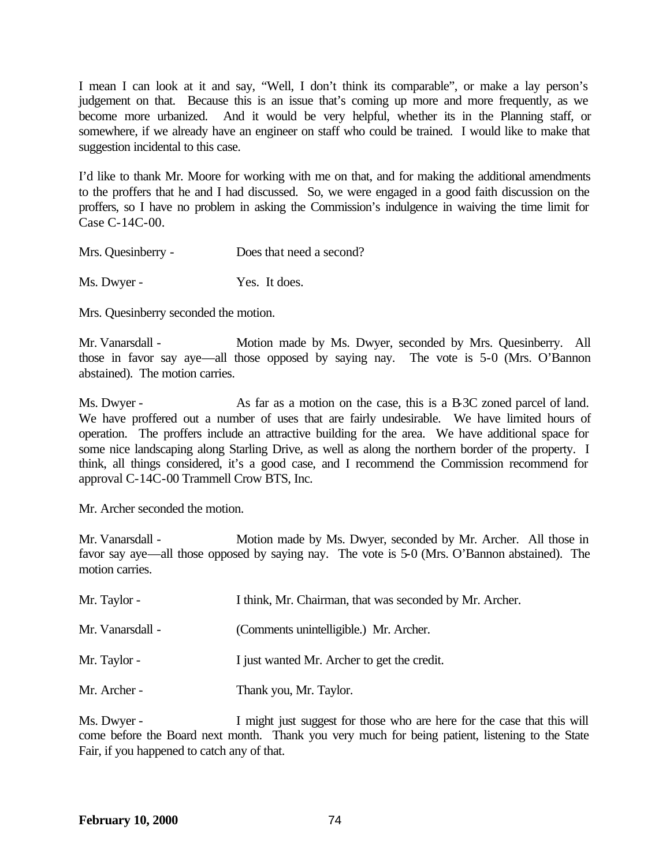I mean I can look at it and say, "Well, I don't think its comparable", or make a lay person's judgement on that. Because this is an issue that's coming up more and more frequently, as we become more urbanized. And it would be very helpful, whether its in the Planning staff, or somewhere, if we already have an engineer on staff who could be trained. I would like to make that suggestion incidental to this case.

I'd like to thank Mr. Moore for working with me on that, and for making the additional amendments to the proffers that he and I had discussed. So, we were engaged in a good faith discussion on the proffers, so I have no problem in asking the Commission's indulgence in waiving the time limit for Case C-14C-00.

| Mrs. Quesinberry - | Does that need a second? |
|--------------------|--------------------------|
|                    |                          |

Ms. Dwyer - Yes. It does.

Mrs. Quesinberry seconded the motion.

Mr. Vanarsdall - Motion made by Ms. Dwyer, seconded by Mrs. Quesinberry. All those in favor say aye—all those opposed by saying nay. The vote is 5-0 (Mrs. O'Bannon abstained). The motion carries.

Ms. Dwyer - As far as a motion on the case, this is a B-3C zoned parcel of land. We have proffered out a number of uses that are fairly undesirable. We have limited hours of operation. The proffers include an attractive building for the area. We have additional space for some nice landscaping along Starling Drive, as well as along the northern border of the property. I think, all things considered, it's a good case, and I recommend the Commission recommend for approval C-14C-00 Trammell Crow BTS, Inc.

Mr. Archer seconded the motion.

Mr. Vanarsdall - Motion made by Ms. Dwyer, seconded by Mr. Archer. All those in favor say aye—all those opposed by saying nay. The vote is 5-0 (Mrs. O'Bannon abstained). The motion carries.

| Mr. Taylor -     | I think, Mr. Chairman, that was seconded by Mr. Archer. |
|------------------|---------------------------------------------------------|
| Mr. Vanarsdall - | (Comments unintelligible.) Mr. Archer.                  |
| Mr. Taylor -     | I just wanted Mr. Archer to get the credit.             |
| Mr. Archer -     | Thank you, Mr. Taylor.                                  |

Ms. Dwyer - I might just suggest for those who are here for the case that this will come before the Board next month. Thank you very much for being patient, listening to the State Fair, if you happened to catch any of that.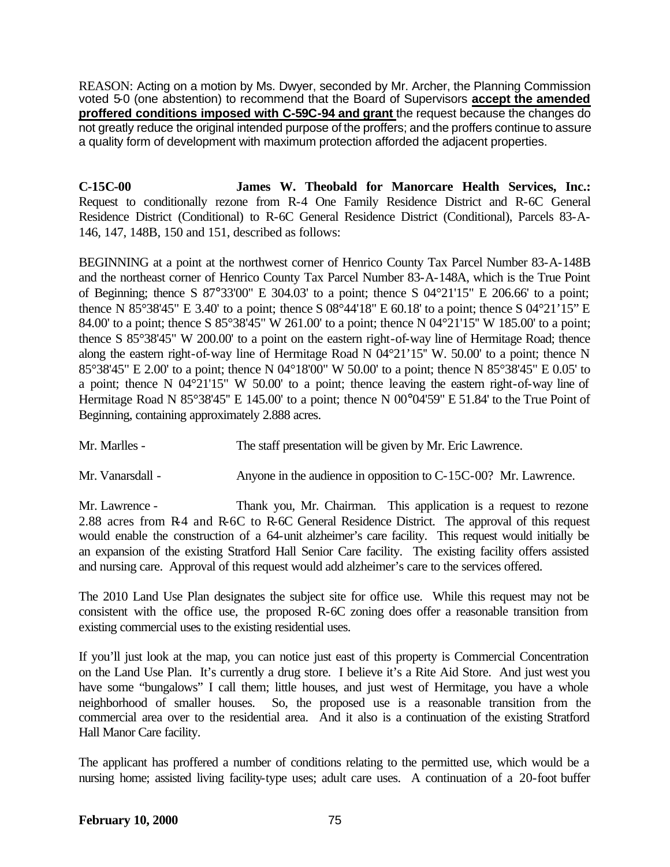REASON: Acting on a motion by Ms. Dwyer, seconded by Mr. Archer, the Planning Commission voted 5-0 (one abstention) to recommend that the Board of Supervisors **accept the amended proffered conditions imposed with C-59C-94 and grant** the request because the changes do not greatly reduce the original intended purpose of the proffers; and the proffers continue to assure a quality form of development with maximum protection afforded the adjacent properties.

**C-15C-00 James W. Theobald for Manorcare Health Services, Inc.:** Request to conditionally rezone from R-4 One Family Residence District and R-6C General Residence District (Conditional) to R-6C General Residence District (Conditional), Parcels 83-A-146, 147, 148B, 150 and 151, described as follows:

BEGINNING at a point at the northwest corner of Henrico County Tax Parcel Number 83-A-148B and the northeast corner of Henrico County Tax Parcel Number 83-A-148A, which is the True Point of Beginning; thence S 87°33'00" E 304.03' to a point; thence S 04°21'15" E 206.66' to a point; thence N 85°38'45" E 3.40' to a point; thence S  $08^{\circ}44'18''$  E 60.18' to a point; thence S  $04^{\circ}21'15''$  E 84.00' to a point; thence S 85°38'45" W 261.00' to a point; thence N 04°21'15'' W 185.00' to a point; thence S 85°38'45" W 200.00' to a point on the eastern right-of-way line of Hermitage Road; thence along the eastern right-of-way line of Hermitage Road N 04°21'15'' W. 50.00' to a point; thence N 85°38'45" E 2.00' to a point; thence N 04°18'00" W 50.00' to a point; thence N 85°38'45" E 0.05' to a point; thence N 04°21'15" W 50.00' to a point; thence leaving the eastern right-of-way line of Hermitage Road N 85°38'45" E 145.00' to a point; thence N 00°04'59" E 51.84' to the True Point of Beginning, containing approximately 2.888 acres.

Mr. Marlles - The staff presentation will be given by Mr. Eric Lawrence.

Mr. Vanarsdall - Anyone in the audience in opposition to C-15C-00? Mr. Lawrence.

Mr. Lawrence - Thank you, Mr. Chairman. This application is a request to rezone 2.88 acres from R-4 and R-6C to R-6C General Residence District. The approval of this request would enable the construction of a 64-unit alzheimer's care facility. This request would initially be an expansion of the existing Stratford Hall Senior Care facility. The existing facility offers assisted and nursing care. Approval of this request would add alzheimer's care to the services offered.

The 2010 Land Use Plan designates the subject site for office use. While this request may not be consistent with the office use, the proposed R-6C zoning does offer a reasonable transition from existing commercial uses to the existing residential uses.

If you'll just look at the map, you can notice just east of this property is Commercial Concentration on the Land Use Plan. It's currently a drug store. I believe it's a Rite Aid Store. And just west you have some "bungalows" I call them; little houses, and just west of Hermitage, you have a whole neighborhood of smaller houses. So, the proposed use is a reasonable transition from the commercial area over to the residential area. And it also is a continuation of the existing Stratford Hall Manor Care facility.

The applicant has proffered a number of conditions relating to the permitted use, which would be a nursing home; assisted living facility-type uses; adult care uses. A continuation of a 20-foot buffer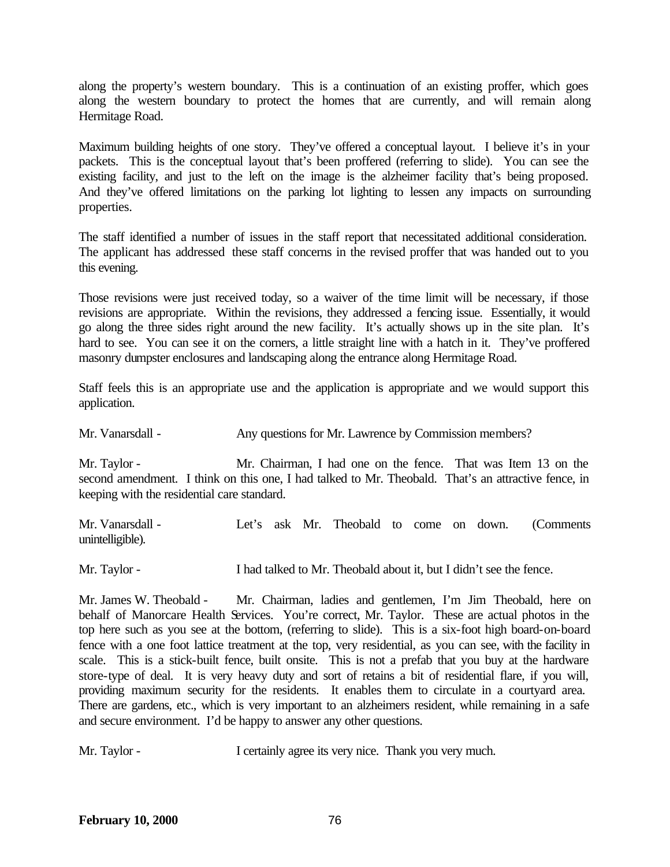along the property's western boundary. This is a continuation of an existing proffer, which goes along the western boundary to protect the homes that are currently, and will remain along Hermitage Road.

Maximum building heights of one story. They've offered a conceptual layout. I believe it's in your packets. This is the conceptual layout that's been proffered (referring to slide). You can see the existing facility, and just to the left on the image is the alzheimer facility that's being proposed. And they've offered limitations on the parking lot lighting to lessen any impacts on surrounding properties.

The staff identified a number of issues in the staff report that necessitated additional consideration. The applicant has addressed these staff concerns in the revised proffer that was handed out to you this evening.

Those revisions were just received today, so a waiver of the time limit will be necessary, if those revisions are appropriate. Within the revisions, they addressed a fencing issue. Essentially, it would go along the three sides right around the new facility. It's actually shows up in the site plan. It's hard to see. You can see it on the corners, a little straight line with a hatch in it. They've proffered masonry dumpster enclosures and landscaping along the entrance along Hermitage Road.

Staff feels this is an appropriate use and the application is appropriate and we would support this application.

Mr. Vanarsdall - Any questions for Mr. Lawrence by Commission members?

Mr. Taylor - Mr. Chairman, I had one on the fence. That was Item 13 on the second amendment. I think on this one, I had talked to Mr. Theobald. That's an attractive fence, in keeping with the residential care standard.

Mr. Vanarsdall - Let's ask Mr. Theobald to come on down. (Comments unintelligible).

Mr. Taylor - I had talked to Mr. Theobald about it, but I didn't see the fence.

Mr. James W. Theobald - Mr. Chairman, ladies and gentlemen, I'm Jim Theobald, here on behalf of Manorcare Health Services. You're correct, Mr. Taylor. These are actual photos in the top here such as you see at the bottom, (referring to slide). This is a six-foot high board-on-board fence with a one foot lattice treatment at the top, very residential, as you can see, with the facility in scale. This is a stick-built fence, built onsite. This is not a prefab that you buy at the hardware store-type of deal. It is very heavy duty and sort of retains a bit of residential flare, if you will, providing maximum security for the residents. It enables them to circulate in a courtyard area. There are gardens, etc., which is very important to an alzheimers resident, while remaining in a safe and secure environment. I'd be happy to answer any other questions.

Mr. Taylor - I certainly agree its very nice. Thank you very much.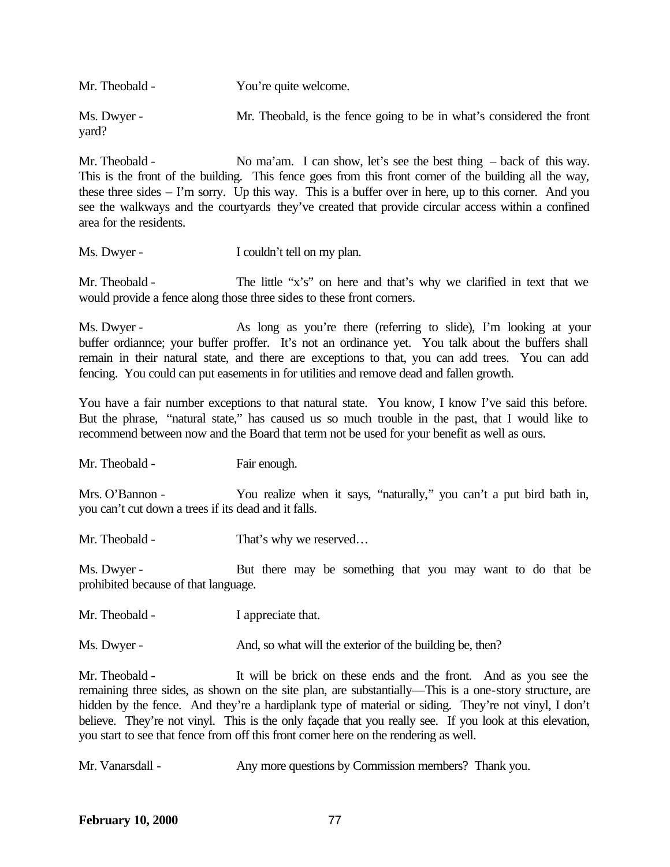| Mr. Theobald -       | You're quite welcome.                                                 |
|----------------------|-----------------------------------------------------------------------|
| Ms. Dwyer -<br>yard? | Mr. Theobald, is the fence going to be in what's considered the front |

Mr. Theobald - No ma'am. I can show, let's see the best thing – back of this way. This is the front of the building. This fence goes from this front corner of the building all the way, these three sides – I'm sorry. Up this way. This is a buffer over in here, up to this corner. And you see the walkways and the courtyards they've created that provide circular access within a confined area for the residents.

Ms. Dwyer - I couldn't tell on my plan.

Mr. Theobald - The little "x's" on here and that's why we clarified in text that we would provide a fence along those three sides to these front corners.

Ms. Dwyer - As long as you're there (referring to slide), I'm looking at your buffer ordiannce; your buffer proffer. It's not an ordinance yet. You talk about the buffers shall remain in their natural state, and there are exceptions to that, you can add trees. You can add fencing. You could can put easements in for utilities and remove dead and fallen growth.

You have a fair number exceptions to that natural state. You know, I know I've said this before. But the phrase, "natural state," has caused us so much trouble in the past, that I would like to recommend between now and the Board that term not be used for your benefit as well as ours.

Mr. Theobald - Fair enough.

Mrs. O'Bannon - You realize when it says, "naturally," you can't a put bird bath in, you can't cut down a trees if its dead and it falls.

Mr. Theobald - That's why we reserved...

Ms. Dwyer - But there may be something that you may want to do that be prohibited because of that language.

Mr. Theobald - I appreciate that.

Ms. Dwyer - And, so what will the exterior of the building be, then?

Mr. Theobald - It will be brick on these ends and the front. And as you see the remaining three sides, as shown on the site plan, are substantially—This is a one-story structure, are hidden by the fence. And they're a hardiplank type of material or siding. They're not vinyl, I don't believe. They're not vinyl. This is the only façade that you really see. If you look at this elevation, you start to see that fence from off this front corner here on the rendering as well.

Mr. Vanarsdall - Any more questions by Commission members? Thank you.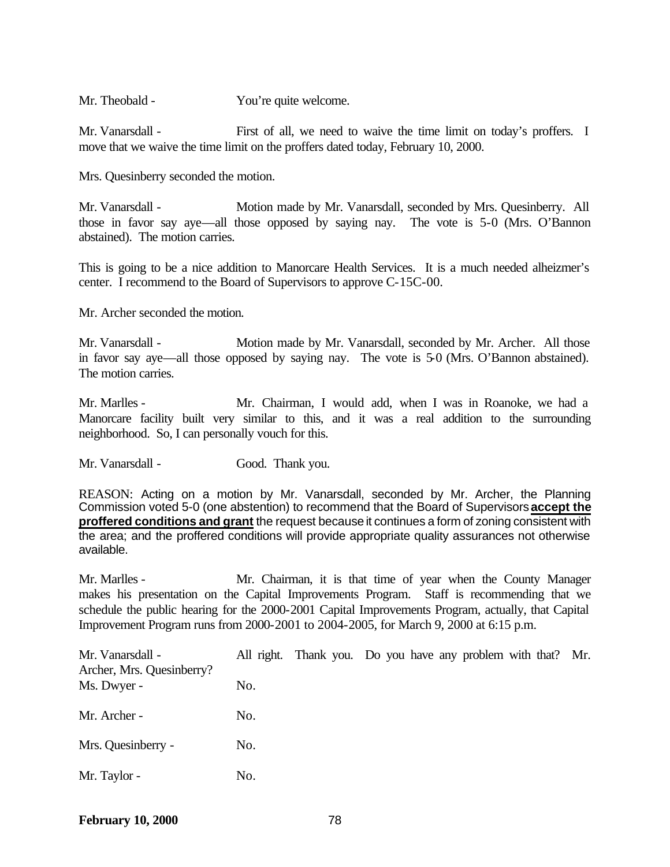Mr. Theobald - You're quite welcome.

Mr. Vanarsdall - First of all, we need to waive the time limit on today's proffers. I move that we waive the time limit on the proffers dated today, February 10, 2000.

Mrs. Quesinberry seconded the motion.

Mr. Vanarsdall - Motion made by Mr. Vanarsdall, seconded by Mrs. Quesinberry. All those in favor say aye—all those opposed by saying nay. The vote is 5-0 (Mrs. O'Bannon abstained). The motion carries.

This is going to be a nice addition to Manorcare Health Services. It is a much needed alheizmer's center. I recommend to the Board of Supervisors to approve C-15C-00.

Mr. Archer seconded the motion.

Mr. Vanarsdall - Motion made by Mr. Vanarsdall, seconded by Mr. Archer. All those in favor say aye—all those opposed by saying nay. The vote is 5-0 (Mrs. O'Bannon abstained). The motion carries.

Mr. Marlles - Mr. Chairman, I would add, when I was in Roanoke, we had a Manorcare facility built very similar to this, and it was a real addition to the surrounding neighborhood. So, I can personally vouch for this.

Mr. Vanarsdall - Good. Thank you.

REASON: Acting on a motion by Mr. Vanarsdall, seconded by Mr. Archer, the Planning Commission voted 5-0 (one abstention) to recommend that the Board of Supervisors **accept the proffered conditions and grant** the request because it continues a form of zoning consistent with the area; and the proffered conditions will provide appropriate quality assurances not otherwise available.

Mr. Marlles - Mr. Chairman, it is that time of year when the County Manager makes his presentation on the Capital Improvements Program. Staff is recommending that we schedule the public hearing for the 2000-2001 Capital Improvements Program, actually, that Capital Improvement Program runs from 2000-2001 to 2004-2005, for March 9, 2000 at 6:15 p.m.

| Mr. Vanarsdall -<br>Archer, Mrs. Quesinberry? |     | All right. Thank you. Do you have any problem with that? Mr. |  |  |  |
|-----------------------------------------------|-----|--------------------------------------------------------------|--|--|--|
| Ms. Dwyer -                                   | No. |                                                              |  |  |  |
| Mr. Archer -                                  | No. |                                                              |  |  |  |
| Mrs. Quesinberry -                            | No. |                                                              |  |  |  |
| Mr. Taylor -                                  | No. |                                                              |  |  |  |

**February 10, 2000** 78